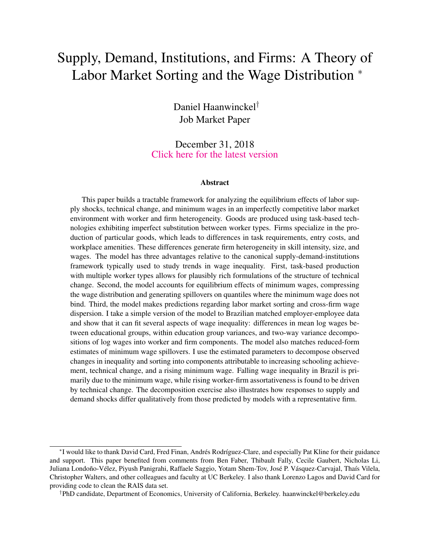# <span id="page-0-0"></span>Supply, Demand, Institutions, and Firms: A Theory of Labor Market Sorting and the Wage Distribution  $*$

Daniel Haanwinckel† Job Market Paper

December 31, 2018 [Click here for the latest version](https://www.dropbox.com/s/6c0xkdjnsr0vbc7/JMP_Haanwinckel.pdf?raw=1)

#### Abstract

This paper builds a tractable framework for analyzing the equilibrium effects of labor supply shocks, technical change, and minimum wages in an imperfectly competitive labor market environment with worker and firm heterogeneity. Goods are produced using task-based technologies exhibiting imperfect substitution between worker types. Firms specialize in the production of particular goods, which leads to differences in task requirements, entry costs, and workplace amenities. These differences generate firm heterogeneity in skill intensity, size, and wages. The model has three advantages relative to the canonical supply-demand-institutions framework typically used to study trends in wage inequality. First, task-based production with multiple worker types allows for plausibly rich formulations of the structure of technical change. Second, the model accounts for equilibrium effects of minimum wages, compressing the wage distribution and generating spillovers on quantiles where the minimum wage does not bind. Third, the model makes predictions regarding labor market sorting and cross-firm wage dispersion. I take a simple version of the model to Brazilian matched employer-employee data and show that it can fit several aspects of wage inequality: differences in mean log wages between educational groups, within education group variances, and two-way variance decompositions of log wages into worker and firm components. The model also matches reduced-form estimates of minimum wage spillovers. I use the estimated parameters to decompose observed changes in inequality and sorting into components attributable to increasing schooling achievement, technical change, and a rising minimum wage. Falling wage inequality in Brazil is primarily due to the minimum wage, while rising worker-firm assortativeness is found to be driven by technical change. The decomposition exercise also illustrates how responses to supply and demand shocks differ qualitatively from those predicted by models with a representative firm.

<sup>∗</sup> I would like to thank David Card, Fred Finan, Andrés Rodríguez-Clare, and especially Pat Kline for their guidance and support. This paper benefited from comments from Ben Faber, Thibault Fally, Cecile Gaubert, Nicholas Li, Juliana Londoño-Vélez, Piyush Panigrahi, Raffaele Saggio, Yotam Shem-Tov, José P. Vásquez-Carvajal, Thaís Vilela, Christopher Walters, and other colleagues and faculty at UC Berkeley. I also thank Lorenzo Lagos and David Card for providing code to clean the RAIS data set.

<sup>†</sup>PhD candidate, Department of Economics, University of California, Berkeley. haanwinckel@berkeley.edu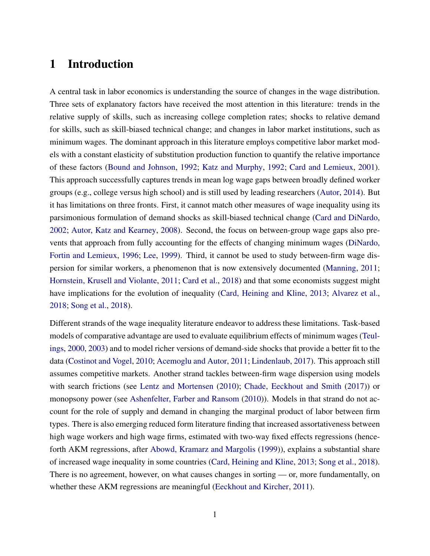# 1 Introduction

A central task in labor economics is understanding the source of changes in the wage distribution. Three sets of explanatory factors have received the most attention in this literature: trends in the relative supply of skills, such as increasing college completion rates; shocks to relative demand for skills, such as skill-biased technical change; and changes in labor market institutions, such as minimum wages. The dominant approach in this literature employs competitive labor market models with a constant elasticity of substitution production function to quantify the relative importance of these factors [\(Bound and Johnson,](#page-47-0) [1992;](#page-47-0) [Katz and Murphy,](#page-49-0) [1992;](#page-49-0) [Card and Lemieux,](#page-47-1) [2001\)](#page-47-1). This approach successfully captures trends in mean log wage gaps between broadly defined worker groups (e.g., college versus high school) and is still used by leading researchers [\(Autor,](#page-46-0) [2014\)](#page-46-0). But it has limitations on three fronts. First, it cannot match other measures of wage inequality using its parsimonious formulation of demand shocks as skill-biased technical change [\(Card and DiNardo,](#page-47-2) [2002;](#page-47-2) [Autor, Katz and Kearney,](#page-47-3) [2008\)](#page-47-3). Second, the focus on between-group wage gaps also prevents that approach from fully accounting for the effects of changing minimum wages [\(DiNardo,](#page-48-0) [Fortin and Lemieux,](#page-48-0) [1996;](#page-48-0) [Lee,](#page-50-0) [1999\)](#page-50-0). Third, it cannot be used to study between-firm wage dispersion for similar workers, a phenomenon that is now extensively documented [\(Manning,](#page-50-1) [2011;](#page-50-1) [Hornstein, Krusell and Violante,](#page-49-1) [2011;](#page-49-1) [Card et al.,](#page-47-4) [2018\)](#page-47-4) and that some economists suggest might have implications for the evolution of inequality [\(Card, Heining and Kline,](#page-47-5) [2013;](#page-47-5) [Alvarez et al.,](#page-46-1) [2018;](#page-46-1) [Song et al.,](#page-50-2) [2018\)](#page-50-2).

Different strands of the wage inequality literature endeavor to address these limitations. Task-based models of comparative advantage are used to evaluate equilibrium effects of minimum wages [\(Teul](#page-50-3)[ings,](#page-50-3) [2000,](#page-50-3) [2003\)](#page-50-4) and to model richer versions of demand-side shocks that provide a better fit to the data [\(Costinot and Vogel,](#page-48-1) [2010;](#page-48-1) [Acemoglu and Autor,](#page-46-2) [2011;](#page-46-2) [Lindenlaub,](#page-50-5) [2017\)](#page-50-5). This approach still assumes competitive markets. Another strand tackles between-firm wage dispersion using models with search frictions (see [Lentz and Mortensen](#page-50-6) [\(2010\)](#page-50-6); [Chade, Eeckhout and Smith](#page-47-6) [\(2017\)](#page-47-6)) or monopsony power (see [Ashenfelter, Farber and Ransom](#page-46-3) [\(2010\)](#page-46-3)). Models in that strand do not account for the role of supply and demand in changing the marginal product of labor between firm types. There is also emerging reduced form literature finding that increased assortativeness between high wage workers and high wage firms, estimated with two-way fixed effects regressions (henceforth AKM regressions, after [Abowd, Kramarz and Margolis](#page-46-4) [\(1999\)](#page-46-4)), explains a substantial share of increased wage inequality in some countries [\(Card, Heining and Kline,](#page-47-5) [2013;](#page-47-5) [Song et al.,](#page-50-2) [2018\)](#page-50-2). There is no agreement, however, on what causes changes in sorting — or, more fundamentally, on whether these AKM regressions are meaningful [\(Eeckhout and Kircher,](#page-48-2) [2011\)](#page-48-2).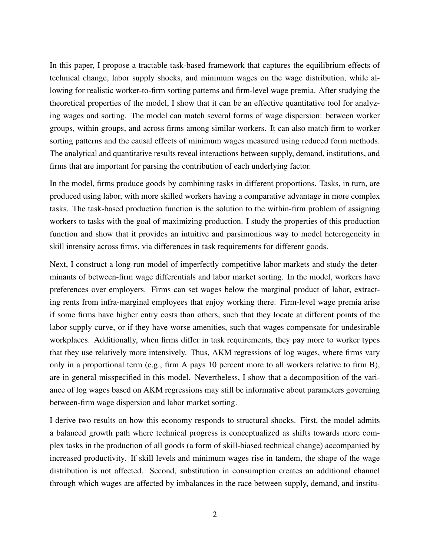In this paper, I propose a tractable task-based framework that captures the equilibrium effects of technical change, labor supply shocks, and minimum wages on the wage distribution, while allowing for realistic worker-to-firm sorting patterns and firm-level wage premia. After studying the theoretical properties of the model, I show that it can be an effective quantitative tool for analyzing wages and sorting. The model can match several forms of wage dispersion: between worker groups, within groups, and across firms among similar workers. It can also match firm to worker sorting patterns and the causal effects of minimum wages measured using reduced form methods. The analytical and quantitative results reveal interactions between supply, demand, institutions, and firms that are important for parsing the contribution of each underlying factor.

In the model, firms produce goods by combining tasks in different proportions. Tasks, in turn, are produced using labor, with more skilled workers having a comparative advantage in more complex tasks. The task-based production function is the solution to the within-firm problem of assigning workers to tasks with the goal of maximizing production. I study the properties of this production function and show that it provides an intuitive and parsimonious way to model heterogeneity in skill intensity across firms, via differences in task requirements for different goods.

Next, I construct a long-run model of imperfectly competitive labor markets and study the determinants of between-firm wage differentials and labor market sorting. In the model, workers have preferences over employers. Firms can set wages below the marginal product of labor, extracting rents from infra-marginal employees that enjoy working there. Firm-level wage premia arise if some firms have higher entry costs than others, such that they locate at different points of the labor supply curve, or if they have worse amenities, such that wages compensate for undesirable workplaces. Additionally, when firms differ in task requirements, they pay more to worker types that they use relatively more intensively. Thus, AKM regressions of log wages, where firms vary only in a proportional term (e.g., firm A pays 10 percent more to all workers relative to firm B), are in general misspecified in this model. Nevertheless, I show that a decomposition of the variance of log wages based on AKM regressions may still be informative about parameters governing between-firm wage dispersion and labor market sorting.

I derive two results on how this economy responds to structural shocks. First, the model admits a balanced growth path where technical progress is conceptualized as shifts towards more complex tasks in the production of all goods (a form of skill-biased technical change) accompanied by increased productivity. If skill levels and minimum wages rise in tandem, the shape of the wage distribution is not affected. Second, substitution in consumption creates an additional channel through which wages are affected by imbalances in the race between supply, demand, and institu-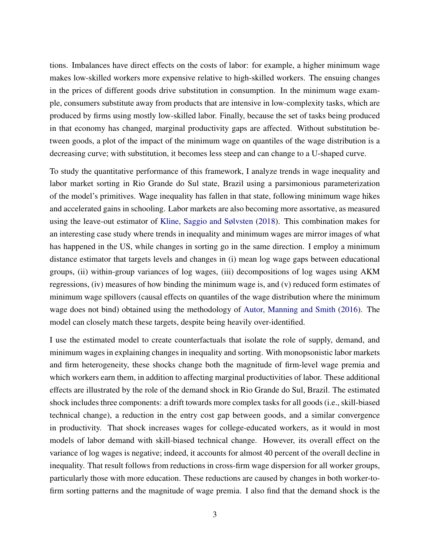tions. Imbalances have direct effects on the costs of labor: for example, a higher minimum wage makes low-skilled workers more expensive relative to high-skilled workers. The ensuing changes in the prices of different goods drive substitution in consumption. In the minimum wage example, consumers substitute away from products that are intensive in low-complexity tasks, which are produced by firms using mostly low-skilled labor. Finally, because the set of tasks being produced in that economy has changed, marginal productivity gaps are affected. Without substitution between goods, a plot of the impact of the minimum wage on quantiles of the wage distribution is a decreasing curve; with substitution, it becomes less steep and can change to a U-shaped curve.

To study the quantitative performance of this framework, I analyze trends in wage inequality and labor market sorting in Rio Grande do Sul state, Brazil using a parsimonious parameterization of the model's primitives. Wage inequality has fallen in that state, following minimum wage hikes and accelerated gains in schooling. Labor markets are also becoming more assortative, as measured using the leave-out estimator of [Kline, Saggio and Sølvsten](#page-49-2) [\(2018\)](#page-49-2). This combination makes for an interesting case study where trends in inequality and minimum wages are mirror images of what has happened in the US, while changes in sorting go in the same direction. I employ a minimum distance estimator that targets levels and changes in (i) mean log wage gaps between educational groups, (ii) within-group variances of log wages, (iii) decompositions of log wages using AKM regressions, (iv) measures of how binding the minimum wage is, and (v) reduced form estimates of minimum wage spillovers (causal effects on quantiles of the wage distribution where the minimum wage does not bind) obtained using the methodology of [Autor, Manning and Smith](#page-46-5) [\(2016\)](#page-46-5). The model can closely match these targets, despite being heavily over-identified.

I use the estimated model to create counterfactuals that isolate the role of supply, demand, and minimum wages in explaining changes in inequality and sorting. With monopsonistic labor markets and firm heterogeneity, these shocks change both the magnitude of firm-level wage premia and which workers earn them, in addition to affecting marginal productivities of labor. These additional effects are illustrated by the role of the demand shock in Rio Grande do Sul, Brazil. The estimated shock includes three components: a drift towards more complex tasks for all goods (i.e., skill-biased technical change), a reduction in the entry cost gap between goods, and a similar convergence in productivity. That shock increases wages for college-educated workers, as it would in most models of labor demand with skill-biased technical change. However, its overall effect on the variance of log wages is negative; indeed, it accounts for almost 40 percent of the overall decline in inequality. That result follows from reductions in cross-firm wage dispersion for all worker groups, particularly those with more education. These reductions are caused by changes in both worker-tofirm sorting patterns and the magnitude of wage premia. I also find that the demand shock is the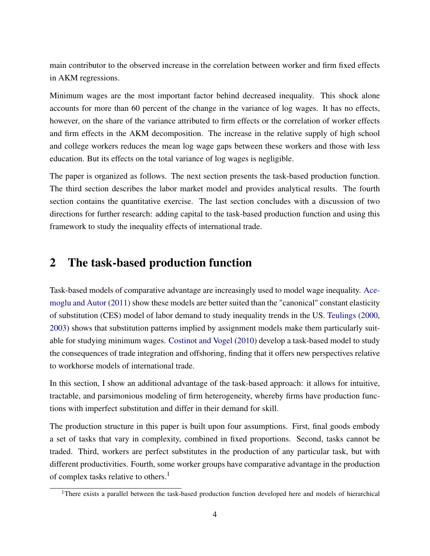main contributor to the observed increase in the correlation between worker and firm fixed effects in AKM regressions.

Minimum wages are the most important factor behind decreased inequality. This shock alone accounts for more than 60 percent of the change in the variance of log wages. It has no effects, however, on the share of the variance attributed to firm effects or the correlation of worker effects and firm effects in the AKM decomposition. The increase in the relative supply of high school and college workers reduces the mean log wage gaps between these workers and those with less education. But its effects on the total variance of log wages is negligible.

The paper is organized as follows. The next section presents the task-based production function. The third section describes the labor market model and provides analytical results. The fourth section contains the quantitative exercise. The last section concludes with a discussion of two directions for further research: adding capital to the task-based production function and using this framework to study the inequality effects of international trade.

# 2 The task-based production function

Task-based models of comparative advantage are increasingly used to model wage inequality. [Ace](#page-46-2)[moglu and Autor](#page-46-2) [\(2011\)](#page-46-2) show these models are better suited than the "canonical" constant elasticity of substitution (CES) model of labor demand to study inequality trends in the US. [Teulings](#page-50-3) [\(2000,](#page-50-3) [2003\)](#page-50-4) shows that substitution patterns implied by assignment models make them particularly suitable for studying minimum wages. [Costinot and Vogel](#page-48-1) [\(2010\)](#page-48-1) develop a task-based model to study the consequences of trade integration and offshoring, finding that it offers new perspectives relative to workhorse models of international trade.

In this section, I show an additional advantage of the task-based approach: it allows for intuitive, tractable, and parsimonious modeling of firm heterogeneity, whereby firms have production functions with imperfect substitution and differ in their demand for skill.

The production structure in this paper is built upon four assumptions. First, final goods embody a set of tasks that vary in complexity, combined in fixed proportions. Second, tasks cannot be traded. Third, workers are perfect substitutes in the production of any particular task, but with different productivities. Fourth, some worker groups have comparative advantage in the production of complex tasks relative to others.<sup>1</sup>

<sup>&</sup>lt;sup>1</sup>There exists a parallel between the task-based production function developed here and models of hierarchical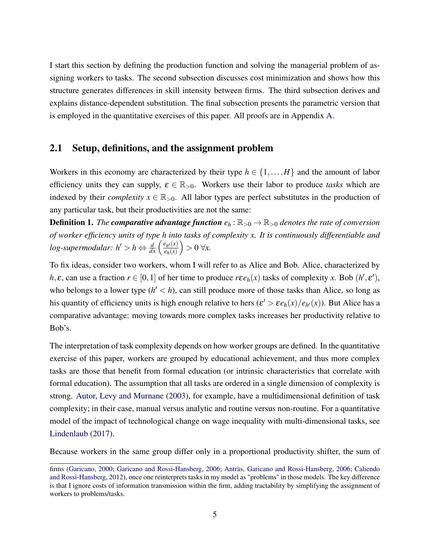I start this section by defining the production function and solving the managerial problem of assigning workers to tasks. The second subsection discusses cost minimization and shows how this structure generates differences in skill intensity between firms. The third subsection derives and explains distance-dependent substitution. The final subsection presents the parametric version that is employed in the quantitative exercises of this paper. All proofs are in Appendix [A.](#page-51-0)

### 2.1 Setup, definitions, and the assignment problem

Workers in this economy are characterized by their type  $h \in \{1, ..., H\}$  and the amount of labor efficiency units they can supply,  $\varepsilon \in \mathbb{R}_{>0}$ . Workers use their labor to produce *tasks* which are indexed by their *complexity*  $x \in \mathbb{R}_{>0}$ . All labor types are perfect substitutes in the production of any particular task, but their productivities are not the same:

**Definition 1.** *The comparative advantage function*  $e_h$ :  $\mathbb{R}_{>0} \to \mathbb{R}_{>0}$  *denotes the rate of conversion of worker efficiency units of type h into tasks of complexity x. It is continuously differentiable and log-supermodular:*  $h' > h \Leftrightarrow \frac{d}{dx} \left( \frac{e_{h'}(x)}{e_h(x)} \right)$  $e_h(x)$  $\big) > 0 \forall x.$ 

To fix ideas, consider two workers, whom I will refer to as Alice and Bob. Alice, characterized by *h*,  $\varepsilon$ , can use a fraction  $r \in [0, 1]$  of her time to produce  $r \varepsilon e_h(x)$  tasks of complexity *x*. Bob  $(h', \varepsilon')$ , who belongs to a lower type  $(h' < h)$ , can still produce more of those tasks than Alice, so long as his quantity of efficiency units is high enough relative to hers  $(\varepsilon' > \varepsilon e_h(x)/e_{h'}(x))$ . But Alice has a comparative advantage: moving towards more complex tasks increases her productivity relative to Bob's.

The interpretation of task complexity depends on how worker groups are defined. In the quantitative exercise of this paper, workers are grouped by educational achievement, and thus more complex tasks are those that benefit from formal education (or intrinsic characteristics that correlate with formal education). The assumption that all tasks are ordered in a single dimension of complexity is strong. [Autor, Levy and Murnane](#page-47-7) [\(2003\)](#page-47-7), for example, have a multidimensional definition of task complexity; in their case, manual versus analytic and routine versus non-routine. For a quantitative model of the impact of technological change on wage inequality with multi-dimensional tasks, see [Lindenlaub](#page-50-5) [\(2017\)](#page-50-5).

Because workers in the same group differ only in a proportional productivity shifter, the sum of

firms [\(Garicano,](#page-48-3) [2000;](#page-48-3) [Garicano and Rossi-Hansberg,](#page-48-4) [2006;](#page-48-4) [Antràs, Garicano and Rossi-Hansberg,](#page-46-6) [2006;](#page-46-6) [Caliendo](#page-47-8) [and Rossi-Hansberg,](#page-47-8) [2012\)](#page-47-8), once one reinterprets tasks in my model as "problems" in those models. The key difference is that I ignore costs of information transmission within the firm, adding tractability by simplifying the assignment of workers to problems/tasks.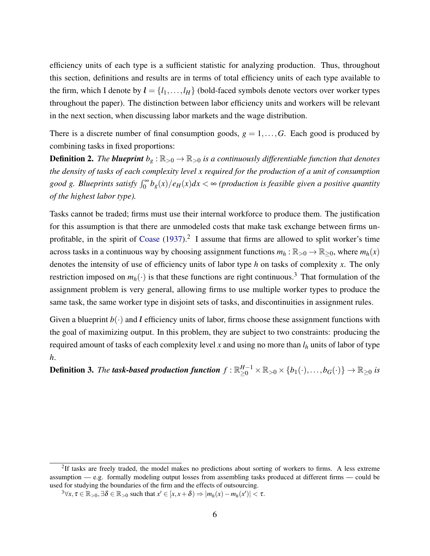efficiency units of each type is a sufficient statistic for analyzing production. Thus, throughout this section, definitions and results are in terms of total efficiency units of each type available to the firm, which I denote by  $\mathbf{l} = \{l_1, \ldots, l_H\}$  (bold-faced symbols denote vectors over worker types throughout the paper). The distinction between labor efficiency units and workers will be relevant in the next section, when discussing labor markets and the wage distribution.

There is a discrete number of final consumption goods,  $g = 1, \ldots, G$ . Each good is produced by combining tasks in fixed proportions:

**Definition 2.** *The blueprint*  $b_g : \mathbb{R}_{>0} \to \mathbb{R}_{>0}$  *is a continuously differentiable function that denotes the density of tasks of each complexity level x required for the production of a unit of consumption* good g. Blueprints satisfy  $\int_0^\infty b_g(x)/e_H(x)dx < \infty$  (production is feasible given a positive quantity *of the highest labor type).*

Tasks cannot be traded; firms must use their internal workforce to produce them. The justification for this assumption is that there are unmodeled costs that make task exchange between firms un-profitable, in the spirit of [Coase](#page-47-9)  $(1937)$ .<sup>2</sup> I assume that firms are allowed to split worker's time across tasks in a continuous way by choosing assignment functions  $m_h : \mathbb{R}_{>0} \to \mathbb{R}_{\geq 0}$ , where  $m_h(x)$ denotes the intensity of use of efficiency units of labor type *h* on tasks of complexity *x*. The only restriction imposed on  $m_h(\cdot)$  is that these functions are right continuous.<sup>3</sup> That formulation of the assignment problem is very general, allowing firms to use multiple worker types to produce the same task, the same worker type in disjoint sets of tasks, and discontinuities in assignment rules.

Given a blueprint  $b(\cdot)$  and l efficiency units of labor, firms choose these assignment functions with the goal of maximizing output. In this problem, they are subject to two constraints: producing the required amount of tasks of each complexity level *x* and using no more than *l<sup>h</sup>* units of labor of type *h*.

Definition 3. *The task-based production function*  $f: \R_{\geq 0}^{H-1} \times \R_{>0} \times \{b_1(\cdot),\ldots,b_G(\cdot)\} \to \R_{\geq 0}$  *is* 

 $2$ If tasks are freely traded, the model makes no predictions about sorting of workers to firms. A less extreme assumption — e.g. formally modeling output losses from assembling tasks produced at different firms — could be used for studying the boundaries of the firm and the effects of outsourcing.

 $3\forall x, \tau \in \mathbb{R}_{>0}, \exists \delta \in \mathbb{R}_{>0}$  such that  $x' \in [x, x + \delta) \Rightarrow |m_h(x) - m_h(x')| < \tau$ .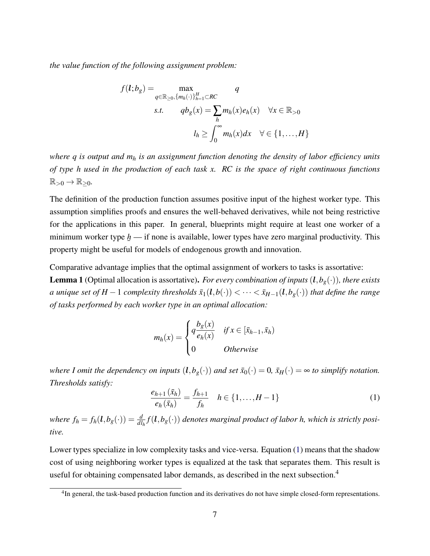*the value function of the following assignment problem:*

$$
f(l;b_g) = \max_{q \in \mathbb{R}_{\geq 0}, \{m_h(\cdot)\}_{h=1}^H \subset RC} q
$$
  
s.t.  $qb_g(x) = \sum_h m_h(x)e_h(x) \quad \forall x \in \mathbb{R}_{>0}$   
 $l_h \ge \int_0^\infty m_h(x)dx \quad \forall \in \{1, ..., H\}$ 

*where q is output and m<sup>h</sup> is an assignment function denoting the density of labor efficiency units of type h used in the production of each task x. RC is the space of right continuous functions*  $\mathbb{R}_{>0} \to \mathbb{R}_{\geq 0}$ .

The definition of the production function assumes positive input of the highest worker type. This assumption simplifies proofs and ensures the well-behaved derivatives, while not being restrictive for the applications in this paper. In general, blueprints might require at least one worker of a minimum worker type  $\underline{h}$  — if none is available, lower types have zero marginal productivity. This  $^{\circ}$ property might be useful for models of endogenous growth and innovation.

<span id="page-7-1"></span>Comparative advantage implies that the optimal assignment of workers to tasks is assortative:

**Lemma 1** (Optimal allocation is assortative). *For every combination of inputs*  $(l, b_g(\cdot))$ *, there exists a* unique set of  $H-1$  complexity thresholds  $\bar{x}_1(l,b(\cdot)) < \cdots < \bar{x}_{H-1}(l,b_g(\cdot))$  that define the range *of tasks performed by each worker type in an optimal allocation:*

$$
m_h(x) = \begin{cases} q \frac{b_g(x)}{e_h(x)} & \text{if } x \in [\bar{x}_{h-1}, \bar{x}_h) \\ 0 & \text{Otherwise} \end{cases}
$$

*where I omit the dependency on inputs*  $(l, b_g(\cdot))$  *and set*  $\bar{x}_0(\cdot) = 0$ *,*  $\bar{x}_H(\cdot) = \infty$  *to simplify notation. Thresholds satisfy:*

<span id="page-7-0"></span>
$$
\frac{e_{h+1}(\bar{x}_h)}{e_h(\bar{x}_h)} = \frac{f_{h+1}}{f_h} \quad h \in \{1, ..., H-1\}
$$
 (1)

*where*  $f_h = f_h(l, b_g(\cdot)) = \frac{d}{dl_h} f(l, b_g(\cdot))$  *denotes marginal product of labor h, which is strictly positive.*

Lower types specialize in low complexity tasks and vice-versa. Equation [\(1\)](#page-7-0) means that the shadow cost of using neighboring worker types is equalized at the task that separates them. This result is useful for obtaining compensated labor demands, as described in the next subsection.<sup>4</sup>

<sup>&</sup>lt;sup>4</sup>In general, the task-based production function and its derivatives do not have simple closed-form representations.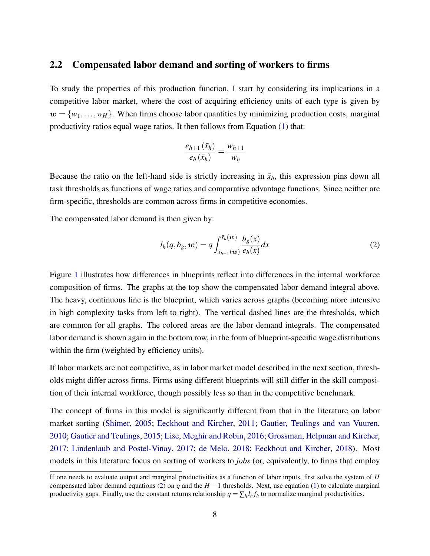### 2.2 Compensated labor demand and sorting of workers to firms

To study the properties of this production function, I start by considering its implications in a competitive labor market, where the cost of acquiring efficiency units of each type is given by  $w = \{w_1, \ldots, w_H\}$ . When firms choose labor quantities by minimizing production costs, marginal productivity ratios equal wage ratios. It then follows from Equation [\(1\)](#page-7-0) that:

$$
\frac{e_{h+1}(\bar{x}_h)}{e_h(\bar{x}_h)} = \frac{w_{h+1}}{w_h}
$$

Because the ratio on the left-hand side is strictly increasing in  $\bar{x}_h$ , this expression pins down all task thresholds as functions of wage ratios and comparative advantage functions. Since neither are firm-specific, thresholds are common across firms in competitive economies.

The compensated labor demand is then given by:

<span id="page-8-0"></span>
$$
l_h(q, b_g, \boldsymbol{w}) = q \int_{\bar{x}_{h-1}(\boldsymbol{w})}^{\bar{x}_h(\boldsymbol{w})} \frac{b_g(x)}{e_h(x)} dx
$$
\n(2)

Figure [1](#page-9-0) illustrates how differences in blueprints reflect into differences in the internal workforce composition of firms. The graphs at the top show the compensated labor demand integral above. The heavy, continuous line is the blueprint, which varies across graphs (becoming more intensive in high complexity tasks from left to right). The vertical dashed lines are the thresholds, which are common for all graphs. The colored areas are the labor demand integrals. The compensated labor demand is shown again in the bottom row, in the form of blueprint-specific wage distributions within the firm (weighted by efficiency units).

If labor markets are not competitive, as in labor market model described in the next section, thresholds might differ across firms. Firms using different blueprints will still differ in the skill composition of their internal workforce, though possibly less so than in the competitive benchmark.

The concept of firms in this model is significantly different from that in the literature on labor market sorting [\(Shimer,](#page-50-7) [2005;](#page-50-7) [Eeckhout and Kircher,](#page-48-2) [2011;](#page-48-2) [Gautier, Teulings and van Vuuren,](#page-49-3) [2010;](#page-49-3) [Gautier and Teulings,](#page-48-5) [2015;](#page-48-5) [Lise, Meghir and Robin,](#page-50-8) [2016;](#page-50-8) [Grossman, Helpman and Kircher,](#page-49-4) [2017;](#page-49-4) [Lindenlaub and Postel-Vinay,](#page-50-9) [2017;](#page-50-9) [de Melo,](#page-48-6) [2018;](#page-48-6) [Eeckhout and Kircher,](#page-48-7) [2018\)](#page-48-7). Most models in this literature focus on sorting of workers to *jobs* (or, equivalently, to firms that employ

If one needs to evaluate output and marginal productivities as a function of labor inputs, first solve the system of *H* compensated labor demand equations [\(2\)](#page-8-0) on  $q$  and the  $H-1$  thresholds. Next, use equation [\(1\)](#page-7-0) to calculate marginal productivity gaps. Finally, use the constant returns relationship  $q = \sum_h l_h f_h$  to normalize marginal productivities.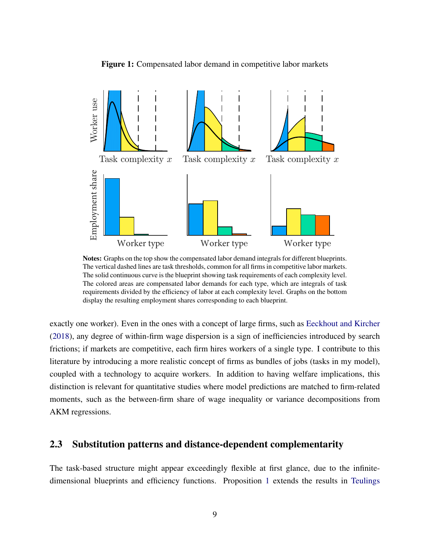<span id="page-9-0"></span>

Figure 1: Compensated labor demand in competitive labor markets

Notes: Graphs on the top show the compensated labor demand integrals for different blueprints. The vertical dashed lines are task thresholds, common for all firms in competitive labor markets. The solid continuous curve is the blueprint showing task requirements of each complexity level. The colored areas are compensated labor demands for each type, which are integrals of task requirements divided by the efficiency of labor at each complexity level. Graphs on the bottom display the resulting employment shares corresponding to each blueprint.

exactly one worker). Even in the ones with a concept of large firms, such as [Eeckhout and Kircher](#page-48-7) [\(2018\)](#page-48-7), any degree of within-firm wage dispersion is a sign of inefficiencies introduced by search frictions; if markets are competitive, each firm hires workers of a single type. I contribute to this literature by introducing a more realistic concept of firms as bundles of jobs (tasks in my model), coupled with a technology to acquire workers. In addition to having welfare implications, this distinction is relevant for quantitative studies where model predictions are matched to firm-related moments, such as the between-firm share of wage inequality or variance decompositions from AKM regressions.

### 2.3 Substitution patterns and distance-dependent complementarity

The task-based structure might appear exceedingly flexible at first glance, due to the infinitedimensional blueprints and efficiency functions. Proposition [1](#page-10-0) extends the results in [Teulings](#page-50-10)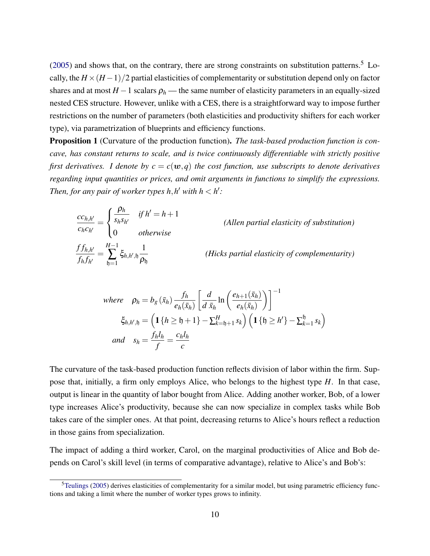$(2005)$  and shows that, on the contrary, there are strong constraints on substitution patterns.<sup>5</sup> Locally, the  $H \times (H-1)/2$  partial elasticities of complementarity or substitution depend only on factor shares and at most  $H - 1$  scalars  $\rho_h$  — the same number of elasticity parameters in an equally-sized nested CES structure. However, unlike with a CES, there is a straightforward way to impose further restrictions on the number of parameters (both elasticities and productivity shifters for each worker type), via parametrization of blueprints and efficiency functions.

<span id="page-10-0"></span>Proposition 1 (Curvature of the production function). *The task-based production function is concave, has constant returns to scale, and is twice continuously differentiable with strictly positive first derivatives. I denote by*  $c = c(w, q)$  *the cost function, use subscripts to denote derivatives regarding input quantities or prices, and omit arguments in functions to simplify the expressions. Then, for any pair of worker types*  $h, h'$  *with*  $h < h'$ *:* 

$$
\frac{cc_{h,h'}}{c_hc_{h'}} = \begin{cases}\n\frac{\rho_h}{s_h s_{h'}} & \text{if } h' = h + 1 \\
0 & \text{otherwise}\n\end{cases}
$$
\n(Allen partial elasticity of substitution)\n  
\n
$$
\frac{f f_{h,h'}}{f_h f_{h'}} = \sum_{h=1}^{H-1} \xi_{h,h',h} \frac{1}{\rho_h}
$$
\n(Hicks partial elasticity of complementarity)

where 
$$
\rho_h = b_g(\bar{x}_h) \frac{f_h}{e_h(\bar{x}_h)} \left[ \frac{d}{d \bar{x}_h} \ln \left( \frac{e_{h+1}(\bar{x}_h)}{e_h(\bar{x}_h)} \right) \right]^{-1}
$$
  
\n $\xi_{h,h',\mathfrak{h}} = \left( \mathbf{1} \{ h \geq \mathfrak{h} + 1 \} - \sum_{k=\mathfrak{h}+1}^H s_k \right) \left( \mathbf{1} \{ \mathfrak{h} \geq h' \} - \sum_{k=1}^{\mathfrak{h}} s_k \right)$   
\nand  $s_h = \frac{f_h l_h}{f} = \frac{c_h l_h}{c}$ 

The curvature of the task-based production function reflects division of labor within the firm. Suppose that, initially, a firm only employs Alice, who belongs to the highest type *H*. In that case, output is linear in the quantity of labor bought from Alice. Adding another worker, Bob, of a lower type increases Alice's productivity, because she can now specialize in complex tasks while Bob takes care of the simpler ones. At that point, decreasing returns to Alice's hours reflect a reduction in those gains from specialization.

The impact of adding a third worker, Carol, on the marginal productivities of Alice and Bob depends on Carol's skill level (in terms of comparative advantage), relative to Alice's and Bob's:

<sup>&</sup>lt;sup>5</sup>[Teulings](#page-50-10) [\(2005\)](#page-50-10) derives elasticities of complementarity for a similar model, but using parametric efficiency functions and taking a limit where the number of worker types grows to infinity.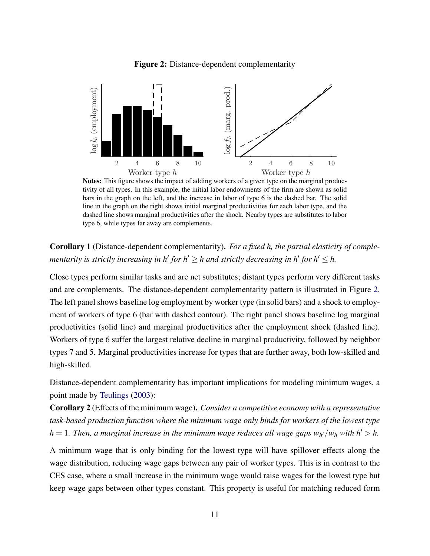<span id="page-11-0"></span>

Figure 2: Distance-dependent complementarity

Notes: This figure shows the impact of adding workers of a given type on the marginal productivity of all types. In this example, the initial labor endowments of the firm are shown as solid bars in the graph on the left, and the increase in labor of type 6 is the dashed bar. The solid line in the graph on the right shows initial marginal productivities for each labor type, and the dashed line shows marginal productivities after the shock. Nearby types are substitutes to labor type 6, while types far away are complements.

# Corollary 1 (Distance-dependent complementarity). *For a fixed h, the partial elasticity of complementarity is strictly increasing in h' for h'*  $\geq$  *h and strictly decreasing in h' for h'*  $\leq$  *h*.

Close types perform similar tasks and are net substitutes; distant types perform very different tasks and are complements. The distance-dependent complementarity pattern is illustrated in Figure [2.](#page-11-0) The left panel shows baseline log employment by worker type (in solid bars) and a shock to employment of workers of type 6 (bar with dashed contour). The right panel shows baseline log marginal productivities (solid line) and marginal productivities after the employment shock (dashed line). Workers of type 6 suffer the largest relative decline in marginal productivity, followed by neighbor types 7 and 5. Marginal productivities increase for types that are further away, both low-skilled and high-skilled.

Distance-dependent complementarity has important implications for modeling minimum wages, a point made by [Teulings](#page-50-4) [\(2003\)](#page-50-4):

Corollary 2 (Effects of the minimum wage). *Consider a competitive economy with a representative task-based production function where the minimum wage only binds for workers of the lowest type*  $h = 1$ . Then, a marginal increase in the minimum wage reduces all wage gaps  $w_{h'}/w_h$  with  $h' > h$ .

A minimum wage that is only binding for the lowest type will have spillover effects along the wage distribution, reducing wage gaps between any pair of worker types. This is in contrast to the CES case, where a small increase in the minimum wage would raise wages for the lowest type but keep wage gaps between other types constant. This property is useful for matching reduced form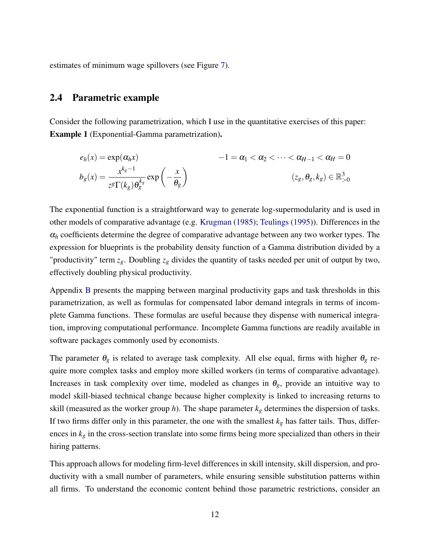estimates of minimum wage spillovers (see Figure [7\)](#page-39-0).

## <span id="page-12-0"></span>2.4 Parametric example

Consider the following parametrization, which I use in the quantitative exercises of this paper: Example 1 (Exponential-Gamma parametrization).

$$
e_h(x) = \exp(\alpha_h x) \qquad -1 = \alpha_1 < \alpha_2 < \dots < \alpha_{H-1} < \alpha_H = 0
$$
\n
$$
b_g(x) = \frac{x^{k_g - 1}}{z^g \Gamma(k_g) \theta_g^{k_g}} \exp\left(-\frac{x}{\theta_g}\right) \qquad (z_g, \theta_g, k_g) \in \mathbb{R}_{>0}^3
$$

The exponential function is a straightforward way to generate log-supermodularity and is used in other models of comparative advantage (e.g. [Krugman](#page-49-5) [\(1985\)](#page-49-5); [Teulings](#page-50-11) [\(1995\)](#page-50-11)). Differences in the  $\alpha_h$  coefficients determine the degree of comparative advantage between any two worker types. The expression for blueprints is the probability density function of a Gamma distribution divided by a "productivity" term *zg*. Doubling *z<sup>g</sup>* divides the quantity of tasks needed per unit of output by two, effectively doubling physical productivity.

Appendix [B](#page-62-0) presents the mapping between marginal productivity gaps and task thresholds in this parametrization, as well as formulas for compensated labor demand integrals in terms of incomplete Gamma functions. These formulas are useful because they dispense with numerical integration, improving computational performance. Incomplete Gamma functions are readily available in software packages commonly used by economists.

The parameter  $\theta_g$  is related to average task complexity. All else equal, firms with higher  $\theta_g$  require more complex tasks and employ more skilled workers (in terms of comparative advantage). Increases in task complexity over time, modeled as changes in  $\theta_g$ , provide an intuitive way to model skill-biased technical change because higher complexity is linked to increasing returns to skill (measured as the worker group *h*). The shape parameter  $k_g$  determines the dispersion of tasks. If two firms differ only in this parameter, the one with the smallest  $k_g$  has fatter tails. Thus, differences in *k<sup>g</sup>* in the cross-section translate into some firms being more specialized than others in their hiring patterns.

This approach allows for modeling firm-level differences in skill intensity, skill dispersion, and productivity with a small number of parameters, while ensuring sensible substitution patterns within all firms. To understand the economic content behind those parametric restrictions, consider an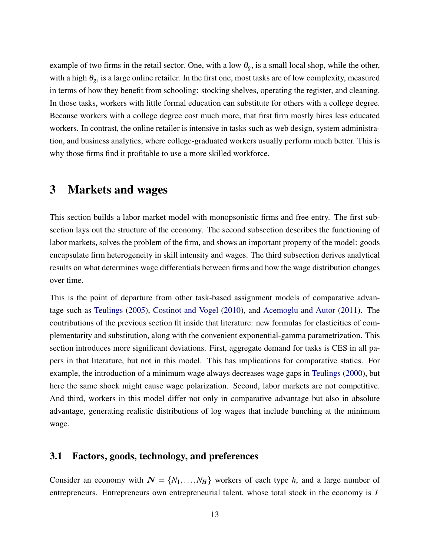example of two firms in the retail sector. One, with a low  $\theta_g$ , is a small local shop, while the other, with a high  $\theta_g$ , is a large online retailer. In the first one, most tasks are of low complexity, measured in terms of how they benefit from schooling: stocking shelves, operating the register, and cleaning. In those tasks, workers with little formal education can substitute for others with a college degree. Because workers with a college degree cost much more, that first firm mostly hires less educated workers. In contrast, the online retailer is intensive in tasks such as web design, system administration, and business analytics, where college-graduated workers usually perform much better. This is why those firms find it profitable to use a more skilled workforce.

# 3 Markets and wages

This section builds a labor market model with monopsonistic firms and free entry. The first subsection lays out the structure of the economy. The second subsection describes the functioning of labor markets, solves the problem of the firm, and shows an important property of the model: goods encapsulate firm heterogeneity in skill intensity and wages. The third subsection derives analytical results on what determines wage differentials between firms and how the wage distribution changes over time.

This is the point of departure from other task-based assignment models of comparative advantage such as [Teulings](#page-50-10) [\(2005\)](#page-50-10), [Costinot and Vogel](#page-48-1) [\(2010\)](#page-48-1), and [Acemoglu and Autor](#page-46-2) [\(2011\)](#page-46-2). The contributions of the previous section fit inside that literature: new formulas for elasticities of complementarity and substitution, along with the convenient exponential-gamma parametrization. This section introduces more significant deviations. First, aggregate demand for tasks is CES in all papers in that literature, but not in this model. This has implications for comparative statics. For example, the introduction of a minimum wage always decreases wage gaps in [Teulings](#page-50-3) [\(2000\)](#page-50-3), but here the same shock might cause wage polarization. Second, labor markets are not competitive. And third, workers in this model differ not only in comparative advantage but also in absolute advantage, generating realistic distributions of log wages that include bunching at the minimum wage.

### 3.1 Factors, goods, technology, and preferences

Consider an economy with  $N = \{N_1, \ldots, N_H\}$  workers of each type *h*, and a large number of entrepreneurs. Entrepreneurs own entrepreneurial talent, whose total stock in the economy is *T*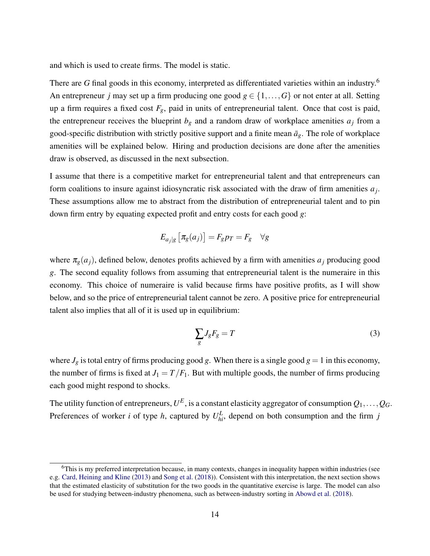and which is used to create firms. The model is static.

There are G final goods in this economy, interpreted as differentiated varieties within an industry.<sup>6</sup> An entrepreneur *j* may set up a firm producing one good  $g \in \{1, ..., G\}$  or not enter at all. Setting up a firm requires a fixed cost  $F_g$ , paid in units of entrepreneurial talent. Once that cost is paid, the entrepreneur receives the blueprint  $b<sub>g</sub>$  and a random draw of workplace amenities  $a<sub>j</sub>$  from a good-specific distribution with strictly positive support and a finite mean  $\bar{a}_g$ . The role of workplace amenities will be explained below. Hiring and production decisions are done after the amenities draw is observed, as discussed in the next subsection.

I assume that there is a competitive market for entrepreneurial talent and that entrepreneurs can form coalitions to insure against idiosyncratic risk associated with the draw of firm amenities *a<sup>j</sup>* . These assumptions allow me to abstract from the distribution of entrepreneurial talent and to pin down firm entry by equating expected profit and entry costs for each good *g*:

$$
E_{a_j|g}\left[\pi_g(a_j)\right] = F_g p_T = F_g \quad \forall g
$$

where  $\pi_g(a_j)$ , defined below, denotes profits achieved by a firm with amenities  $a_j$  producing good *g*. The second equality follows from assuming that entrepreneurial talent is the numeraire in this economy. This choice of numeraire is valid because firms have positive profits, as I will show below, and so the price of entrepreneurial talent cannot be zero. A positive price for entrepreneurial talent also implies that all of it is used up in equilibrium:

<span id="page-14-0"></span>
$$
\sum_{g} J_g F_g = T \tag{3}
$$

where  $J_g$  is total entry of firms producing good g. When there is a single good  $g = 1$  in this economy, the number of firms is fixed at  $J_1 = T/F_1$ . But with multiple goods, the number of firms producing each good might respond to shocks.

The utility function of entrepreneurs,  $U^E$  , is a constant elasticity aggregator of consumption  $Q_1,\ldots,Q_G$ . Preferences of worker *i* of type *h*, captured by  $U_{hi}^L$ , depend on both consumption and the firm *j* 

 $6$ This is my preferred interpretation because, in many contexts, changes in inequality happen within industries (see e.g. [Card, Heining and Kline](#page-47-5) [\(2013\)](#page-47-5) and [Song et al.](#page-50-2) [\(2018\)](#page-50-2)). Consistent with this interpretation, the next section shows that the estimated elasticity of substitution for the two goods in the quantitative exercise is large. The model can also be used for studying between-industry phenomena, such as between-industry sorting in [Abowd et al.](#page-46-7) [\(2018\)](#page-46-7).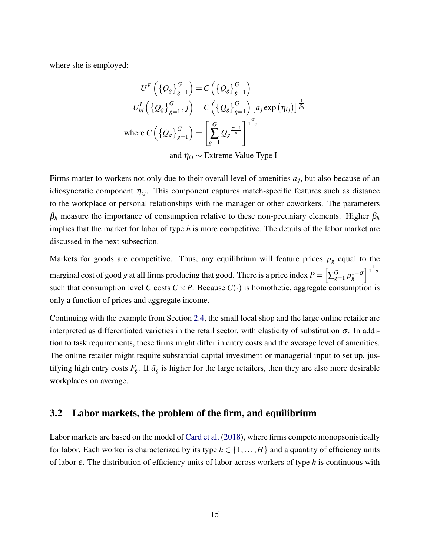where she is employed:

$$
U^{E}\left(\left\{Q_{g}\right\}_{g=1}^{G}\right) = C\left(\left\{Q_{g}\right\}_{g=1}^{G}\right)
$$

$$
U_{hi}^{L}\left(\left\{Q_{g}\right\}_{g=1}^{G}, j\right) = C\left(\left\{Q_{g}\right\}_{g=1}^{G}\right)\left[a_{j}\exp\left(\eta_{ij}\right)\right]^{\frac{1}{\beta_{h}}}
$$

$$
\text{where } C\left(\left\{Q_{g}\right\}_{g=1}^{G}\right) = \left[\sum_{g=1}^{G} Q_{g}^{\frac{\sigma-1}{\sigma}}\right]^{\frac{\sigma}{1-\sigma}}
$$

and  $\eta_{ij}$  ∼ Extreme Value Type I

Firms matter to workers not only due to their overall level of amenities  $a_j$ , but also because of an idiosyncratic component  $\eta_{ij}$ . This component captures match-specific features such as distance to the workplace or personal relationships with the manager or other coworkers. The parameters  $\beta_h$  measure the importance of consumption relative to these non-pecuniary elements. Higher  $\beta_h$ implies that the market for labor of type *h* is more competitive. The details of the labor market are discussed in the next subsection.

Markets for goods are competitive. Thus, any equilibrium will feature prices  $p<sub>g</sub>$  equal to the marginal cost of good *g* at all firms producing that good. There is a price index  $P = \left[\sum_{g \in G}$  $\int_{g=1}^{G} p_g^{1-\sigma} \left| \frac{1}{1-\sigma} \right|$ such that consumption level *C* costs  $C \times P$ . Because  $C(\cdot)$  is homothetic, aggregate consumption is only a function of prices and aggregate income.

Continuing with the example from Section [2.4,](#page-12-0) the small local shop and the large online retailer are interpreted as differentiated varieties in the retail sector, with elasticity of substitution  $\sigma$ . In addition to task requirements, these firms might differ in entry costs and the average level of amenities. The online retailer might require substantial capital investment or managerial input to set up, justifying high entry costs  $F_g$ . If  $\bar{a}_g$  is higher for the large retailers, then they are also more desirable workplaces on average.

### 3.2 Labor markets, the problem of the firm, and equilibrium

Labor markets are based on the model of [Card et al.](#page-47-4) [\(2018\)](#page-47-4), where firms compete monopsonistically for labor. Each worker is characterized by its type  $h \in \{1, ..., H\}$  and a quantity of efficiency units of labor ε. The distribution of efficiency units of labor across workers of type *h* is continuous with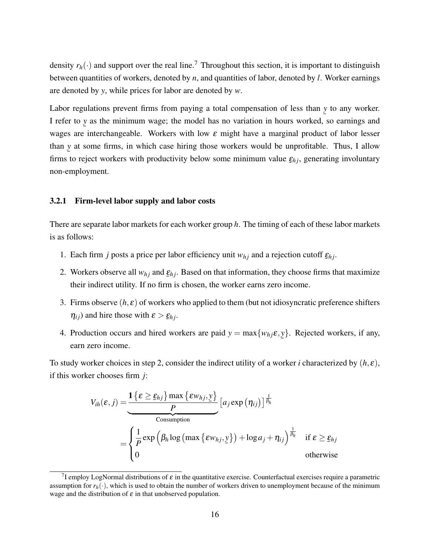density  $r_h(\cdot)$  and support over the real line.<sup>7</sup> Throughout this section, it is important to distinguish between quantities of workers, denoted by *n*, and quantities of labor, denoted by *l*. Worker earnings are denoted by *y*, while prices for labor are denoted by *w*.

Labor regulations prevent firms from paying a total compensation of less than *y* to any worker. I refer to *y* as the minimum wage; the model has no variation in hours worked, so earnings and wages are interchangeable. Workers with low  $\varepsilon$  might have a marginal product of labor lesser than *y* at some firms, in which case hiring those workers would be unprofitable. Thus, I allow ¯ firms to reject workers with productivity below some minimum value  $\underline{\varepsilon}_{hj}$ , generating involuntary non-employment.

### 3.2.1 Firm-level labor supply and labor costs

There are separate labor markets for each worker group *h*. The timing of each of these labor markets is as follows:

- 1. Each firm *j* posts a price per labor efficiency unit  $w_{hj}$  and a rejection cutoff  $\underline{\varepsilon}_{hj}$ .
- 2. Workers observe all  $w_{hj}$  and  $\underline{\varepsilon}_{hj}$ . Based on that information, they choose firms that maximize their indirect utility. If no firm is chosen, the worker earns zero income.
- 3. Firms observe  $(h, \varepsilon)$  of workers who applied to them (but not idiosyncratic preference shifters  $\eta_{ij}$ ) and hire those with  $\varepsilon > \underline{\varepsilon}_{hj}$ .
- 4. Production occurs and hired workers are paid  $y = max{w_{hj} \varepsilon, y}$ . Rejected workers, if any, ¯ earn zero income.

To study worker choices in step 2, consider the indirect utility of a worker *i* characterized by (*h*, ε), if this worker chooses firm *j*:

$$
V_{ih}(\varepsilon, j) = \frac{\mathbf{1}\left\{\varepsilon \geq \underline{\varepsilon}_{hj}\right\} \max \left\{\varepsilon w_{hj}, \underline{y}\right\}}{\text{Consumption}}
$$
\n
$$
= \begin{cases} \frac{1}{P} \exp\left(\beta_h \log\left(\max \left\{\varepsilon w_{hj}, \underline{y}\right\}\right) + \log a_j + \eta_{ij}\right)^{\frac{1}{\beta_h}} & \text{if } \varepsilon \geq \underline{\varepsilon}_{hj} \\ 0 & \text{otherwise} \end{cases}
$$

<sup>&</sup>lt;sup>7</sup>I employ LogNormal distributions of  $\varepsilon$  in the quantitative exercise. Counterfactual exercises require a parametric assumption for  $r_h(\cdot)$ , which is used to obtain the number of workers driven to unemployment because of the minimum wage and the distribution of  $\varepsilon$  in that unobserved population.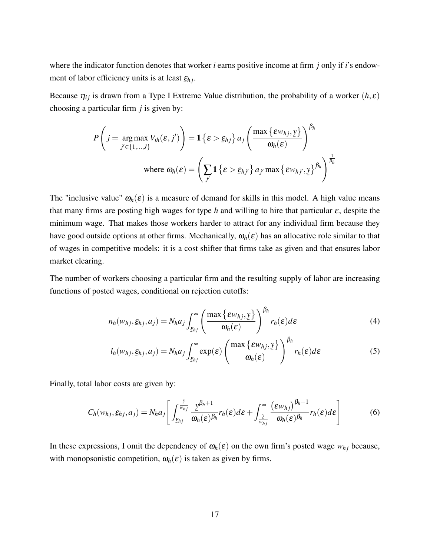where the indicator function denotes that worker *i* earns positive income at firm *j* only if *i*'s endowment of labor efficiency units is at least ¯ ε*h j*.

Because  $\eta_{ij}$  is drawn from a Type I Extreme Value distribution, the probability of a worker  $(h, \varepsilon)$ choosing a particular firm *j* is given by:

$$
P\left(j = \underset{j' \in \{1, \ldots, J\}}{\arg \max} V_{ih}(\varepsilon, j')\right) = \mathbf{1} \left\{\varepsilon > \underline{\varepsilon}_{hj}\right\} a_j \left(\frac{\max \left\{\varepsilon w_{hj}, \underline{y}\right\}}{\omega_h(\varepsilon)}\right)^{\beta_h}
$$
  
where  $\omega_h(\varepsilon) = \left(\sum_{j'} \mathbf{1} \left\{\varepsilon > \underline{\varepsilon}_{hj'}\right\} a_{j'} \max \left\{\varepsilon w_{hj'}, \underline{y}\right\}^{\beta_h}\right)^{\frac{1}{\beta_h}}$ 

The "inclusive value"  $\omega_h(\varepsilon)$  is a measure of demand for skills in this model. A high value means that many firms are posting high wages for type *h* and willing to hire that particular  $\varepsilon$ , despite the minimum wage. That makes those workers harder to attract for any individual firm because they have good outside options at other firms. Mechanically,  $\omega_h(\varepsilon)$  has an allocative role similar to that of wages in competitive models: it is a cost shifter that firms take as given and that ensures labor market clearing.

The number of workers choosing a particular firm and the resulting supply of labor are increasing functions of posted wages, conditional on rejection cutoffs:

<span id="page-17-0"></span>
$$
n_h(w_{hj}, \underline{\varepsilon}_{hj}, a_j) = N_h a_j \int_{\underline{\varepsilon}_{hj}}^{\infty} \left( \frac{\max \{ \varepsilon w_{hj}, y \}}{\omega_h(\varepsilon)} \right)^{\beta_h} r_h(\varepsilon) d\varepsilon \tag{4}
$$

<span id="page-17-2"></span><span id="page-17-1"></span>
$$
l_h(w_{hj}, \underline{\varepsilon}_{hj}, a_j) = N_h a_j \int_{\underline{\varepsilon}_{hj}}^{\infty} \exp(\varepsilon) \left( \frac{\max \{ \varepsilon w_{hj}, y \}}{\omega_h(\varepsilon)} \right)^{\beta_h} r_h(\varepsilon) d\varepsilon \tag{5}
$$

Finally, total labor costs are given by:

$$
C_h(w_{hj}, \underline{\varepsilon}_{hj}, a_j) = N_h a_j \left[ \int_{\underline{\varepsilon}_{hj}}^{\frac{y}{w_{hj}}} \frac{y^{\beta_h + 1}}{\omega_h(\varepsilon)^{\beta_h}} r_h(\varepsilon) d\varepsilon + \int_{\frac{y}{w_{hj}}}^{\infty} \frac{(\varepsilon w_{hj})^{\beta_h + 1}}{\omega_h(\varepsilon)^{\beta_h}} r_h(\varepsilon) d\varepsilon \right]
$$
(6)

In these expressions, I omit the dependency of  $\omega_h(\varepsilon)$  on the own firm's posted wage  $w_{hi}$  because, with monopsonistic competition,  $\omega_h(\varepsilon)$  is taken as given by firms.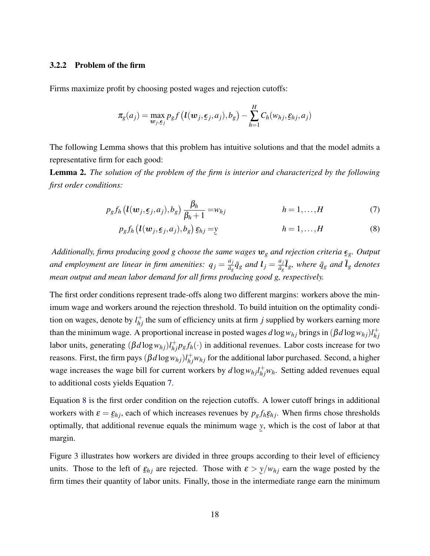### 3.2.2 Problem of the firm

Firms maximize profit by choosing posted wages and rejection cutoffs:

$$
\pi_g(a_j) = \max_{\mathbf{w}_j, \mathbf{\varepsilon}_j} p_g f\left(\mathbf{l}(\mathbf{w}_j, \mathbf{\varepsilon}_j, a_j), b_g\right) - \sum_{h=1}^H C_h(w_{hj}, \mathbf{\varepsilon}_{hj}, a_j)
$$

The following Lemma shows that this problem has intuitive solutions and that the model admits a representative firm for each good:

Lemma 2. *The solution of the problem of the firm is interior and characterized by the following first order conditions:*

$$
p_g f_h \left( \mathbf{l}(\mathbf{w}_j, \boldsymbol{\epsilon}_j, a_j), b_g \right) \frac{\beta_h}{\beta_h + 1} = w_{hj} \qquad \qquad h = 1, \dots, H \qquad (7)
$$

<span id="page-18-1"></span><span id="page-18-0"></span>
$$
p_g f_h \left( \mathbf{l}(\mathbf{w}_j, \boldsymbol{\epsilon}_j, a_j), b_g \right) \underline{\mathbf{\epsilon}}_{hj} = \underline{\mathbf{y}} \qquad \qquad h = 1, \dots, H \qquad (8)
$$

*Additionally, firms producing good g choose the same wages* w*<sup>g</sup> and rejection criteria g. Output* ¯ and employment are linear in firm amenities:  $q_j = \frac{a_j}{\bar{a}_j}$  $\frac{a_j}{\bar{a}_g} \bar{q}_g$  and  $l_j = \frac{a_j}{\bar{a}_g}$  $\frac{a_j}{\bar{a}_g} \bar{\bm{l}}_g$ *, where*  $\bar{q}_g$  *and*  $\bar{\bm{l}}_g$  *denotes mean output and mean labor demand for all firms producing good g, respectively.*

The first order conditions represent trade-offs along two different margins: workers above the minimum wage and workers around the rejection threshold. To build intuition on the optimality condition on wages, denote by  $l_{hj}^{+}$  the sum of efficiency units at firm *j* supplied by workers earning more than the minimum wage. A proportional increase in posted wages  $d \log w_{hj}$  brings in  $(\beta d \log w_{hj})l_{hi}^+$ *h j* labor units, generating  $(\beta d \log w_{hj}) l_{hj}^+ p_g f_h(\cdot)$  in additional revenues. Labor costs increase for two reasons. First, the firm pays  $(\beta d \log w_{hj}) l_{hj}^+ w_{hj}$  for the additional labor purchased. Second, a higher wage increases the wage bill for current workers by  $d \log w_{hj} l_{hj}^{+} w_h$ . Setting added revenues equal to additional costs yields Equation [7.](#page-18-0)

Equation [8](#page-18-1) is the first order condition on the rejection cutoffs. A lower cutoff brings in additional workers with  $\varepsilon = \varepsilon_{hj}$ , each of which increases revenues by  $p_g f_h \varepsilon_{hj}$ . When firms chose thresholds optimally, that additional revenue equals the minimum wage *y*, which is the cost of labor at that ¯ margin.

Figure [3](#page-19-0) illustrates how workers are divided in three groups according to their level of efficiency units. Those to the left of  $\underline{\varepsilon}_{hj}$  are rejected. Those with  $\varepsilon > y/w_{hj}$  earn the wage posted by the firm times their quantity of labor units. Finally, those in the intermediate range earn the minimum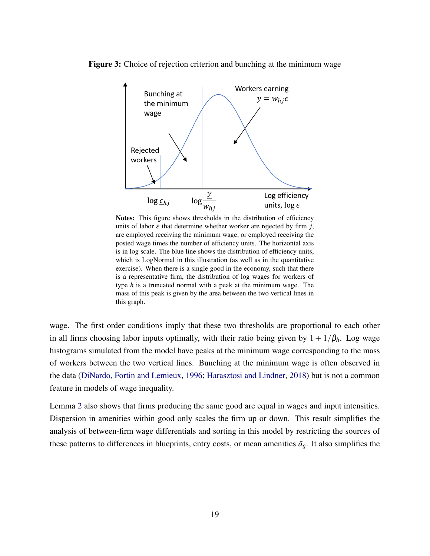<span id="page-19-0"></span>



Notes: This figure shows thresholds in the distribution of efficiency units of labor  $\varepsilon$  that determine whether worker are rejected by firm *j*, are employed receiving the minimum wage, or employed receiving the posted wage times the number of efficiency units. The horizontal axis is in log scale. The blue line shows the distribution of efficiency units, which is LogNormal in this illustration (as well as in the quantitative exercise). When there is a single good in the economy, such that there is a representative firm, the distribution of log wages for workers of type *h* is a truncated normal with a peak at the minimum wage. The mass of this peak is given by the area between the two vertical lines in this graph.

wage. The first order conditions imply that these two thresholds are proportional to each other in all firms choosing labor inputs optimally, with their ratio being given by  $1 + 1/\beta_h$ . Log wage histograms simulated from the model have peaks at the minimum wage corresponding to the mass of workers between the two vertical lines. Bunching at the minimum wage is often observed in the data [\(DiNardo, Fortin and Lemieux,](#page-48-0) [1996;](#page-48-0) [Harasztosi and Lindner,](#page-49-6) [2018\)](#page-49-6) but is not a common feature in models of wage inequality.

Lemma [2](#page-18-1) also shows that firms producing the same good are equal in wages and input intensities. Dispersion in amenities within good only scales the firm up or down. This result simplifies the analysis of between-firm wage differentials and sorting in this model by restricting the sources of these patterns to differences in blueprints, entry costs, or mean amenities  $\bar{a}_g$ . It also simplifies the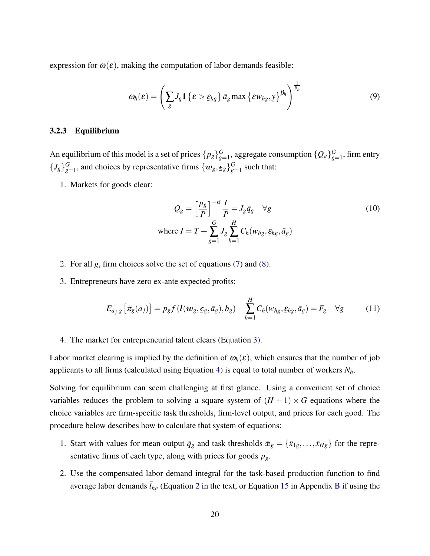expression for  $\omega(\varepsilon)$ , making the computation of labor demands feasible:

<span id="page-20-0"></span>
$$
\omega_h(\varepsilon) = \left(\sum_g J_g \mathbf{1}\left\{\varepsilon > \underline{\varepsilon}_{hg}\right\} \bar{a}_g \max\left\{\varepsilon w_{hg}, \underline{y}\right\}^{\beta_h}\right)^{\frac{1}{\beta_h}}
$$
(9)

### 3.2.3 Equilibrium

An equilibrium of this model is a set of prices  $\{p_g\}_{g}^G$  $_{g=1}^G$ , aggregate consumption  $\{\mathcal{Q}_g\}_{g=1}^G$  $g_{=1}^G$ , firm entry  $\{J_g\}_{g=0}^G$  $G_{g=1}$ , and choices by representative firms  $\{w_g, \underline{\epsilon}_g\}_{g=1}^G$  $g=1$  such that:

1. Markets for goods clear:

$$
Q_g = \left[\frac{p_g}{P}\right]^{-\sigma} \frac{I}{P} = J_g \bar{q}_g \quad \forall g
$$
  
where  $I = T + \sum_{g=1}^{G} J_g \sum_{h=1}^{H} C_h(w_{hg}, \xi_{hg}, \bar{a}_g)$  (10)

- 2. For all *g*, firm choices solve the set of equations [\(7\)](#page-18-0) and [\(8\)](#page-18-1).
- 3. Entrepreneurs have zero ex-ante expected profits:

<span id="page-20-1"></span>
$$
E_{a_j|g}\left[\pi_g(a_j)\right] = p_g f\left(\mathbf{l}(\mathbf{w}_g, \boldsymbol{\epsilon}_g, \bar{a}_g), b_g\right) - \sum_{h=1}^H C_h(w_{hg}, \boldsymbol{\epsilon}_{hg}, \bar{a}_g) = F_g \quad \forall g \tag{11}
$$

### 4. The market for entrepreneurial talent clears (Equation [3\)](#page-14-0).

Labor market clearing is implied by the definition of  $\omega_h(\varepsilon)$ , which ensures that the number of job applicants to all firms (calculated using Equation [4\)](#page-17-0) is equal to total number of workers *Nh*.

Solving for equilibrium can seem challenging at first glance. Using a convenient set of choice variables reduces the problem to solving a square system of  $(H + 1) \times G$  equations where the choice variables are firm-specific task thresholds, firm-level output, and prices for each good. The procedure below describes how to calculate that system of equations:

- 1. Start with values for mean output  $\bar{q}_g$  and task thresholds  $\bar{x}_g = {\bar{x}_{1g}, \dots, \bar{x}_{Hg}}$  for the representative firms of each type, along with prices for goods *pg*.
- 2. Use the compensated labor demand integral for the task-based production function to find average labor demands  $\bar{l}_{hg}$  (Equation [2](#page-8-0) in the text, or Equation [15](#page-63-0) in Appendix [B](#page-62-0) if using the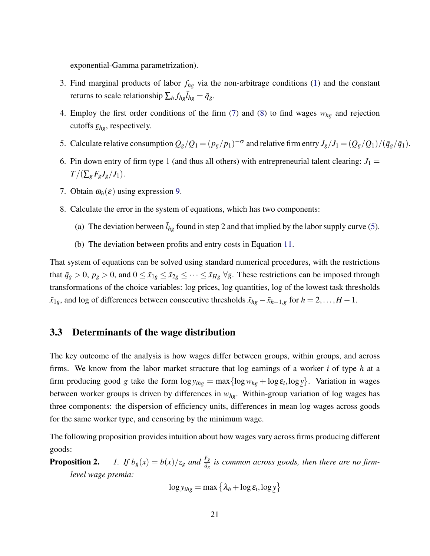exponential-Gamma parametrization).

- 3. Find marginal products of labor *fhg* via the non-arbitrage conditions [\(1\)](#page-7-0) and the constant returns to scale relationship  $\sum_{h} f_{hg} \overline{I}_{hg} = \overline{q}_g$ .
- 4. Employ the first order conditions of the firm  $(7)$  and  $(8)$  to find wages  $w_{hg}$  and rejection cutoffs  $\underline{\varepsilon}_{hg}$ , respectively.
- 5. Calculate relative consumption  $Q_g/Q_1 = (p_g/p_1)^{-\sigma}$  and relative firm entry  $J_g/J_1 = (Q_g/Q_1)/(\bar{q}_g/\bar{q}_1)$ .
- 6. Pin down entry of firm type 1 (and thus all others) with entrepreneurial talent clearing:  $J_1 =$  $T/(\sum_{g} F_{g} J_{g}/J_{1}).$
- 7. Obtain  $\omega_h(\varepsilon)$  using expression [9.](#page-20-0)
- 8. Calculate the error in the system of equations, which has two components:
	- (a) The deviation between  $\bar{l}_{hg}$  found in step 2 and that implied by the labor supply curve [\(5\)](#page-17-1).
	- (b) The deviation between profits and entry costs in Equation [11.](#page-20-1)

That system of equations can be solved using standard numerical procedures, with the restrictions that  $\bar{q}_g > 0$ ,  $p_g > 0$ , and  $0 \le \bar{x}_{1g} \le \bar{x}_{2g} \le \cdots \le \bar{x}_{Hg} \ \forall g$ . These restrictions can be imposed through transformations of the choice variables: log prices, log quantities, log of the lowest task thresholds  $\bar{x}_{1g}$ , and log of differences between consecutive thresholds  $\bar{x}_{hg} - \bar{x}_{h-1,g}$  for  $h = 2, \ldots, H-1$ .

### 3.3 Determinants of the wage distribution

The key outcome of the analysis is how wages differ between groups, within groups, and across firms. We know from the labor market structure that log earnings of a worker *i* of type *h* at a firm producing good *g* take the form  $\log y_{ihg} = \max\{\log w_{hg} + \log \varepsilon_i, \log y\}$ . Variation in wages between worker groups is driven by differences in  $w_{hg}$ . Within-group variation of log wages has three components: the dispersion of efficiency units, differences in mean log wages across goods for the same worker type, and censoring by the minimum wage.

The following proposition provides intuition about how wages vary across firms producing different goods:

**Proposition 2.** *1. If*  $b_g(x) = b(x)/z_g$  *and*  $\frac{F_g}{\bar{a}_g}$  *is common across goods, then there are no firmlevel wage premia:*

$$
\log y_{ihg} = \max \left\{ \lambda_h + \log \varepsilon_i, \log \underline{y} \right\}
$$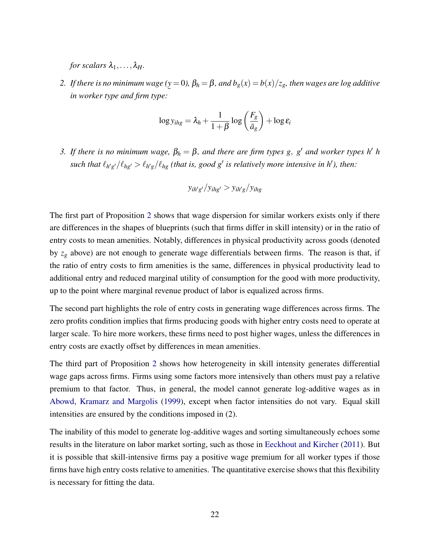*for scalars*  $\lambda_1, \ldots, \lambda_H$ .

*2. If there is no minimum wage (* ¯ *y* = 0*),* β*<sup>h</sup>* = β*, and bg*(*x*) = *b*(*x*)/*zg, then wages are log additive in worker type and firm type:*

$$
\log y_{ihg} = \lambda_h + \frac{1}{1+\beta} \log \left(\frac{F_g}{\bar{a}_g}\right) + \log \varepsilon_i
$$

*3. If there is no minimum wage,*  $\beta_h = \beta$ , and there are firm types g, g' and worker types h' h such that  $\ell_{h'g'} / \ell_{hg'} > \ell_{h'g} / \ell_{hg}$  (that is, good g<sup>'</sup> is relatively more intensive in h'), then:

$$
y_{ih'g'}/y_{ihg'} > y_{ih'g}/y_{ihg}
$$

The first part of Proposition [2](#page-0-0) shows that wage dispersion for similar workers exists only if there are differences in the shapes of blueprints (such that firms differ in skill intensity) or in the ratio of entry costs to mean amenities. Notably, differences in physical productivity across goods (denoted by *z<sup>g</sup>* above) are not enough to generate wage differentials between firms. The reason is that, if the ratio of entry costs to firm amenities is the same, differences in physical productivity lead to additional entry and reduced marginal utility of consumption for the good with more productivity, up to the point where marginal revenue product of labor is equalized across firms.

The second part highlights the role of entry costs in generating wage differences across firms. The zero profits condition implies that firms producing goods with higher entry costs need to operate at larger scale. To hire more workers, these firms need to post higher wages, unless the differences in entry costs are exactly offset by differences in mean amenities.

The third part of Proposition [2](#page-0-0) shows how heterogeneity in skill intensity generates differential wage gaps across firms. Firms using some factors more intensively than others must pay a relative premium to that factor. Thus, in general, the model cannot generate log-additive wages as in [Abowd, Kramarz and Margolis](#page-46-4) [\(1999\)](#page-46-4), except when factor intensities do not vary. Equal skill intensities are ensured by the conditions imposed in (2).

The inability of this model to generate log-additive wages and sorting simultaneously echoes some results in the literature on labor market sorting, such as those in [Eeckhout and Kircher](#page-48-2) [\(2011\)](#page-48-2). But it is possible that skill-intensive firms pay a positive wage premium for all worker types if those firms have high entry costs relative to amenities. The quantitative exercise shows that this flexibility is necessary for fitting the data.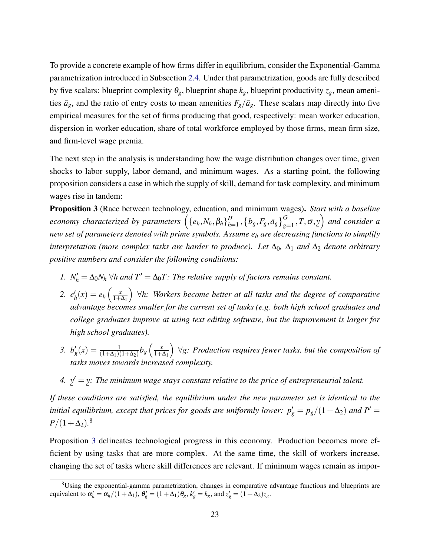To provide a concrete example of how firms differ in equilibrium, consider the Exponential-Gamma parametrization introduced in Subsection [2.4.](#page-12-0) Under that parametrization, goods are fully described by five scalars: blueprint complexity  $\theta_g$ , blueprint shape  $k_g$ , blueprint productivity  $z_g$ , mean amenities  $\bar{a}_g$ , and the ratio of entry costs to mean amenities  $F_g/\bar{a}_g$ . These scalars map directly into five empirical measures for the set of firms producing that good, respectively: mean worker education, dispersion in worker education, share of total workforce employed by those firms, mean firm size, and firm-level wage premia.

The next step in the analysis is understanding how the wage distribution changes over time, given shocks to labor supply, labor demand, and minimum wages. As a starting point, the following proposition considers a case in which the supply of skill, demand for task complexity, and minimum wages rise in tandem:

<span id="page-23-0"></span>Proposition 3 (Race between technology, education, and minimum wages). *Start with a baseline*  $e$ conomy characterized by parameters  $\left( \{e_h, N_h, \beta_h \}_{h=1}^H \right)$  $\left\{ \theta_{k+1}, \left\{ b_{k}, F_{g}, \bar{a}_{g} \right\}_{g=1}^{G}, T, \sigma, \underline{y} \right\}$  and consider a new set of parameters denoted with prime symbols. Assume  $e_h$  are decreasing functions to simplify *interpretation (more complex tasks are harder to produce). Let*  $\Delta_0$ ,  $\Delta_1$  *and*  $\Delta_2$  *denote arbitrary positive numbers and consider the following conditions:*

- *1.*  $N'_h = \Delta_0 N_h \,\forall h$  and  $T' = \Delta_0 T$ : The relative supply of factors remains constant.
- 2.  $e'_{l}$  $\alpha_h'(x) = e_h\left(\frac{x}{1+x}\right)$  $1+\Delta_1$  ∀*h: Workers become better at all tasks and the degree of comparative advantage becomes smaller for the current set of tasks (e.g. both high school graduates and college graduates improve at using text editing software, but the improvement is larger for high school graduates).*
- *3.*  $b'_g(x) = \frac{1}{(1+\Delta_1)(1+\Delta_2)}b_g\left(\frac{x}{1+x}\right)$  $1+\Delta_1$  ∀*g: Production requires fewer tasks, but the composition of tasks moves towards increased complexity.*
- *4.* ¯  $y' =$ ¯ *y: The minimum wage stays constant relative to the price of entrepreneurial talent.*

*If these conditions are satisfied, the equilibrium under the new parameter set is identical to the initial equilibrium, except that prices for goods are uniformly lower:*  $p'_{g} = p_{g}/(1+\Delta_{2})$  and  $P' =$  $P/(1+\Delta_2).$ <sup>8</sup>

Proposition [3](#page-23-0) delineates technological progress in this economy. Production becomes more efficient by using tasks that are more complex. At the same time, the skill of workers increase, changing the set of tasks where skill differences are relevant. If minimum wages remain as impor-

<sup>&</sup>lt;sup>8</sup>Using the exponential-gamma parametrization, changes in comparative advantage functions and blueprints are equivalent to  $\alpha'_h = \alpha_h/(1+\Delta_1)$ ,  $\theta'_g = (1+\Delta_1)\theta_g$ ,  $k'_g = k_g$ , and  $z'_g = (1+\Delta_2)z_g$ .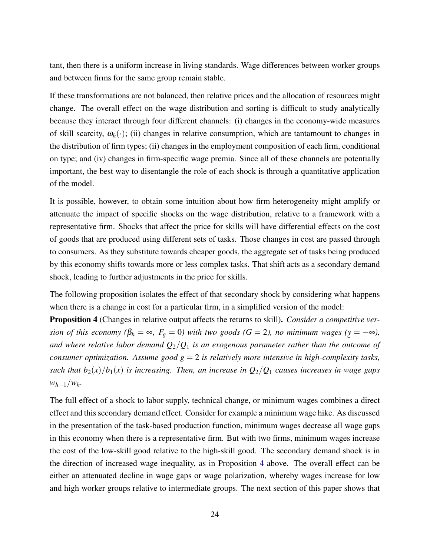tant, then there is a uniform increase in living standards. Wage differences between worker groups and between firms for the same group remain stable.

If these transformations are not balanced, then relative prices and the allocation of resources might change. The overall effect on the wage distribution and sorting is difficult to study analytically because they interact through four different channels: (i) changes in the economy-wide measures of skill scarcity,  $\omega_h(\cdot)$ ; (ii) changes in relative consumption, which are tantamount to changes in the distribution of firm types; (ii) changes in the employment composition of each firm, conditional on type; and (iv) changes in firm-specific wage premia. Since all of these channels are potentially important, the best way to disentangle the role of each shock is through a quantitative application of the model.

It is possible, however, to obtain some intuition about how firm heterogeneity might amplify or attenuate the impact of specific shocks on the wage distribution, relative to a framework with a representative firm. Shocks that affect the price for skills will have differential effects on the cost of goods that are produced using different sets of tasks. Those changes in cost are passed through to consumers. As they substitute towards cheaper goods, the aggregate set of tasks being produced by this economy shifts towards more or less complex tasks. That shift acts as a secondary demand shock, leading to further adjustments in the price for skills.

The following proposition isolates the effect of that secondary shock by considering what happens when there is a change in cost for a particular firm, in a simplified version of the model:

<span id="page-24-0"></span>Proposition 4 (Changes in relative output affects the returns to skill). *Consider a competitive version of this economy* ( $\beta_h = \infty$ ,  $F_g = 0$ ) with two goods ( $G = 2$ ), no minimum wages ( $y = -\infty$ ), and where relative labor demand  $Q_2/Q_1$  *is an exogenous parameter rather than the outcome of consumer optimization. Assume good*  $g = 2$  *is relatively more intensive in high-complexity tasks, such that*  $b_2(x)/b_1(x)$  *is increasing. Then, an increase in*  $Q_2/Q_1$  *causes increases in wage gaps*  $w_{h+1}/w_h$ 

The full effect of a shock to labor supply, technical change, or minimum wages combines a direct effect and this secondary demand effect. Consider for example a minimum wage hike. As discussed in the presentation of the task-based production function, minimum wages decrease all wage gaps in this economy when there is a representative firm. But with two firms, minimum wages increase the cost of the low-skill good relative to the high-skill good. The secondary demand shock is in the direction of increased wage inequality, as in Proposition [4](#page-24-0) above. The overall effect can be either an attenuated decline in wage gaps or wage polarization, whereby wages increase for low and high worker groups relative to intermediate groups. The next section of this paper shows that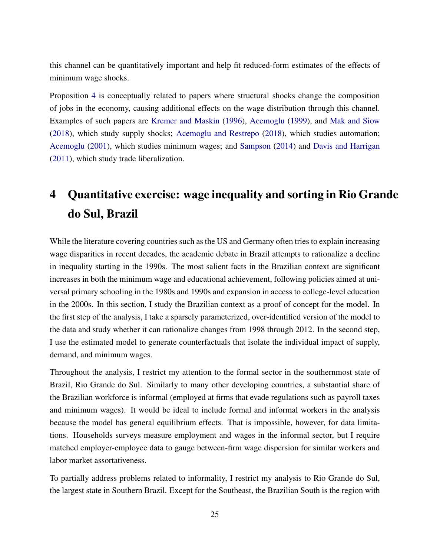this channel can be quantitatively important and help fit reduced-form estimates of the effects of minimum wage shocks.

Proposition [4](#page-24-0) is conceptually related to papers where structural shocks change the composition of jobs in the economy, causing additional effects on the wage distribution through this channel. Examples of such papers are [Kremer and Maskin](#page-49-7) [\(1996\)](#page-49-7), [Acemoglu](#page-46-8) [\(1999\)](#page-46-8), and [Mak and Siow](#page-50-12) [\(2018\)](#page-50-12), which study supply shocks; [Acemoglu and Restrepo](#page-46-9) [\(2018\)](#page-46-9), which studies automation; [Acemoglu](#page-46-10) [\(2001\)](#page-46-10), which studies minimum wages; and [Sampson](#page-50-13) [\(2014\)](#page-50-13) and [Davis and Harrigan](#page-48-8) [\(2011\)](#page-48-8), which study trade liberalization.

# 4 Quantitative exercise: wage inequality and sorting in Rio Grande do Sul, Brazil

While the literature covering countries such as the US and Germany often tries to explain increasing wage disparities in recent decades, the academic debate in Brazil attempts to rationalize a decline in inequality starting in the 1990s. The most salient facts in the Brazilian context are significant increases in both the minimum wage and educational achievement, following policies aimed at universal primary schooling in the 1980s and 1990s and expansion in access to college-level education in the 2000s. In this section, I study the Brazilian context as a proof of concept for the model. In the first step of the analysis, I take a sparsely parameterized, over-identified version of the model to the data and study whether it can rationalize changes from 1998 through 2012. In the second step, I use the estimated model to generate counterfactuals that isolate the individual impact of supply, demand, and minimum wages.

Throughout the analysis, I restrict my attention to the formal sector in the southernmost state of Brazil, Rio Grande do Sul. Similarly to many other developing countries, a substantial share of the Brazilian workforce is informal (employed at firms that evade regulations such as payroll taxes and minimum wages). It would be ideal to include formal and informal workers in the analysis because the model has general equilibrium effects. That is impossible, however, for data limitations. Households surveys measure employment and wages in the informal sector, but I require matched employer-employee data to gauge between-firm wage dispersion for similar workers and labor market assortativeness.

To partially address problems related to informality, I restrict my analysis to Rio Grande do Sul, the largest state in Southern Brazil. Except for the Southeast, the Brazilian South is the region with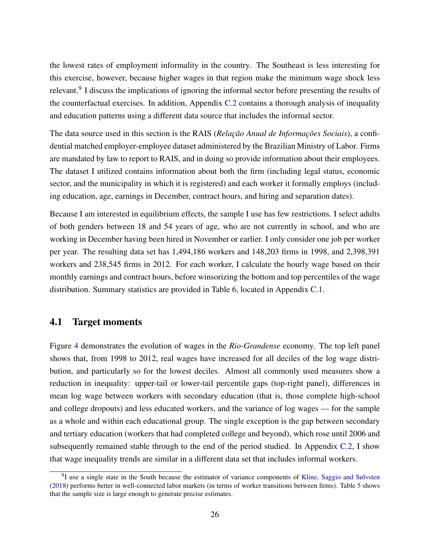the lowest rates of employment informality in the country. The Southeast is less interesting for this exercise, however, because higher wages in that region make the minimum wage shock less relevant.<sup>9</sup> I discuss the implications of ignoring the informal sector before presenting the results of the counterfactual exercises. In addition, Appendix [C.2](#page-64-0) contains a thorough analysis of inequality and education patterns using a different data source that includes the informal sector.

The data source used in this section is the RAIS (*Relação Anual de Informações Sociais*), a confidential matched employer-employee dataset administered by the Brazilian Ministry of Labor. Firms are mandated by law to report to RAIS, and in doing so provide information about their employees. The dataset I utilized contains information about both the firm (including legal status, economic sector, and the municipality in which it is registered) and each worker it formally employs (including education, age, earnings in December, contract hours, and hiring and separation dates).

Because I am interested in equilibrium effects, the sample I use has few restrictions. I select adults of both genders between 18 and 54 years of age, who are not currently in school, and who are working in December having been hired in November or earlier. I only consider one job per worker per year. The resulting data set has 1,494,186 workers and 148,203 firms in 1998, and 2,398,391 workers and 238,545 firms in 2012. For each worker, I calculate the hourly wage based on their monthly earnings and contract hours, before winsorizing the bottom and top percentiles of the wage distribution. Summary statistics are provided in Table [6,](#page-65-0) located in Appendix [C.1.](#page-64-1)

### <span id="page-26-0"></span>4.1 Target moments

Figure [4](#page-27-0) demonstrates the evolution of wages in the *Rio-Grandense* economy. The top left panel shows that, from 1998 to 2012, real wages have increased for all deciles of the log wage distribution, and particularly so for the lowest deciles. Almost all commonly used measures show a reduction in inequality: upper-tail or lower-tail percentile gaps (top-right panel), differences in mean log wage between workers with secondary education (that is, those complete high-school and college dropouts) and less educated workers, and the variance of log wages — for the sample as a whole and within each educational group. The single exception is the gap between secondary and tertiary education (workers that had completed college and beyond), which rose until 2006 and subsequently remained stable through to the end of the period studied. In Appendix [C.2,](#page-64-0) I show that wage inequality trends are similar in a different data set that includes informal workers.

<sup>&</sup>lt;sup>9</sup>I use a single state in the South because the estimator of variance components of [Kline, Saggio and Sølvsten](#page-49-2) [\(2018\)](#page-49-2) performs better in well-connected labor markets (in terms of worker transitions between firms). Table [5](#page-42-0) shows that the sample size is large enough to generate precise estimates.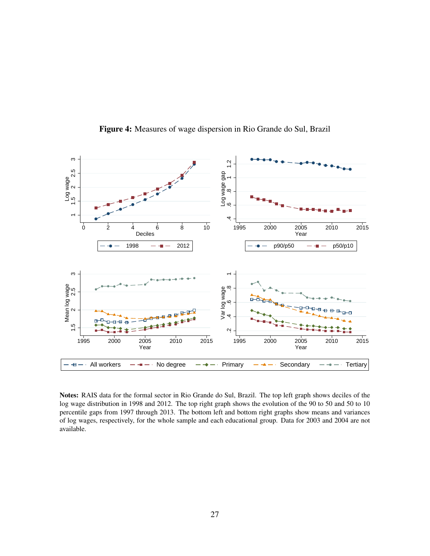<span id="page-27-0"></span>

Figure 4: Measures of wage dispersion in Rio Grande do Sul, Brazil

Notes: RAIS data for the formal sector in Rio Grande do Sul, Brazil. The top left graph shows deciles of the log wage distribution in 1998 and 2012. The top right graph shows the evolution of the 90 to 50 and 50 to 10 percentile gaps from 1997 through 2013. The bottom left and bottom right graphs show means and variances of log wages, respectively, for the whole sample and each educational group. Data for 2003 and 2004 are not available.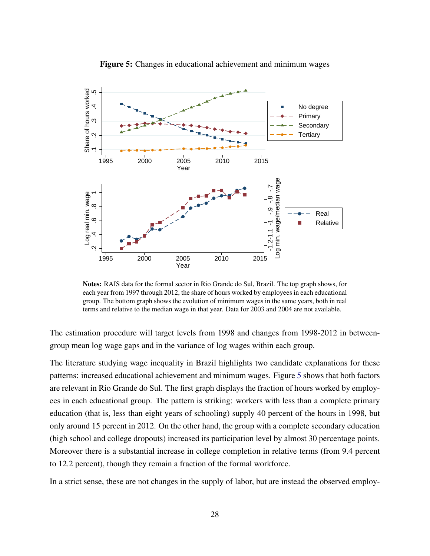<span id="page-28-0"></span>

Figure 5: Changes in educational achievement and minimum wages

Notes: RAIS data for the formal sector in Rio Grande do Sul, Brazil. The top graph shows, for each year from 1997 through 2012, the share of hours worked by employees in each educational group. The bottom graph shows the evolution of minimum wages in the same years, both in real terms and relative to the median wage in that year. Data for 2003 and 2004 are not available.

The estimation procedure will target levels from 1998 and changes from 1998-2012 in betweengroup mean log wage gaps and in the variance of log wages within each group.

The literature studying wage inequality in Brazil highlights two candidate explanations for these patterns: increased educational achievement and minimum wages. Figure [5](#page-28-0) shows that both factors are relevant in Rio Grande do Sul. The first graph displays the fraction of hours worked by employees in each educational group. The pattern is striking: workers with less than a complete primary education (that is, less than eight years of schooling) supply 40 percent of the hours in 1998, but only around 15 percent in 2012. On the other hand, the group with a complete secondary education (high school and college dropouts) increased its participation level by almost 30 percentage points. Moreover there is a substantial increase in college completion in relative terms (from 9.4 percent to 12.2 percent), though they remain a fraction of the formal workforce.

In a strict sense, these are not changes in the supply of labor, but are instead the observed employ-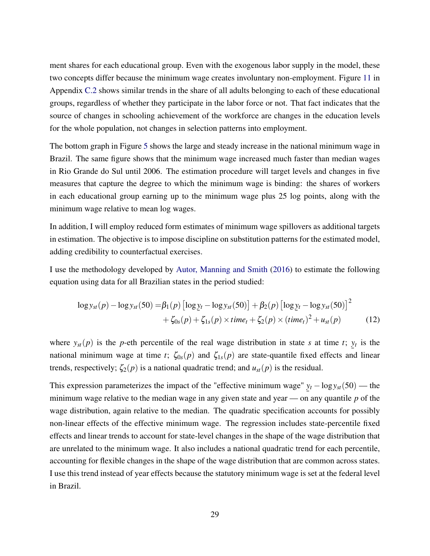ment shares for each educational group. Even with the exogenous labor supply in the model, these two concepts differ because the minimum wage creates involuntary non-employment. Figure [11](#page-69-0) in Appendix [C.2](#page-64-0) shows similar trends in the share of all adults belonging to each of these educational groups, regardless of whether they participate in the labor force or not. That fact indicates that the source of changes in schooling achievement of the workforce are changes in the education levels for the whole population, not changes in selection patterns into employment.

The bottom graph in Figure [5](#page-28-0) shows the large and steady increase in the national minimum wage in Brazil. The same figure shows that the minimum wage increased much faster than median wages in Rio Grande do Sul until 2006. The estimation procedure will target levels and changes in five measures that capture the degree to which the minimum wage is binding: the shares of workers in each educational group earning up to the minimum wage plus 25 log points, along with the minimum wage relative to mean log wages.

In addition, I will employ reduced form estimates of minimum wage spillovers as additional targets in estimation. The objective is to impose discipline on substitution patterns for the estimated model, adding credibility to counterfactual exercises.

I use the methodology developed by [Autor, Manning and Smith](#page-46-5) [\(2016\)](#page-46-5) to estimate the following equation using data for all Brazilian states in the period studied:

<span id="page-29-0"></span>
$$
\log y_{st}(p) - \log y_{st}(50) = \beta_1(p) [\log y_t - \log y_{st}(50)] + \beta_2(p) [\log y_t - \log y_{st}(50)]^2 + \zeta_{0s}(p) + \zeta_{1s}(p) \times time_t + \zeta_2(p) \times (time_t)^2 + u_{st}(p)
$$
(12)

where  $y_{st}(p)$  is the *p*-eth percentile of the real wage distribution in state *s* at time *t*;  $y_t$  is the national minimum wage at time *t*;  $\zeta_{0s}(p)$  and  $\zeta_{1s}(p)$  are state-quantile fixed effects and linear trends, respectively;  $\zeta_2(p)$  is a national quadratic trend; and  $u_{st}(p)$  is the residual.

This expression parameterizes the impact of the "effective minimum wage"  $y_t - log y_{st}(50)$  — the minimum wage relative to the median wage in any given state and year — on any quantile  $p$  of the wage distribution, again relative to the median. The quadratic specification accounts for possibly non-linear effects of the effective minimum wage. The regression includes state-percentile fixed effects and linear trends to account for state-level changes in the shape of the wage distribution that are unrelated to the minimum wage. It also includes a national quadratic trend for each percentile, accounting for flexible changes in the shape of the wage distribution that are common across states. I use this trend instead of year effects because the statutory minimum wage is set at the federal level in Brazil.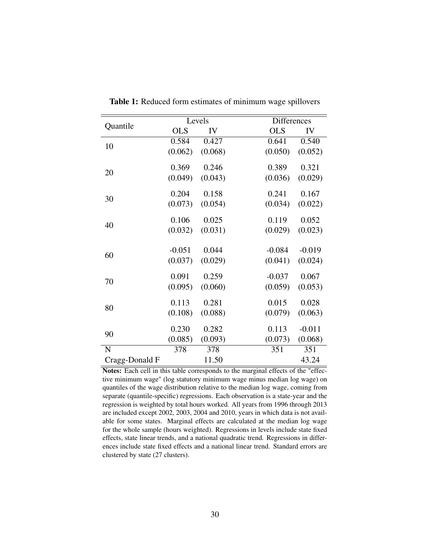<span id="page-30-0"></span>

|                |            | Levels  |            | <b>Differences</b> |  |  |
|----------------|------------|---------|------------|--------------------|--|--|
| Quantile       | <b>OLS</b> | IV      | <b>OLS</b> | IV                 |  |  |
| 10             | 0.584      | 0.427   | 0.641      | 0.540              |  |  |
|                | (0.062)    | (0.068) | (0.050)    | (0.052)            |  |  |
| 20             | 0.369      | 0.246   | 0.389      | 0.321              |  |  |
|                | (0.049)    | (0.043) | (0.036)    | (0.029)            |  |  |
| 30             | 0.204      | 0.158   | 0.241      | 0.167              |  |  |
|                | (0.073)    | (0.054) | (0.034)    | (0.022)            |  |  |
|                | 0.106      | 0.025   | 0.119      | 0.052              |  |  |
| 40             | (0.032)    | (0.031) | (0.029)    | (0.023)            |  |  |
|                | $-0.051$   | 0.044   | $-0.084$   | $-0.019$           |  |  |
| 60             | (0.037)    | (0.029) | (0.041)    | (0.024)            |  |  |
|                | 0.091      | 0.259   | $-0.037$   | 0.067              |  |  |
| 70             | (0.095)    | (0.060) | (0.059)    | (0.053)            |  |  |
| 80             | 0.113      | 0.281   | 0.015      | 0.028              |  |  |
|                | (0.108)    | (0.088) | (0.079)    | (0.063)            |  |  |
|                | 0.230      | 0.282   | 0.113      | $-0.011$           |  |  |
| 90             | (0.085)    | (0.093) | (0.073)    | (0.068)            |  |  |
| N              | 378        | 378     | 351        | 351                |  |  |
| Cragg-Donald F |            | 11.50   |            | 43.24              |  |  |

Table 1: Reduced form estimates of minimum wage spillovers

Notes: Each cell in this table corresponds to the marginal effects of the "effective minimum wage" (log statutory minimum wage minus median log wage) on quantiles of the wage distribution relative to the median log wage, coming from separate (quantile-specific) regressions. Each observation is a state-year and the regression is weighted by total hours worked. All years from 1996 through 2013 are included except 2002, 2003, 2004 and 2010, years in which data is not available for some states. Marginal effects are calculated at the median log wage for the whole sample (hours weighted). Regressions in levels include state fixed effects, state linear trends, and a national quadratic trend. Regressions in differences include state fixed effects and a national linear trend. Standard errors are clustered by state (27 clusters).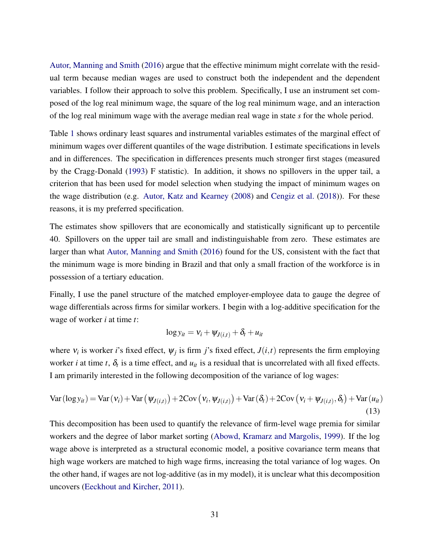[Autor, Manning and Smith](#page-46-5) [\(2016\)](#page-46-5) argue that the effective minimum might correlate with the residual term because median wages are used to construct both the independent and the dependent variables. I follow their approach to solve this problem. Specifically, I use an instrument set composed of the log real minimum wage, the square of the log real minimum wage, and an interaction of the log real minimum wage with the average median real wage in state *s* for the whole period.

Table [1](#page-30-0) shows ordinary least squares and instrumental variables estimates of the marginal effect of minimum wages over different quantiles of the wage distribution. I estimate specifications in levels and in differences. The specification in differences presents much stronger first stages (measured by the Cragg-Donald [\(1993\)](#page-48-9) F statistic). In addition, it shows no spillovers in the upper tail, a criterion that has been used for model selection when studying the impact of minimum wages on the wage distribution (e.g. [Autor, Katz and Kearney](#page-47-3) [\(2008\)](#page-47-3) and [Cengiz et al.](#page-47-10) [\(2018\)](#page-47-10)). For these reasons, it is my preferred specification.

The estimates show spillovers that are economically and statistically significant up to percentile 40. Spillovers on the upper tail are small and indistinguishable from zero. These estimates are larger than what [Autor, Manning and Smith](#page-46-5) [\(2016\)](#page-46-5) found for the US, consistent with the fact that the minimum wage is more binding in Brazil and that only a small fraction of the workforce is in possession of a tertiary education.

Finally, I use the panel structure of the matched employer-employee data to gauge the degree of wage differentials across firms for similar workers. I begin with a log-additive specification for the wage of worker *i* at time *t*:

$$
\log y_{it} = v_i + \psi_{J(i,t)} + \delta_t + u_{it}
$$

where  $v_i$  is worker *i*'s fixed effect,  $\psi_j$  is firm *j*'s fixed effect,  $J(i,t)$  represents the firm employing worker *i* at time *t*,  $\delta_t$  is a time effect, and  $u_{it}$  is a residual that is uncorrelated with all fixed effects. I am primarily interested in the following decomposition of the variance of log wages:

<span id="page-31-0"></span>
$$
\text{Var}(\log y_{it}) = \text{Var}(\mathbf{v}_i) + \text{Var}(\mathbf{w}_{J(i,t)}) + 2\text{Cov}(\mathbf{v}_i, \mathbf{w}_{J(i,t)}) + \text{Var}(\delta_t) + 2\text{Cov}(\mathbf{v}_i + \mathbf{w}_{J(i,t)}, \delta_t) + \text{Var}(u_{it})
$$
\n(13)

This decomposition has been used to quantify the relevance of firm-level wage premia for similar workers and the degree of labor market sorting [\(Abowd, Kramarz and Margolis,](#page-46-4) [1999\)](#page-46-4). If the log wage above is interpreted as a structural economic model, a positive covariance term means that high wage workers are matched to high wage firms, increasing the total variance of log wages. On the other hand, if wages are not log-additive (as in my model), it is unclear what this decomposition uncovers [\(Eeckhout and Kircher,](#page-48-2) [2011\)](#page-48-2).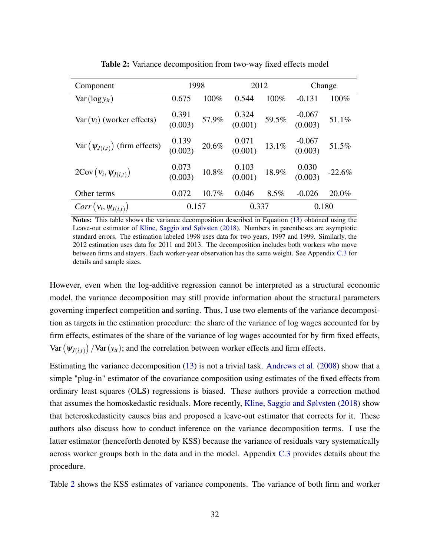<span id="page-32-0"></span>

| Component                                    | 1998                                                   |          | 2012                                                     |       | Change              |          |
|----------------------------------------------|--------------------------------------------------------|----------|----------------------------------------------------------|-------|---------------------|----------|
| $Var(log y_{it})$                            | 0.675                                                  | 100%     | 0.544                                                    | 100%  | $-0.131$            | 100%     |
| $Var(v_i)$ (worker effects)                  | $\begin{array}{cc} 0.391 \\ (0.003) \end{array}$ 57.9% |          | $\begin{array}{cc} 0.324 & 59.5\% \ 0.001 & \end{array}$ |       | $-0.067$<br>(0.003) | 51.1%    |
| $Var(\psi_{J(i,t)})$ (firm effects)          | $\begin{array}{cc} 0.139 \\ (0.002) \end{array}$ 20.6% |          | $\begin{array}{cc} 0.071 & 13.1\% \ 0.001 & \end{array}$ |       | $-0.067$<br>(0.003) | 51.5%    |
| $2\text{Cov}\left(v_i, \psi_{J(i,t)}\right)$ | $0.073$<br>(0.003)                                     | $10.8\%$ | $0.103$<br>(0.001)                                       | 18.9% | $0.030$<br>(0.003)  | $-22.6%$ |
| Other terms                                  | 0.072                                                  | 10.7%    | 0.046                                                    | 8.5%  | $-0.026$            | 20.0%    |
| $Corr(v_i, \psi_{J(i,t)})$                   | 0.157                                                  |          | 0.337                                                    |       | 0.180               |          |

Table 2: Variance decomposition from two-way fixed effects model

Notes: This table shows the variance decomposition described in Equation [\(13\)](#page-31-0) obtained using the Leave-out estimator of [Kline, Saggio and Sølvsten](#page-49-2) [\(2018\)](#page-49-2). Numbers in parentheses are asymptotic standard errors. The estimation labeled 1998 uses data for two years, 1997 and 1999. Similarly, the 2012 estimation uses data for 2011 and 2013. The decomposition includes both workers who move between firms and stayers. Each worker-year observation has the same weight. See Appendix [C.3](#page-70-0) for details and sample sizes.

However, even when the log-additive regression cannot be interpreted as a structural economic model, the variance decomposition may still provide information about the structural parameters governing imperfect competition and sorting. Thus, I use two elements of the variance decomposition as targets in the estimation procedure: the share of the variance of log wages accounted for by firm effects, estimates of the share of the variance of log wages accounted for by firm fixed effects, Var  $(\psi_{J(i,t)})$  /Var  $(y_{it})$ ; and the correlation between worker effects and firm effects.

Estimating the variance decomposition [\(13\)](#page-31-0) is not a trivial task. [Andrews et al.](#page-46-11) [\(2008\)](#page-46-11) show that a simple "plug-in" estimator of the covariance composition using estimates of the fixed effects from ordinary least squares (OLS) regressions is biased. These authors provide a correction method that assumes the homoskedastic residuals. More recently, [Kline, Saggio and Sølvsten](#page-49-2) [\(2018\)](#page-49-2) show that heteroskedasticity causes bias and proposed a leave-out estimator that corrects for it. These authors also discuss how to conduct inference on the variance decomposition terms. I use the latter estimator (henceforth denoted by KSS) because the variance of residuals vary systematically across worker groups both in the data and in the model. Appendix [C.3](#page-70-0) provides details about the procedure.

Table [2](#page-32-0) shows the KSS estimates of variance components. The variance of both firm and worker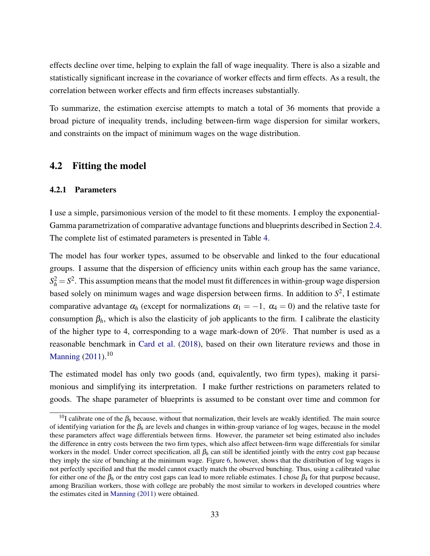effects decline over time, helping to explain the fall of wage inequality. There is also a sizable and statistically significant increase in the covariance of worker effects and firm effects. As a result, the correlation between worker effects and firm effects increases substantially.

To summarize, the estimation exercise attempts to match a total of 36 moments that provide a broad picture of inequality trends, including between-firm wage dispersion for similar workers, and constraints on the impact of minimum wages on the wage distribution.

### 4.2 Fitting the model

### 4.2.1 Parameters

I use a simple, parsimonious version of the model to fit these moments. I employ the exponential-Gamma parametrization of comparative advantage functions and blueprints described in Section [2.4.](#page-12-0) The complete list of estimated parameters is presented in Table [4.](#page-35-0)

The model has four worker types, assumed to be observable and linked to the four educational groups. I assume that the dispersion of efficiency units within each group has the same variance,  $S_h^2 = S^2$ . This assumption means that the model must fit differences in within-group wage dispersion based solely on minimum wages and wage dispersion between firms. In addition to *S* 2 , I estimate comparative advantage  $\alpha_h$  (except for normalizations  $\alpha_1 = -1$ ,  $\alpha_4 = 0$ ) and the relative taste for consumption  $\beta_h$ , which is also the elasticity of job applicants to the firm. I calibrate the elasticity of the higher type to 4, corresponding to a wage mark-down of 20%. That number is used as a reasonable benchmark in [Card et al.](#page-47-4) [\(2018\)](#page-47-4), based on their own literature reviews and those in [Manning](#page-50-1)  $(2011).^{10}$  $(2011).^{10}$ 

The estimated model has only two goods (and, equivalently, two firm types), making it parsimonious and simplifying its interpretation. I make further restrictions on parameters related to goods. The shape parameter of blueprints is assumed to be constant over time and common for

<sup>&</sup>lt;sup>10</sup>I calibrate one of the  $\beta_h$  because, without that normalization, their levels are weakly identified. The main source of identifying variation for the  $\beta_h$  are levels and changes in within-group variance of log wages, because in the model these parameters affect wage differentials between firms. However, the parameter set being estimated also includes the difference in entry costs between the two firm types, which also affect between-firm wage differentials for similar workers in the model. Under correct specification, all β*<sup>h</sup>* can still be identified jointly with the entry cost gap because they imply the size of bunching at the minimum wage. Figure [6,](#page-38-0) however, shows that the distribution of log wages is not perfectly specified and that the model cannot exactly match the observed bunching. Thus, using a calibrated value for either one of the  $\beta_h$  or the entry cost gaps can lead to more reliable estimates. I chose  $\beta_4$  for that purpose because, among Brazilian workers, those with college are probably the most similar to workers in developed countries where the estimates cited in [Manning](#page-50-1) [\(2011\)](#page-50-1) were obtained.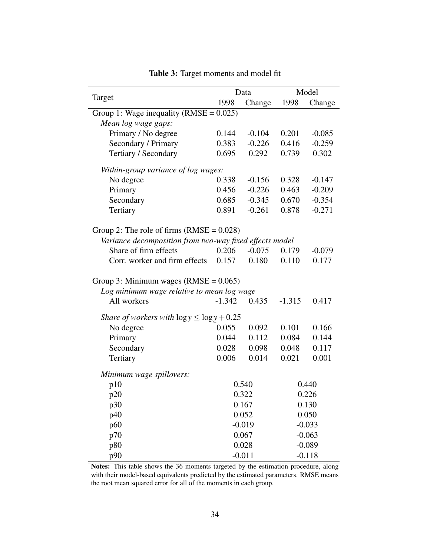<span id="page-34-0"></span>

|                                                         |                                     | Data     | Model    |          |  |  |  |
|---------------------------------------------------------|-------------------------------------|----------|----------|----------|--|--|--|
| Target                                                  | 1998                                | Change   | 1998     | Change   |  |  |  |
| Group 1: Wage inequality (RMSE = $0.025$ )              |                                     |          |          |          |  |  |  |
| Mean log wage gaps:                                     |                                     |          |          |          |  |  |  |
| Primary / No degree                                     | 0.144                               | $-0.104$ | 0.201    | $-0.085$ |  |  |  |
| Secondary / Primary                                     | 0.383                               | $-0.226$ | 0.416    | $-0.259$ |  |  |  |
| Tertiary / Secondary                                    | 0.695                               | 0.292    | 0.739    | 0.302    |  |  |  |
|                                                         | Within-group variance of log wages: |          |          |          |  |  |  |
| No degree                                               | 0.338                               | $-0.156$ | 0.328    | $-0.147$ |  |  |  |
| Primary                                                 | 0.456                               | $-0.226$ | 0.463    | $-0.209$ |  |  |  |
| Secondary                                               | 0.685                               | $-0.345$ | 0.670    | $-0.354$ |  |  |  |
| Tertiary                                                | 0.891                               | $-0.261$ | 0.878    | $-0.271$ |  |  |  |
| Group 2: The role of firms $(RMSE = 0.028)$             |                                     |          |          |          |  |  |  |
| Variance decomposition from two-way fixed effects model |                                     |          |          |          |  |  |  |
| Share of firm effects                                   | 0.206                               | $-0.075$ | 0.179    | $-0.079$ |  |  |  |
| Corr. worker and firm effects                           | 0.157                               | 0.180    | 0.110    | 0.177    |  |  |  |
| Group 3: Minimum wages $(RMSE = 0.065)$                 |                                     |          |          |          |  |  |  |
| Log minimum wage relative to mean log wage              |                                     |          |          |          |  |  |  |
| All workers                                             | $-1.342$                            | 0.435    | $-1.315$ | 0.417    |  |  |  |
| <i>Share of workers with</i> $\log y \le \log y + 0.25$ |                                     |          |          |          |  |  |  |
| No degree                                               | 0.055                               | 0.092    | 0.101    | 0.166    |  |  |  |
| Primary                                                 | 0.044                               | 0.112    | 0.084    | 0.144    |  |  |  |
| Secondary                                               | 0.028                               | 0.098    | 0.048    | 0.117    |  |  |  |
| Tertiary                                                | 0.006                               | 0.014    | 0.021    | 0.001    |  |  |  |
| Minimum wage spillovers:                                |                                     |          |          |          |  |  |  |
| p10                                                     |                                     | 0.540    |          | 0.440    |  |  |  |
| p20                                                     | 0.322                               |          |          | 0.226    |  |  |  |
| p30                                                     | 0.167                               |          |          | 0.130    |  |  |  |
| p40                                                     | 0.052                               |          | 0.050    |          |  |  |  |
| p60                                                     |                                     | $-0.019$ | $-0.033$ |          |  |  |  |
| p70                                                     |                                     | 0.067    |          | $-0.063$ |  |  |  |
| p80                                                     |                                     | 0.028    |          | $-0.089$ |  |  |  |
| p90                                                     |                                     | $-0.011$ | $-0.118$ |          |  |  |  |

Table 3: Target moments and model fit

Notes: This table shows the 36 moments targeted by the estimation procedure, along with their model-based equivalents predicted by the estimated parameters. RMSE means the root mean squared error for all of the moments in each group.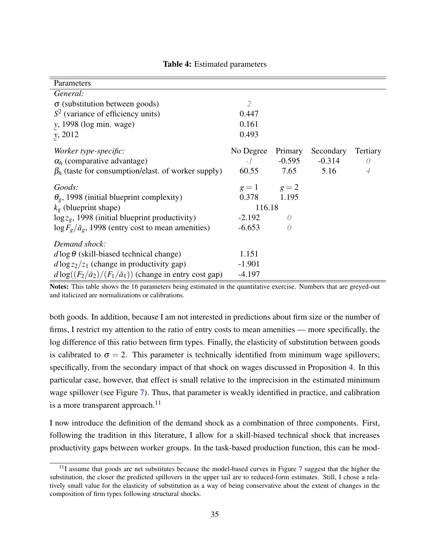<span id="page-35-0"></span>

| Parameters                                                           |                 |          |           |          |
|----------------------------------------------------------------------|-----------------|----------|-----------|----------|
| General:                                                             |                 |          |           |          |
| $\sigma$ (substitution between goods)                                | 2               |          |           |          |
| $S2$ (variance of efficiency units)                                  | 0.447           |          |           |          |
| y, 1998 (log min. wage)                                              | 0.161           |          |           |          |
| y, 2012                                                              | 0.493           |          |           |          |
| Worker type-specific:                                                | No Degree       | Primary  | Secondary | Tertiary |
| $\alpha_h$ (comparative advantage)                                   | $-1$            | $-0.595$ | $-0.314$  | $\theta$ |
| $\beta_h$ (taste for consumption/elast. of worker supply)            | 60.55           | 7.65     | 5.16      | 4        |
| Goods:                                                               | $g = 1$ $g = 2$ |          |           |          |
| $\theta_{g}$ , 1998 (initial blueprint complexity)                   | 0.378 1.195     |          |           |          |
| $k_g$ (blueprint shape)                                              | 116.18          |          |           |          |
| $\log z_g$ , 1998 (initial blueprint productivity)                   | $-2.192$        | 0        |           |          |
| $\log F_g / \bar{a}_g$ , 1998 (entry cost to mean amenities)         | $-6.653$        | 0        |           |          |
| Demand shock:                                                        |                 |          |           |          |
| $d \log \theta$ (skill-biased technical change)                      | 1.151           |          |           |          |
| $d \log z_2/z_1$ (change in productivity gap)                        | $-1.901$        |          |           |          |
| $d \log((F_2/\bar{a}_2)/(F_1/\bar{a}_1))$ (change in entry cost gap) | $-4.197$        |          |           |          |

#### Table 4: Estimated parameters

Notes: This table shows the 16 parameters being estimated in the quantitative exercise. Numbers that are greyed-out and italicized are normalizations or calibrations.

both goods. In addition, because I am not interested in predictions about firm size or the number of firms, I restrict my attention to the ratio of entry costs to mean amenities — more specifically, the log difference of this ratio between firm types. Finally, the elasticity of substitution between goods is calibrated to  $\sigma = 2$ . This parameter is technically identified from minimum wage spillovers; specifically, from the secondary impact of that shock on wages discussed in Proposition [4.](#page-24-0) In this particular case, however, that effect is small relative to the imprecision in the estimated minimum wage spillover (see Figure [7\)](#page-39-0). Thus, that parameter is weakly identified in practice, and calibration is a more transparent approach. $^{11}$ 

I now introduce the definition of the demand shock as a combination of three components. First, following the tradition in this literature, I allow for a skill-biased technical shock that increases productivity gaps between worker groups. In the task-based production function, this can be mod-

 $11$ I assume that goods are net substitutes because the model-based curves in Figure [7](#page-39-0) suggest that the higher the substitution, the closer the predicted spillovers in the upper tail are to reduced-form estimates. Still, I chose a relatively small value for the elasticity of substitution as a way of being conservative about the extent of changes in the composition of firm types following structural shocks.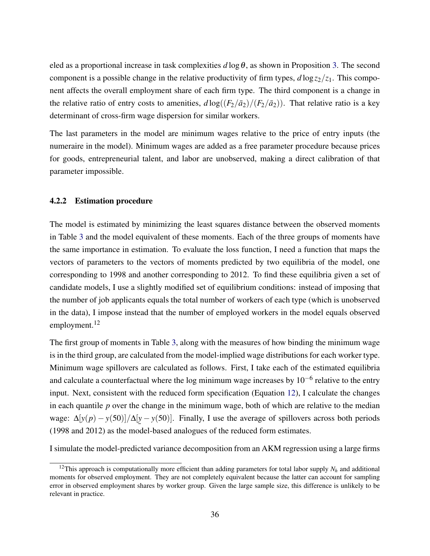eled as a proportional increase in task complexities  $d \log \theta$ , as shown in Proposition [3.](#page-23-0) The second component is a possible change in the relative productivity of firm types,  $d \log z_2/z_1$ . This component affects the overall employment share of each firm type. The third component is a change in the relative ratio of entry costs to amenities,  $d \log((F_2/\bar{a}_2)/(F_2/\bar{a}_2))$ . That relative ratio is a key determinant of cross-firm wage dispersion for similar workers.

The last parameters in the model are minimum wages relative to the price of entry inputs (the numeraire in the model). Minimum wages are added as a free parameter procedure because prices for goods, entrepreneurial talent, and labor are unobserved, making a direct calibration of that parameter impossible.

### 4.2.2 Estimation procedure

The model is estimated by minimizing the least squares distance between the observed moments in Table [3](#page-34-0) and the model equivalent of these moments. Each of the three groups of moments have the same importance in estimation. To evaluate the loss function, I need a function that maps the vectors of parameters to the vectors of moments predicted by two equilibria of the model, one corresponding to 1998 and another corresponding to 2012. To find these equilibria given a set of candidate models, I use a slightly modified set of equilibrium conditions: instead of imposing that the number of job applicants equals the total number of workers of each type (which is unobserved in the data), I impose instead that the number of employed workers in the model equals observed employment.<sup>12</sup>

The first group of moments in Table [3,](#page-34-0) along with the measures of how binding the minimum wage is in the third group, are calculated from the model-implied wage distributions for each worker type. Minimum wage spillovers are calculated as follows. First, I take each of the estimated equilibria and calculate a counterfactual where the log minimum wage increases by  $10^{-6}$  relative to the entry input. Next, consistent with the reduced form specification (Equation [12\)](#page-29-0), I calculate the changes in each quantile *p* over the change in the minimum wage, both of which are relative to the median wage:  $\Delta[y(p) - y(50)] / \Delta[y - y(50)]$ . Finally, I use the average of spillovers across both periods ¯ (1998 and 2012) as the model-based analogues of the reduced form estimates.

I simulate the model-predicted variance decomposition from an AKM regression using a large firms

<sup>&</sup>lt;sup>12</sup>This approach is computationally more efficient than adding parameters for total labor supply  $N_h$  and additional moments for observed employment. They are not completely equivalent because the latter can account for sampling error in observed employment shares by worker group. Given the large sample size, this difference is unlikely to be relevant in practice.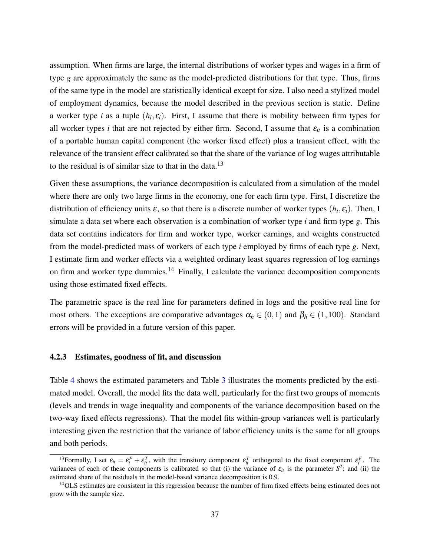assumption. When firms are large, the internal distributions of worker types and wages in a firm of type *g* are approximately the same as the model-predicted distributions for that type. Thus, firms of the same type in the model are statistically identical except for size. I also need a stylized model of employment dynamics, because the model described in the previous section is static. Define a worker type *i* as a tuple  $(h_i, \varepsilon_i)$ . First, I assume that there is mobility between firm types for all worker types *i* that are not rejected by either firm. Second, I assume that  $\varepsilon_{it}$  is a combination of a portable human capital component (the worker fixed effect) plus a transient effect, with the relevance of the transient effect calibrated so that the share of the variance of log wages attributable to the residual is of similar size to that in the data.<sup>13</sup>

Given these assumptions, the variance decomposition is calculated from a simulation of the model where there are only two large firms in the economy, one for each firm type. First, I discretize the distribution of efficiency units  $\varepsilon$ , so that there is a discrete number of worker types  $(h_i, \varepsilon_i)$ . Then, I simulate a data set where each observation is a combination of worker type *i* and firm type *g*. This data set contains indicators for firm and worker type, worker earnings, and weights constructed from the model-predicted mass of workers of each type *i* employed by firms of each type *g*. Next, I estimate firm and worker effects via a weighted ordinary least squares regression of log earnings on firm and worker type dummies.<sup>14</sup> Finally, I calculate the variance decomposition components using those estimated fixed effects.

The parametric space is the real line for parameters defined in logs and the positive real line for most others. The exceptions are comparative advantages  $\alpha_h \in (0,1)$  and  $\beta_h \in (1,100)$ . Standard errors will be provided in a future version of this paper.

#### 4.2.3 Estimates, goodness of fit, and discussion

Table [4](#page-35-0) shows the estimated parameters and Table [3](#page-34-0) illustrates the moments predicted by the estimated model. Overall, the model fits the data well, particularly for the first two groups of moments (levels and trends in wage inequality and components of the variance decomposition based on the two-way fixed effects regressions). That the model fits within-group variances well is particularly interesting given the restriction that the variance of labor efficiency units is the same for all groups and both periods.

<sup>&</sup>lt;sup>13</sup> Formally, I set  $\varepsilon_{it} = \varepsilon_i^F + \varepsilon_{it}^T$ , with the transitory component  $\varepsilon_{it}^T$  orthogonal to the fixed component  $\varepsilon_i^F$ . The variances of each of these components is calibrated so that (i) the variance of  $\varepsilon_{it}$  is the parameter  $S^2$ ; and (ii) the estimated share of the residuals in the model-based variance decomposition is 0.9.

<sup>&</sup>lt;sup>14</sup>OLS estimates are consistent in this regression because the number of firm fixed effects being estimated does not grow with the sample size.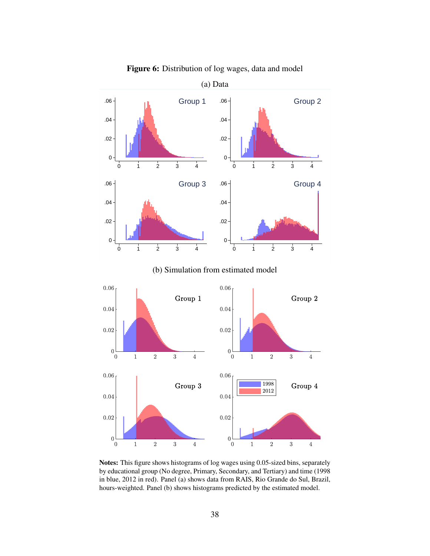<span id="page-38-0"></span>

Figure 6: Distribution of log wages, data and model

Notes: This figure shows histograms of log wages using 0.05-sized bins, separately by educational group (No degree, Primary, Secondary, and Tertiary) and time (1998 in blue, 2012 in red). Panel (a) shows data from RAIS, Rio Grande do Sul, Brazil, hours-weighted. Panel (b) shows histograms predicted by the estimated model.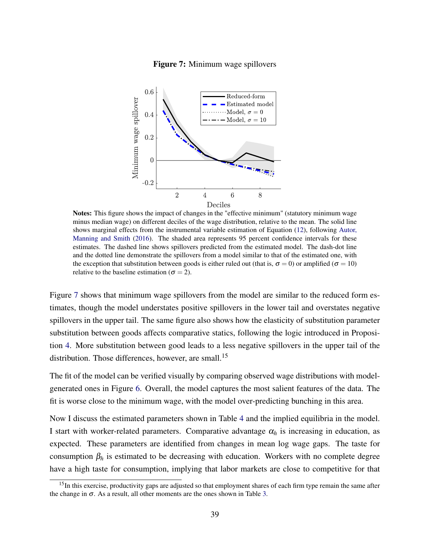### Figure 7: Minimum wage spillovers

<span id="page-39-0"></span>

Notes: This figure shows the impact of changes in the "effective minimum" (statutory minimum wage minus median wage) on different deciles of the wage distribution, relative to the mean. The solid line shows marginal effects from the instrumental variable estimation of Equation [\(12\)](#page-29-0), following [Autor,](#page-46-5) [Manning and Smith](#page-46-5) [\(2016\)](#page-46-5). The shaded area represents 95 percent confidence intervals for these estimates. The dashed line shows spillovers predicted from the estimated model. The dash-dot line and the dotted line demonstrate the spillovers from a model similar to that of the estimated one, with the exception that substitution between goods is either ruled out (that is,  $\sigma = 0$ ) or amplified ( $\sigma = 10$ ) relative to the baseline estimation ( $\sigma = 2$ ).

Figure [7](#page-39-0) shows that minimum wage spillovers from the model are similar to the reduced form estimates, though the model understates positive spillovers in the lower tail and overstates negative spillovers in the upper tail. The same figure also shows how the elasticity of substitution parameter substitution between goods affects comparative statics, following the logic introduced in Proposition [4.](#page-24-0) More substitution between good leads to a less negative spillovers in the upper tail of the distribution. Those differences, however, are small.<sup>15</sup>

The fit of the model can be verified visually by comparing observed wage distributions with modelgenerated ones in Figure [6.](#page-38-0) Overall, the model captures the most salient features of the data. The fit is worse close to the minimum wage, with the model over-predicting bunching in this area.

Now I discuss the estimated parameters shown in Table [4](#page-35-0) and the implied equilibria in the model. I start with worker-related parameters. Comparative advantage  $\alpha_h$  is increasing in education, as expected. These parameters are identified from changes in mean log wage gaps. The taste for consumption  $\beta_h$  is estimated to be decreasing with education. Workers with no complete degree have a high taste for consumption, implying that labor markets are close to competitive for that

<sup>&</sup>lt;sup>15</sup>In this exercise, productivity gaps are adjusted so that employment shares of each firm type remain the same after the change in  $\sigma$ . As a result, all other moments are the ones shown in Table [3.](#page-34-0)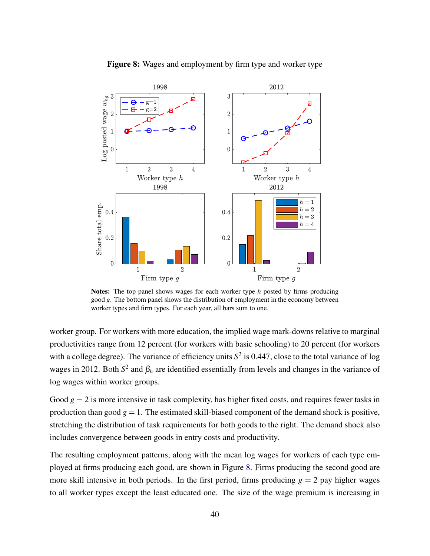<span id="page-40-0"></span>

Figure 8: Wages and employment by firm type and worker type

Notes: The top panel shows wages for each worker type *h* posted by firms producing good *g*. The bottom panel shows the distribution of employment in the economy between worker types and firm types. For each year, all bars sum to one.

worker group. For workers with more education, the implied wage mark-downs relative to marginal productivities range from 12 percent (for workers with basic schooling) to 20 percent (for workers with a college degree). The variance of efficiency units  $S^2$  is 0.447, close to the total variance of log wages in 2012. Both  $S^2$  and  $\beta_h$  are identified essentially from levels and changes in the variance of log wages within worker groups.

Good  $g = 2$  is more intensive in task complexity, has higher fixed costs, and requires fewer tasks in production than good  $g = 1$ . The estimated skill-biased component of the demand shock is positive, stretching the distribution of task requirements for both goods to the right. The demand shock also includes convergence between goods in entry costs and productivity.

The resulting employment patterns, along with the mean log wages for workers of each type employed at firms producing each good, are shown in Figure [8.](#page-40-0) Firms producing the second good are more skill intensive in both periods. In the first period, firms producing  $g = 2$  pay higher wages to all worker types except the least educated one. The size of the wage premium is increasing in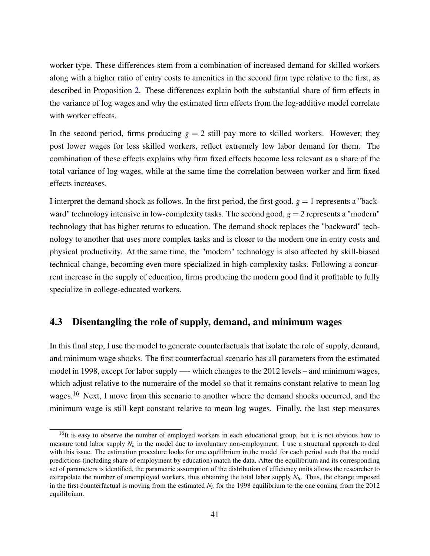worker type. These differences stem from a combination of increased demand for skilled workers along with a higher ratio of entry costs to amenities in the second firm type relative to the first, as described in Proposition [2.](#page-0-0) These differences explain both the substantial share of firm effects in the variance of log wages and why the estimated firm effects from the log-additive model correlate with worker effects.

In the second period, firms producing  $g = 2$  still pay more to skilled workers. However, they post lower wages for less skilled workers, reflect extremely low labor demand for them. The combination of these effects explains why firm fixed effects become less relevant as a share of the total variance of log wages, while at the same time the correlation between worker and firm fixed effects increases.

I interpret the demand shock as follows. In the first period, the first good,  $g = 1$  represents a "backward" technology intensive in low-complexity tasks. The second good,  $g = 2$  represents a "modern" technology that has higher returns to education. The demand shock replaces the "backward" technology to another that uses more complex tasks and is closer to the modern one in entry costs and physical productivity. At the same time, the "modern" technology is also affected by skill-biased technical change, becoming even more specialized in high-complexity tasks. Following a concurrent increase in the supply of education, firms producing the modern good find it profitable to fully specialize in college-educated workers.

# 4.3 Disentangling the role of supply, demand, and minimum wages

In this final step, I use the model to generate counterfactuals that isolate the role of supply, demand, and minimum wage shocks. The first counterfactual scenario has all parameters from the estimated model in 1998, except for labor supply —- which changes to the 2012 levels – and minimum wages, which adjust relative to the numeraire of the model so that it remains constant relative to mean log wages.<sup>16</sup> Next, I move from this scenario to another where the demand shocks occurred, and the minimum wage is still kept constant relative to mean log wages. Finally, the last step measures

<sup>&</sup>lt;sup>16</sup>It is easy to observe the number of employed workers in each educational group, but it is not obvious how to measure total labor supply  $N_h$  in the model due to involuntary non-employment. I use a structural approach to deal with this issue. The estimation procedure looks for one equilibrium in the model for each period such that the model predictions (including share of employment by education) match the data. After the equilibrium and its corresponding set of parameters is identified, the parametric assumption of the distribution of efficiency units allows the researcher to extrapolate the number of unemployed workers, thus obtaining the total labor supply  $N_h$ . Thus, the change imposed in the first counterfactual is moving from the estimated *N<sup>h</sup>* for the 1998 equilibrium to the one coming from the 2012 equilibrium.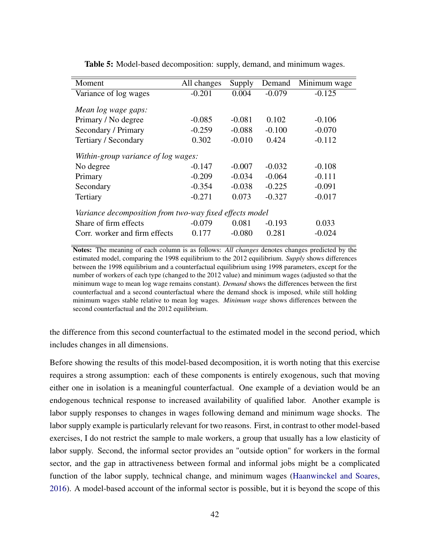<span id="page-42-0"></span>

| Moment                                                  | All changes | Supply   | Demand   | Minimum wage |  |  |
|---------------------------------------------------------|-------------|----------|----------|--------------|--|--|
| Variance of log wages                                   | $-0.201$    | 0.004    | $-0.079$ | $-0.125$     |  |  |
| Mean log wage gaps:                                     |             |          |          |              |  |  |
| Primary / No degree                                     | $-0.085$    | $-0.081$ | 0.102    | $-0.106$     |  |  |
| Secondary / Primary                                     | $-0.259$    | $-0.088$ | $-0.100$ | $-0.070$     |  |  |
| Tertiary / Secondary                                    | 0.302       | $-0.010$ | 0.424    | $-0.112$     |  |  |
| Within-group variance of log wages:                     |             |          |          |              |  |  |
| No degree                                               | $-0.147$    | $-0.007$ | $-0.032$ | $-0.108$     |  |  |
| Primary                                                 | $-0.209$    | $-0.034$ | $-0.064$ | $-0.111$     |  |  |
| Secondary                                               | $-0.354$    | $-0.038$ | $-0.225$ | $-0.091$     |  |  |
| Tertiary                                                | $-0.271$    | 0.073    | $-0.327$ | $-0.017$     |  |  |
| Variance decomposition from two-way fixed effects model |             |          |          |              |  |  |
| Share of firm effects                                   | $-0.079$    | 0.081    | $-0.193$ | 0.033        |  |  |
| Corr. worker and firm effects                           | 0.177       | $-0.080$ | 0.281    | $-0.024$     |  |  |

Table 5: Model-based decomposition: supply, demand, and minimum wages.

Notes: The meaning of each column is as follows: *All changes* denotes changes predicted by the estimated model, comparing the 1998 equilibrium to the 2012 equilibrium. *Supply* shows differences between the 1998 equilibrium and a counterfactual equilibrium using 1998 parameters, except for the number of workers of each type (changed to the 2012 value) and minimum wages (adjusted so that the minimum wage to mean log wage remains constant). *Demand* shows the differences between the first counterfactual and a second counterfactual where the demand shock is imposed, while still holding minimum wages stable relative to mean log wages. *Minimum wage* shows differences between the second counterfactual and the 2012 equilibrium.

the difference from this second counterfactual to the estimated model in the second period, which includes changes in all dimensions.

Before showing the results of this model-based decomposition, it is worth noting that this exercise requires a strong assumption: each of these components is entirely exogenous, such that moving either one in isolation is a meaningful counterfactual. One example of a deviation would be an endogenous technical response to increased availability of qualified labor. Another example is labor supply responses to changes in wages following demand and minimum wage shocks. The labor supply example is particularly relevant for two reasons. First, in contrast to other model-based exercises, I do not restrict the sample to male workers, a group that usually has a low elasticity of labor supply. Second, the informal sector provides an "outside option" for workers in the formal sector, and the gap in attractiveness between formal and informal jobs might be a complicated function of the labor supply, technical change, and minimum wages [\(Haanwinckel and Soares,](#page-49-8) [2016\)](#page-49-8). A model-based account of the informal sector is possible, but it is beyond the scope of this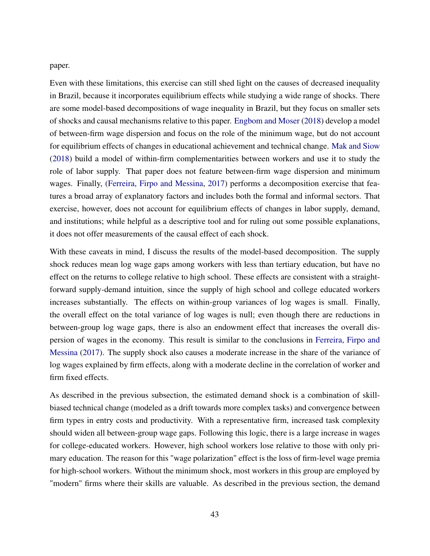paper.

Even with these limitations, this exercise can still shed light on the causes of decreased inequality in Brazil, because it incorporates equilibrium effects while studying a wide range of shocks. There are some model-based decompositions of wage inequality in Brazil, but they focus on smaller sets of shocks and causal mechanisms relative to this paper. [Engbom and Moser](#page-48-10) [\(2018\)](#page-48-10) develop a model of between-firm wage dispersion and focus on the role of the minimum wage, but do not account for equilibrium effects of changes in educational achievement and technical change. [Mak and Siow](#page-50-12) [\(2018\)](#page-50-12) build a model of within-firm complementarities between workers and use it to study the role of labor supply. That paper does not feature between-firm wage dispersion and minimum wages. Finally, [\(Ferreira, Firpo and Messina,](#page-48-11) [2017\)](#page-48-11) performs a decomposition exercise that features a broad array of explanatory factors and includes both the formal and informal sectors. That exercise, however, does not account for equilibrium effects of changes in labor supply, demand, and institutions; while helpful as a descriptive tool and for ruling out some possible explanations, it does not offer measurements of the causal effect of each shock.

With these caveats in mind, I discuss the results of the model-based decomposition. The supply shock reduces mean log wage gaps among workers with less than tertiary education, but have no effect on the returns to college relative to high school. These effects are consistent with a straightforward supply-demand intuition, since the supply of high school and college educated workers increases substantially. The effects on within-group variances of log wages is small. Finally, the overall effect on the total variance of log wages is null; even though there are reductions in between-group log wage gaps, there is also an endowment effect that increases the overall dispersion of wages in the economy. This result is similar to the conclusions in [Ferreira, Firpo and](#page-48-11) [Messina](#page-48-11) [\(2017\)](#page-48-11). The supply shock also causes a moderate increase in the share of the variance of log wages explained by firm effects, along with a moderate decline in the correlation of worker and firm fixed effects.

As described in the previous subsection, the estimated demand shock is a combination of skillbiased technical change (modeled as a drift towards more complex tasks) and convergence between firm types in entry costs and productivity. With a representative firm, increased task complexity should widen all between-group wage gaps. Following this logic, there is a large increase in wages for college-educated workers. However, high school workers lose relative to those with only primary education. The reason for this "wage polarization" effect is the loss of firm-level wage premia for high-school workers. Without the minimum shock, most workers in this group are employed by "modern" firms where their skills are valuable. As described in the previous section, the demand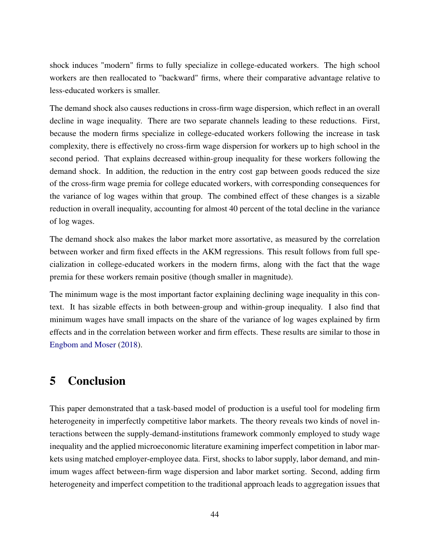shock induces "modern" firms to fully specialize in college-educated workers. The high school workers are then reallocated to "backward" firms, where their comparative advantage relative to less-educated workers is smaller.

The demand shock also causes reductions in cross-firm wage dispersion, which reflect in an overall decline in wage inequality. There are two separate channels leading to these reductions. First, because the modern firms specialize in college-educated workers following the increase in task complexity, there is effectively no cross-firm wage dispersion for workers up to high school in the second period. That explains decreased within-group inequality for these workers following the demand shock. In addition, the reduction in the entry cost gap between goods reduced the size of the cross-firm wage premia for college educated workers, with corresponding consequences for the variance of log wages within that group. The combined effect of these changes is a sizable reduction in overall inequality, accounting for almost 40 percent of the total decline in the variance of log wages.

The demand shock also makes the labor market more assortative, as measured by the correlation between worker and firm fixed effects in the AKM regressions. This result follows from full specialization in college-educated workers in the modern firms, along with the fact that the wage premia for these workers remain positive (though smaller in magnitude).

The minimum wage is the most important factor explaining declining wage inequality in this context. It has sizable effects in both between-group and within-group inequality. I also find that minimum wages have small impacts on the share of the variance of log wages explained by firm effects and in the correlation between worker and firm effects. These results are similar to those in [Engbom and Moser](#page-48-10) [\(2018\)](#page-48-10).

# 5 Conclusion

This paper demonstrated that a task-based model of production is a useful tool for modeling firm heterogeneity in imperfectly competitive labor markets. The theory reveals two kinds of novel interactions between the supply-demand-institutions framework commonly employed to study wage inequality and the applied microeconomic literature examining imperfect competition in labor markets using matched employer-employee data. First, shocks to labor supply, labor demand, and minimum wages affect between-firm wage dispersion and labor market sorting. Second, adding firm heterogeneity and imperfect competition to the traditional approach leads to aggregation issues that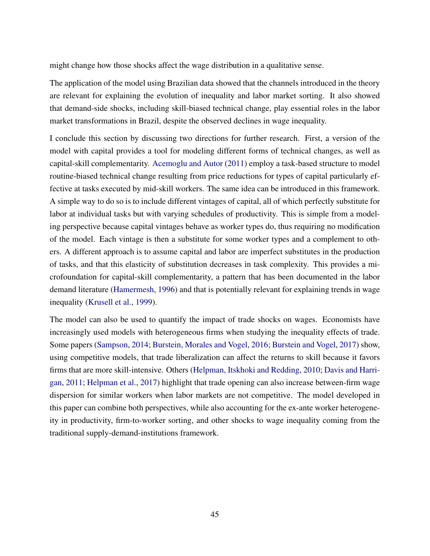might change how those shocks affect the wage distribution in a qualitative sense.

The application of the model using Brazilian data showed that the channels introduced in the theory are relevant for explaining the evolution of inequality and labor market sorting. It also showed that demand-side shocks, including skill-biased technical change, play essential roles in the labor market transformations in Brazil, despite the observed declines in wage inequality.

I conclude this section by discussing two directions for further research. First, a version of the model with capital provides a tool for modeling different forms of technical changes, as well as capital-skill complementarity. [Acemoglu and Autor](#page-46-2) [\(2011\)](#page-46-2) employ a task-based structure to model routine-biased technical change resulting from price reductions for types of capital particularly effective at tasks executed by mid-skill workers. The same idea can be introduced in this framework. A simple way to do so is to include different vintages of capital, all of which perfectly substitute for labor at individual tasks but with varying schedules of productivity. This is simple from a modeling perspective because capital vintages behave as worker types do, thus requiring no modification of the model. Each vintage is then a substitute for some worker types and a complement to others. A different approach is to assume capital and labor are imperfect substitutes in the production of tasks, and that this elasticity of substitution decreases in task complexity. This provides a microfoundation for capital-skill complementarity, a pattern that has been documented in the labor demand literature [\(Hamermesh,](#page-49-9) [1996\)](#page-49-9) and that is potentially relevant for explaining trends in wage inequality [\(Krusell et al.,](#page-49-10) [1999\)](#page-49-10).

The model can also be used to quantify the impact of trade shocks on wages. Economists have increasingly used models with heterogeneous firms when studying the inequality effects of trade. Some papers [\(Sampson,](#page-50-13) [2014;](#page-50-13) [Burstein, Morales and Vogel,](#page-47-11) [2016;](#page-47-11) [Burstein and Vogel,](#page-47-12) [2017\)](#page-47-12) show, using competitive models, that trade liberalization can affect the returns to skill because it favors firms that are more skill-intensive. Others [\(Helpman, Itskhoki and Redding,](#page-49-11) [2010;](#page-49-11) [Davis and Harri](#page-48-8)[gan,](#page-48-8) [2011;](#page-48-8) [Helpman et al.,](#page-49-12) [2017\)](#page-49-12) highlight that trade opening can also increase between-firm wage dispersion for similar workers when labor markets are not competitive. The model developed in this paper can combine both perspectives, while also accounting for the ex-ante worker heterogeneity in productivity, firm-to-worker sorting, and other shocks to wage inequality coming from the traditional supply-demand-institutions framework.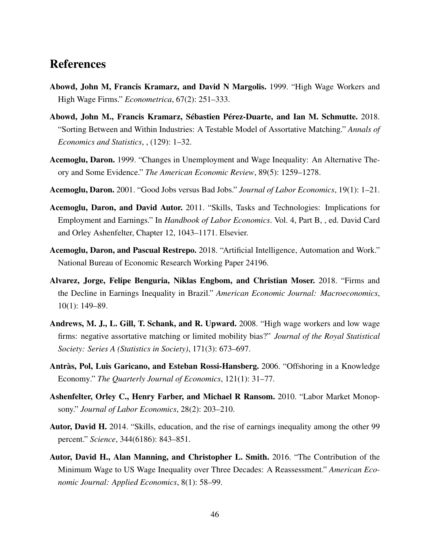# References

- <span id="page-46-4"></span>Abowd, John M, Francis Kramarz, and David N Margolis. 1999. "High Wage Workers and High Wage Firms." *Econometrica*, 67(2): 251–333.
- <span id="page-46-7"></span>Abowd, John M., Francis Kramarz, Sébastien Pérez-Duarte, and Ian M. Schmutte. 2018. "Sorting Between and Within Industries: A Testable Model of Assortative Matching." *Annals of Economics and Statistics*, , (129): 1–32.
- <span id="page-46-8"></span>Acemoglu, Daron. 1999. "Changes in Unemployment and Wage Inequality: An Alternative Theory and Some Evidence." *The American Economic Review*, 89(5): 1259–1278.
- <span id="page-46-10"></span>Acemoglu, Daron. 2001. "Good Jobs versus Bad Jobs." *Journal of Labor Economics*, 19(1): 1–21.
- <span id="page-46-2"></span>Acemoglu, Daron, and David Autor. 2011. "Skills, Tasks and Technologies: Implications for Employment and Earnings." In *Handbook of Labor Economics*. Vol. 4, Part B, , ed. David Card and Orley Ashenfelter, Chapter 12, 1043–1171. Elsevier.
- <span id="page-46-9"></span>Acemoglu, Daron, and Pascual Restrepo. 2018. "Artificial Intelligence, Automation and Work." National Bureau of Economic Research Working Paper 24196.
- <span id="page-46-1"></span>Alvarez, Jorge, Felipe Benguria, Niklas Engbom, and Christian Moser. 2018. "Firms and the Decline in Earnings Inequality in Brazil." *American Economic Journal: Macroeconomics*, 10(1): 149–89.
- <span id="page-46-11"></span>Andrews, M. J., L. Gill, T. Schank, and R. Upward. 2008. "High wage workers and low wage firms: negative assortative matching or limited mobility bias?" *Journal of the Royal Statistical Society: Series A (Statistics in Society)*, 171(3): 673–697.
- <span id="page-46-6"></span>Antràs, Pol, Luis Garicano, and Esteban Rossi-Hansberg. 2006. "Offshoring in a Knowledge Economy." *The Quarterly Journal of Economics*, 121(1): 31–77.
- <span id="page-46-3"></span>Ashenfelter, Orley C., Henry Farber, and Michael R Ransom. 2010. "Labor Market Monopsony." *Journal of Labor Economics*, 28(2): 203–210.
- <span id="page-46-0"></span>Autor, David H. 2014. "Skills, education, and the rise of earnings inequality among the other 99 percent." *Science*, 344(6186): 843–851.
- <span id="page-46-5"></span>Autor, David H., Alan Manning, and Christopher L. Smith. 2016. "The Contribution of the Minimum Wage to US Wage Inequality over Three Decades: A Reassessment." *American Economic Journal: Applied Economics*, 8(1): 58–99.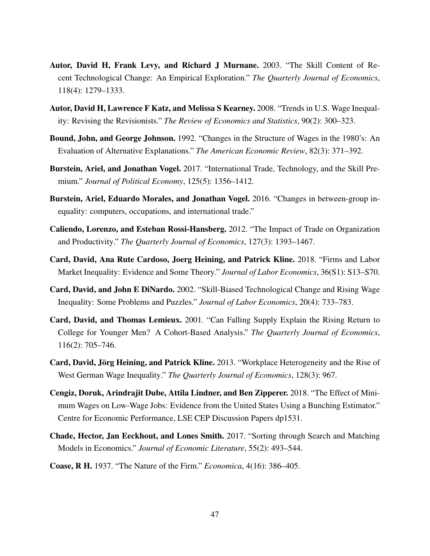- <span id="page-47-7"></span>Autor, David H, Frank Levy, and Richard J Murnane. 2003. "The Skill Content of Recent Technological Change: An Empirical Exploration." *The Quarterly Journal of Economics*, 118(4): 1279–1333.
- <span id="page-47-3"></span>Autor, David H, Lawrence F Katz, and Melissa S Kearney. 2008. "Trends in U.S. Wage Inequality: Revising the Revisionists." *The Review of Economics and Statistics*, 90(2): 300–323.
- <span id="page-47-0"></span>Bound, John, and George Johnson. 1992. "Changes in the Structure of Wages in the 1980's: An Evaluation of Alternative Explanations." *The American Economic Review*, 82(3): 371–392.
- <span id="page-47-12"></span>Burstein, Ariel, and Jonathan Vogel. 2017. "International Trade, Technology, and the Skill Premium." *Journal of Political Economy*, 125(5): 1356–1412.
- <span id="page-47-11"></span>Burstein, Ariel, Eduardo Morales, and Jonathan Vogel. 2016. "Changes in between-group inequality: computers, occupations, and international trade."
- <span id="page-47-8"></span>Caliendo, Lorenzo, and Esteban Rossi-Hansberg. 2012. "The Impact of Trade on Organization and Productivity." *The Quarterly Journal of Economics*, 127(3): 1393–1467.
- <span id="page-47-4"></span>Card, David, Ana Rute Cardoso, Joerg Heining, and Patrick Kline. 2018. "Firms and Labor Market Inequality: Evidence and Some Theory." *Journal of Labor Economics*, 36(S1): S13–S70.
- <span id="page-47-2"></span>Card, David, and John E DiNardo. 2002. "Skill-Biased Technological Change and Rising Wage Inequality: Some Problems and Puzzles." *Journal of Labor Economics*, 20(4): 733–783.
- <span id="page-47-1"></span>Card, David, and Thomas Lemieux. 2001. "Can Falling Supply Explain the Rising Return to College for Younger Men? A Cohort-Based Analysis." *The Quarterly Journal of Economics*, 116(2): 705–746.
- <span id="page-47-5"></span>Card, David, Jörg Heining, and Patrick Kline. 2013. "Workplace Heterogeneity and the Rise of West German Wage Inequality." *The Quarterly Journal of Economics*, 128(3): 967.
- <span id="page-47-10"></span>Cengiz, Doruk, Arindrajit Dube, Attila Lindner, and Ben Zipperer. 2018. "The Effect of Minimum Wages on Low-Wage Jobs: Evidence from the United States Using a Bunching Estimator." Centre for Economic Performance, LSE CEP Discussion Papers dp1531.
- <span id="page-47-6"></span>Chade, Hector, Jan Eeckhout, and Lones Smith. 2017. "Sorting through Search and Matching Models in Economics." *Journal of Economic Literature*, 55(2): 493–544.
- <span id="page-47-9"></span>Coase, R H. 1937. "The Nature of the Firm." *Economica*, 4(16): 386–405.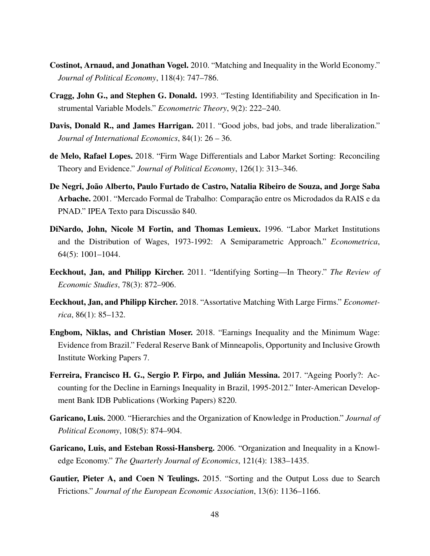- <span id="page-48-1"></span>Costinot, Arnaud, and Jonathan Vogel. 2010. "Matching and Inequality in the World Economy." *Journal of Political Economy*, 118(4): 747–786.
- <span id="page-48-9"></span>Cragg, John G., and Stephen G. Donald. 1993. "Testing Identifiability and Specification in Instrumental Variable Models." *Econometric Theory*, 9(2): 222–240.
- <span id="page-48-8"></span>Davis, Donald R., and James Harrigan. 2011. "Good jobs, bad jobs, and trade liberalization." *Journal of International Economics*, 84(1): 26 – 36.
- <span id="page-48-6"></span>de Melo, Rafael Lopes. 2018. "Firm Wage Differentials and Labor Market Sorting: Reconciling Theory and Evidence." *Journal of Political Economy*, 126(1): 313–346.
- <span id="page-48-12"></span>De Negri, João Alberto, Paulo Furtado de Castro, Natalia Ribeiro de Souza, and Jorge Saba Arbache. 2001. "Mercado Formal de Trabalho: Comparação entre os Microdados da RAIS e da PNAD." IPEA Texto para Discussão 840.
- <span id="page-48-0"></span>DiNardo, John, Nicole M Fortin, and Thomas Lemieux. 1996. "Labor Market Institutions and the Distribution of Wages, 1973-1992: A Semiparametric Approach." *Econometrica*, 64(5): 1001–1044.
- <span id="page-48-2"></span>Eeckhout, Jan, and Philipp Kircher. 2011. "Identifying Sorting—In Theory." *The Review of Economic Studies*, 78(3): 872–906.
- <span id="page-48-7"></span>Eeckhout, Jan, and Philipp Kircher. 2018. "Assortative Matching With Large Firms." *Econometrica*, 86(1): 85–132.
- <span id="page-48-10"></span>Engbom, Niklas, and Christian Moser. 2018. "Earnings Inequality and the Minimum Wage: Evidence from Brazil." Federal Reserve Bank of Minneapolis, Opportunity and Inclusive Growth Institute Working Papers 7.
- <span id="page-48-11"></span>Ferreira, Francisco H. G., Sergio P. Firpo, and Julián Messina. 2017. "Ageing Poorly?: Accounting for the Decline in Earnings Inequality in Brazil, 1995-2012." Inter-American Development Bank IDB Publications (Working Papers) 8220.
- <span id="page-48-3"></span>Garicano, Luis. 2000. "Hierarchies and the Organization of Knowledge in Production." *Journal of Political Economy*, 108(5): 874–904.
- <span id="page-48-4"></span>Garicano, Luis, and Esteban Rossi-Hansberg. 2006. "Organization and Inequality in a Knowledge Economy." *The Quarterly Journal of Economics*, 121(4): 1383–1435.
- <span id="page-48-5"></span>Gautier, Pieter A, and Coen N Teulings. 2015. "Sorting and the Output Loss due to Search Frictions." *Journal of the European Economic Association*, 13(6): 1136–1166.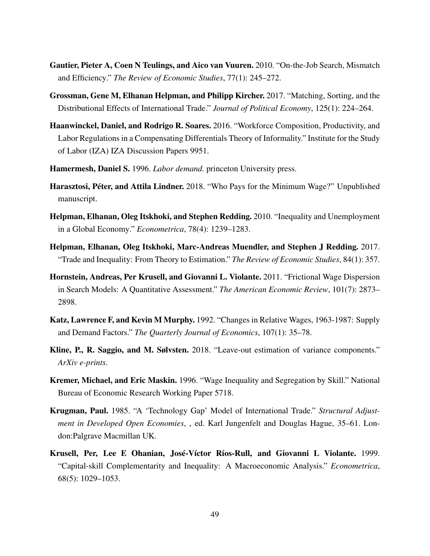- <span id="page-49-3"></span>Gautier, Pieter A, Coen N Teulings, and Aico van Vuuren. 2010. "On-the-Job Search, Mismatch and Efficiency." *The Review of Economic Studies*, 77(1): 245–272.
- <span id="page-49-4"></span>Grossman, Gene M, Elhanan Helpman, and Philipp Kircher. 2017. "Matching, Sorting, and the Distributional Effects of International Trade." *Journal of Political Economy*, 125(1): 224–264.
- <span id="page-49-8"></span>Haanwinckel, Daniel, and Rodrigo R. Soares. 2016. "Workforce Composition, Productivity, and Labor Regulations in a Compensating Differentials Theory of Informality." Institute for the Study of Labor (IZA) IZA Discussion Papers 9951.
- <span id="page-49-9"></span>Hamermesh, Daniel S. 1996. *Labor demand.* princeton University press.
- <span id="page-49-6"></span>Harasztosi, Péter, and Attila Lindner. 2018. "Who Pays for the Minimum Wage?" Unpublished manuscript.
- <span id="page-49-11"></span>Helpman, Elhanan, Oleg Itskhoki, and Stephen Redding. 2010. "Inequality and Unemployment in a Global Economy." *Econometrica*, 78(4): 1239–1283.
- <span id="page-49-12"></span>Helpman, Elhanan, Oleg Itskhoki, Marc-Andreas Muendler, and Stephen J Redding. 2017. "Trade and Inequality: From Theory to Estimation." *The Review of Economic Studies*, 84(1): 357.
- <span id="page-49-1"></span>Hornstein, Andreas, Per Krusell, and Giovanni L. Violante. 2011. "Frictional Wage Dispersion in Search Models: A Quantitative Assessment." *The American Economic Review*, 101(7): 2873– 2898.
- <span id="page-49-0"></span>Katz, Lawrence F, and Kevin M Murphy. 1992. "Changes in Relative Wages, 1963-1987: Supply and Demand Factors." *The Quarterly Journal of Economics*, 107(1): 35–78.
- <span id="page-49-2"></span>Kline, P., R. Saggio, and M. Sølvsten. 2018. "Leave-out estimation of variance components." *ArXiv e-prints*.
- <span id="page-49-7"></span>Kremer, Michael, and Eric Maskin. 1996. "Wage Inequality and Segregation by Skill." National Bureau of Economic Research Working Paper 5718.
- <span id="page-49-5"></span>Krugman, Paul. 1985. "A 'Technology Gap' Model of International Trade." *Structural Adjustment in Developed Open Economies*, , ed. Karl Jungenfelt and Douglas Hague, 35–61. London:Palgrave Macmillan UK.
- <span id="page-49-10"></span>Krusell, Per, Lee E Ohanian, José-Víctor Ríos-Rull, and Giovanni L Violante. 1999. "Capital-skill Complementarity and Inequality: A Macroeconomic Analysis." *Econometrica*, 68(5): 1029–1053.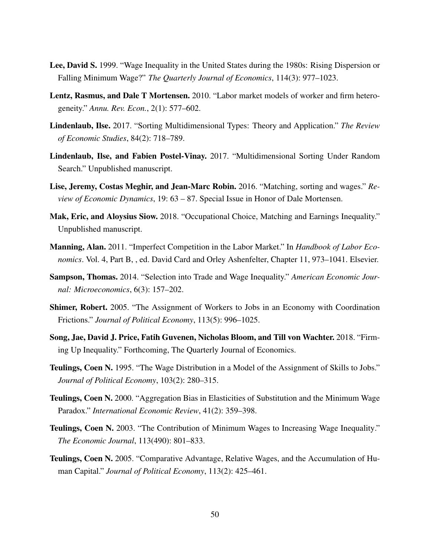- <span id="page-50-0"></span>Lee, David S. 1999. "Wage Inequality in the United States during the 1980s: Rising Dispersion or Falling Minimum Wage?" *The Quarterly Journal of Economics*, 114(3): 977–1023.
- <span id="page-50-6"></span>Lentz, Rasmus, and Dale T Mortensen. 2010. "Labor market models of worker and firm heterogeneity." *Annu. Rev. Econ.*, 2(1): 577–602.
- <span id="page-50-5"></span>Lindenlaub, Ilse. 2017. "Sorting Multidimensional Types: Theory and Application." *The Review of Economic Studies*, 84(2): 718–789.
- <span id="page-50-9"></span>Lindenlaub, Ilse, and Fabien Postel-Vinay. 2017. "Multidimensional Sorting Under Random Search." Unpublished manuscript.
- <span id="page-50-8"></span>Lise, Jeremy, Costas Meghir, and Jean-Marc Robin. 2016. "Matching, sorting and wages." *Review of Economic Dynamics*, 19: 63 – 87. Special Issue in Honor of Dale Mortensen.
- <span id="page-50-12"></span>Mak, Eric, and Aloysius Siow. 2018. "Occupational Choice, Matching and Earnings Inequality." Unpublished manuscript.
- <span id="page-50-1"></span>Manning, Alan. 2011. "Imperfect Competition in the Labor Market." In *Handbook of Labor Economics*. Vol. 4, Part B, , ed. David Card and Orley Ashenfelter, Chapter 11, 973–1041. Elsevier.
- <span id="page-50-13"></span>Sampson, Thomas. 2014. "Selection into Trade and Wage Inequality." *American Economic Journal: Microeconomics*, 6(3): 157–202.
- <span id="page-50-7"></span>Shimer, Robert. 2005. "The Assignment of Workers to Jobs in an Economy with Coordination Frictions." *Journal of Political Economy*, 113(5): 996–1025.
- <span id="page-50-2"></span>Song, Jae, David J. Price, Fatih Guvenen, Nicholas Bloom, and Till von Wachter. 2018. "Firming Up Inequality." Forthcoming, The Quarterly Journal of Economics.
- <span id="page-50-11"></span>Teulings, Coen N. 1995. "The Wage Distribution in a Model of the Assignment of Skills to Jobs." *Journal of Political Economy*, 103(2): 280–315.
- <span id="page-50-3"></span>Teulings, Coen N. 2000. "Aggregation Bias in Elasticities of Substitution and the Minimum Wage Paradox." *International Economic Review*, 41(2): 359–398.
- <span id="page-50-4"></span>Teulings, Coen N. 2003. "The Contribution of Minimum Wages to Increasing Wage Inequality." *The Economic Journal*, 113(490): 801–833.
- <span id="page-50-10"></span>Teulings, Coen N. 2005. "Comparative Advantage, Relative Wages, and the Accumulation of Human Capital." *Journal of Political Economy*, 113(2): 425–461.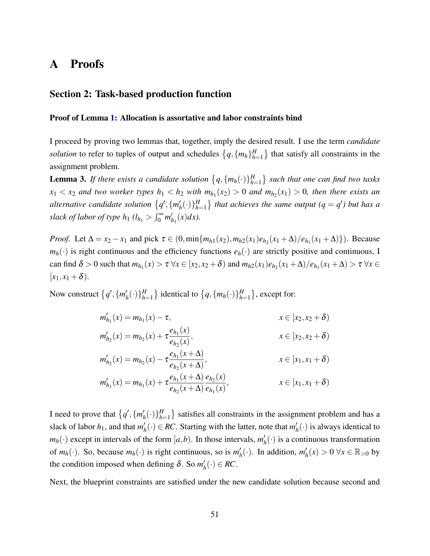# <span id="page-51-0"></span>A Proofs

### Section 2: Task-based production function

#### Proof of Lemma [1:](#page-7-1) Allocation is assortative and labor constraints bind

I proceed by proving two lemmas that, together, imply the desired result. I use the term *candidate* solution to refer to tuples of output and schedules  $\{q, \{m_h\}_{h=1}^H\}$  $\{H_{h=1}\}\$  that satisfy all constraints in the assignment problem.

<span id="page-51-1"></span>**Lemma 3.** If there exists a candidate solution  $\{q, \{m_h(\cdot)\}\}_{h=1}^H$ *h*=1 *such that one can find two tasks*  $x_1 < x_2$  and two worker types  $h_1 < h_2$  with  $m_{h_1}(x_2) > 0$  and  $m_{h_2}(x_1) > 0$ , then there exists an *alternative candidate solution*  $\{q', \{m'_p\}$  $h'_h(\cdot)\}_{h=1}^H$  $H_{h=1}$ } that achieves the same output ( $q = q'$ ) but has a *slack of labor of type h*<sub>1</sub>  $(l_{h_1} > \int_0^\infty m'_h)$  $'_{h_1}(x)dx$ ).

*Proof.* Let  $\Delta = x_2 - x_1$  and pick  $\tau \in (0, \min\{m_{h1}(x_2), m_{h2}(x_1)e_{h2}(x_1 + \Delta)/e_{h1}(x_1 + \Delta)\})$ . Because  $m_h(\cdot)$  is right continuous and the efficiency functions  $e_h(\cdot)$  are strictly positive and continuous, I  $\tau$  can find  $\delta > 0$  such that  $m_{h_1}(x) > \tau \ \forall x \in [x_2, x_2 + \delta)$  and  $m_{h_2}(x_1) e_{h_2}(x_1 + \Delta) / e_{h_1}(x_1 + \Delta) > \tau \ \forall x \in [x_2, x_2 + \delta)$  $[x_1, x_1 + \delta).$ 

Now construct  $\{q', \{m'_l\}$  $h'_h(\cdot)\}_{h=1}^H$  $\{H_{h=1}^H\}$  identical to  $\{q, \{m_h(\cdot)\}\}_{h=1}^H$  $_{h=1}^H$ }, except for:

$$
m'_{h_1}(x) = m_{h_1}(x) - \tau,
$$
  
\n
$$
m'_{h_2}(x) = m_{h_2}(x) + \tau \frac{e_{h_1}(x)}{e_{h_2}(x)},
$$
  
\n
$$
m'_{h_2}(x) = m_{h_2}(x) - \tau \frac{e_{h_1}(x+\Delta)}{e_{h_2}(x+\Delta)},
$$
  
\n
$$
m'_{h_1}(x) = m_{h_1}(x) + \tau \frac{e_{h_1}(x+\Delta)}{e_{h_2}(x+\Delta)} \frac{e_{h_2}(x)}{e_{h_1}(x)},
$$
  
\n
$$
x \in [x_1, x_1 + \delta)
$$
  
\n
$$
x \in [x_1, x_1 + \delta)
$$

I need to prove that  $\{q', \{m'_p\}$  $h'_h(\cdot)\}_{h=1}^H$  $\binom{H}{h=1}$  satisfies all constraints in the assignment problem and has a slack of labor  $h_1$ , and that  $m'_1$  $h'_h(\cdot) \in RC$ . Starting with the latter, note that  $m'_h$  $h_{h}^{\prime}(\cdot)$  is always identical to  $m_h(\cdot)$  except in intervals of the form  $[a,b)$ . In those intervals,  $m_l'$  $h(t)$  is a continuous transformation of  $m_h(\cdot)$ . So, because  $m_h(\cdot)$  is right continuous, so is  $m'_h$  $h'_h(\cdot)$ . In addition,  $m'_h$  $h'_h(x) > 0$  ∀*x* ∈ ℝ<sub>>0</sub> by the condition imposed when defining  $\delta$ . So  $m'_p$  $h'_h(\cdot) \in RC.$ 

Next, the blueprint constraints are satisfied under the new candidate solution because second and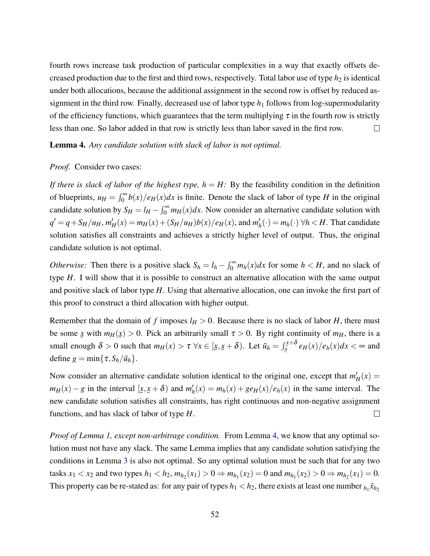fourth rows increase task production of particular complexities in a way that exactly offsets decreased production due to the first and third rows, respectively. Total labor use of type  $h_2$  is identical under both allocations, because the additional assignment in the second row is offset by reduced assignment in the third row. Finally, decreased use of labor type  $h_1$  follows from log-supermodularity of the efficiency functions, which guarantees that the term multiplying  $\tau$  in the fourth row is strictly less than one. So labor added in that row is strictly less than labor saved in the first row.  $\Box$ 

<span id="page-52-0"></span>Lemma 4. *Any candidate solution with slack of labor is not optimal.*

#### *Proof.* Consider two cases:

*If there is slack of labor of the highest type,*  $h = H$ *:* By the feasibility condition in the definition of blueprints,  $u_H = \int_0^\infty b(x)/e_H(x)dx$  is finite. Denote the slack of labor of type *H* in the original candidate solution by  $S_H = l_H - \int_0^\infty m_H(x) dx$ . Now consider an alternative candidate solution with  $q' = q + S_H/u_H, m'_H(x) = m_H(x) + (S_H/u_H)b(x)/e_H(x)$ , and  $m'_H$  $h'_h(\cdot) = m_h(\cdot) \,\forall h \lt H$ . That candidate solution satisfies all constraints and achieves a strictly higher level of output. Thus, the original candidate solution is not optimal.

*Otherwise:* Then there is a positive slack  $S_h = l_h - \int_0^\infty m_h(x) dx$  for some  $h < H$ , and no slack of type *H*. I will show that it is possible to construct an alternative allocation with the same output and positive slack of labor type *H*. Using that alternative allocation, one can invoke the first part of this proof to construct a third allocation with higher output.

Remember that the domain of f imposes  $l_H > 0$ . Because there is no slack of labor H, there must be some *x* with  $m_H(x) > 0$ . Pick an arbitrarily small  $\tau > 0$ . By right continuity of  $m_H$ , there is a  $\frac{1}{2}$   $\cdots$   $\frac{1}{2}$   $\cdots$   $\frac{1}{2}$ small enough  $\delta > 0$  such that  $m_H(x) > \tau \,\forall x \in [\underline{x}]$ *x*,  $(\underline{x} + \delta)$ . Let  $\tilde{u}_h = \int_{\underline{x}}^{\underline{x} + \delta}$  $\int_{\frac{x}{2}}^{\frac{x}{2}+\delta} e_H(x)/e_h(x)dx < \infty$  and define  $g = \min\{\tau, S_h/\tilde{u}_h\}.$ 

Now consider an alternative candidate solution identical to the original one, except that  $m_H'(x)$  $m_H(x) - g$  in the interval [ $x, x + \delta$ ) and  $m'_h$  $h'_h(x) = m_h(x) + g e_H(x) / e_h(x)$  in the same interval. The ≃ ∍≃<br>• new candidate solution satisfies all constraints, has right continuous and non-negative assignment functions, and has slack of labor of type *H*.  $\Box$ 

*Proof of Lemma [1,](#page-7-1) except non-arbitrage condition.* From Lemma [4,](#page-52-0) we know that any optimal solution must not have any slack. The same Lemma implies that any candidate solution satisfying the conditions in Lemma [3](#page-51-1) is also not optimal. So any optimal solution must be such that for any two tasks  $x_1 < x_2$  and two types  $h_1 < h_2$ ,  $m_{h_2}(x_1) > 0 \Rightarrow m_{h_1}(x_2) = 0$  and  $m_{h_1}(x_2) > 0 \Rightarrow m_{h_2}(x_1) = 0$ . This property can be re-stated as: for any pair of types  $h_1 < h_2$ , there exists at least one number  $h_1 \bar{x}_{h_2}$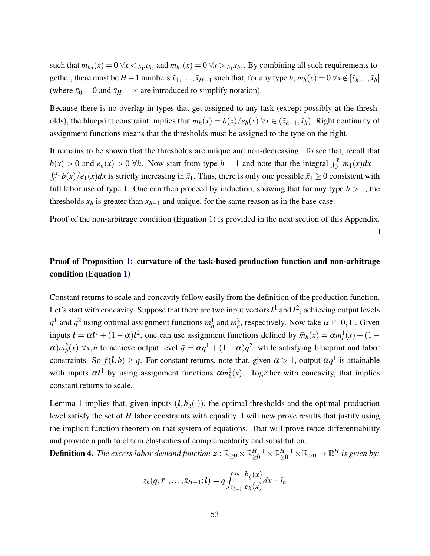such that  $m_{h_2}(x) = 0 \ \forall x < h_1 \bar{x}_{h_2}$  and  $m_{h_1}(x) = 0 \ \forall x > h_1 \bar{x}_{h_2}$ . By combining all such requirements together, there must be *H* − 1 numbers  $\bar{x}_1, \ldots, \bar{x}_{H-1}$  such that, for any type *h*,  $m_h(x) = 0 \,\forall x \notin [\bar{x}_{h-1}, \bar{x}_h]$ (where  $\bar{x}_0 = 0$  and  $\bar{x}_H = \infty$  are introduced to simplify notation).

Because there is no overlap in types that get assigned to any task (except possibly at the thresholds), the blueprint constraint implies that  $m_h(x) = b(x)/e_h(x)$   $\forall x \in (\bar{x}_{h-1}, \bar{x}_h)$ . Right continuity of assignment functions means that the thresholds must be assigned to the type on the right.

It remains to be shown that the thresholds are unique and non-decreasing. To see that, recall that  $b(x) > 0$  and  $e_h(x) > 0$   $\forall h$ . Now start from type  $h = 1$  and note that the integral  $\int_0^{\bar{x}_1} m_1(x) dx =$  $\int_0^{\bar{x}_1} b(x)/e_1(x) dx$  is strictly increasing in  $\bar{x}_1$ . Thus, there is only one possible  $\bar{x}_1 \ge 0$  consistent with full labor use of type 1. One can then proceed by induction, showing that for any type  $h > 1$ , the thresholds  $\bar{x}_h$  is greater than  $\bar{x}_{h-1}$  and unique, for the same reason as in the base case.

Proof of the non-arbitrage condition (Equation [1\)](#page-7-0) is provided in the next section of this Appendix.

### $\Box$

## Proof of Proposition [1:](#page-10-0) curvature of the task-based production function and non-arbitrage condition (Equation [1\)](#page-7-0)

Constant returns to scale and concavity follow easily from the definition of the production function. Let's start with concavity. Suppose that there are two input vectors  $l^1$  and  $l^2$ , achieving output levels  $q^1$  and  $q^2$  using optimal assignment functions  $m^1_h$  and  $m^2_h$ , respectively. Now take  $\alpha \in [0,1]$ . Given inputs  $\bar{l} = \alpha l^1 + (1 - \alpha)l^2$ , one can use assignment functions defined by  $\bar{m}_h(x) = \alpha m_h^1(x) + (1 - \alpha)l^2$  $\alpha$ ) $m_h^2(x)$   $\forall x, h$  to achieve output level  $\bar{q} = \alpha q^1 + (1 - \alpha)q^2$ , while satisfying blueprint and labor constraints. So  $f(\bar{l}, b) \ge \bar{q}$ . For constant returns, note that, given  $\alpha > 1$ , output  $\alpha q^1$  is attainable with inputs  $\alpha l^1$  by using assignment functions  $\alpha m_h^1(x)$ . Together with concavity, that implies constant returns to scale.

Lemma [1](#page-7-1) implies that, given inputs  $(l, b_g(\cdot))$ , the optimal thresholds and the optimal production level satisfy the set of *H* labor constraints with equality. I will now prove results that justify using the implicit function theorem on that system of equations. That will prove twice differentiability and provide a path to obtain elasticities of complementarity and substitution.

**Definition 4.** The excess labor demand function  $\bm{z}$  :  $\mathbb{R}_{\geq 0} \times \mathbb{R}_{\geq 0}^{H-1} \times \mathbb{R}_{\geq 0}^{H-1} \times \mathbb{R}_{> 0} \to \mathbb{R}^H$  is given by:

$$
z_h(q, \bar{x}_1, \ldots, \bar{x}_{H-1}; l) = q \int_{\bar{x}_{h-1}}^{\bar{x}_h} \frac{b_g(x)}{e_h(x)} dx - l_h
$$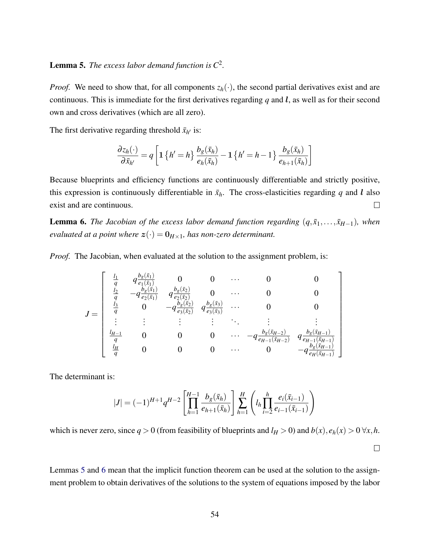### <span id="page-54-0"></span>**Lemma 5.** The excess labor demand function is  $C^2$ .

*Proof.* We need to show that, for all components  $z_h(\cdot)$ , the second partial derivatives exist and are continuous. This is immediate for the first derivatives regarding  $q$  and  $l$ , as well as for their second own and cross derivatives (which are all zero).

The first derivative regarding threshold  $\bar{x}_{h'}$  is:

$$
\frac{\partial z_h(\cdot)}{\partial \bar{x}_{h'}} = q \left[ \mathbf{1} \left\{ h' = h \right\} \frac{b_g(\bar{x}_h)}{e_h(\bar{x}_h)} - \mathbf{1} \left\{ h' = h - 1 \right\} \frac{b_g(\bar{x}_h)}{e_{h+1}(\bar{x}_h)} \right]
$$

Because blueprints and efficiency functions are continuously differentiable and strictly positive, this expression is continuously differentiable in  $\bar{x}_h$ . The cross-elasticities regarding *q* and *l* also exist and are continuous.  $\Box$ 

<span id="page-54-1"></span>**Lemma 6.** *The Jacobian of the excess labor demand function regarding*  $(q, \bar{x}_1, \ldots, \bar{x}_{H-1})$ *, when evaluated at a point where*  $z(\cdot) = 0_{H \times 1}$ *, has non-zero determinant.* 

*Proof.* The Jacobian, when evaluated at the solution to the assignment problem, is:

$$
J = \begin{bmatrix} \frac{l_1}{q} & q\frac{b_g(\bar{x}_1)}{e_1(\bar{x}_1)} & 0 & 0 & \cdots & 0 & 0\\ \frac{l_2}{q} & -q\frac{b_g(\bar{x}_1)}{e_2(\bar{x}_1)} & q\frac{b_g(\bar{x}_2)}{e_2(\bar{x}_2)} & 0 & \cdots & 0 & 0\\ \frac{l_3}{q} & 0 & -q\frac{b_g(\bar{x}_2)}{e_3(\bar{x}_2)} & q\frac{b_g(\bar{x}_3)}{e_3(\bar{x}_3)} & \cdots & 0 & 0\\ \vdots & \vdots & \vdots & \vdots & \ddots & \vdots & \vdots\\ \frac{l_{H-1}}{q} & 0 & 0 & 0 & \cdots & -q\frac{b_g(\bar{x}_{H-2})}{e_{H-1}(\bar{x}_{H-2})} & q\frac{b_g(\bar{x}_{H-1})}{e_{H-1}(\bar{x}_{H-1})}\\ \frac{l_H}{q} & 0 & 0 & 0 & \cdots & 0 & -q\frac{b_g(\bar{x}_{H-1})}{e_H(\bar{x}_{H-1})} \end{bmatrix}
$$

The determinant is:

$$
|J| = (-1)^{H+1} q^{H-2} \left[ \prod_{h=1}^{H-1} \frac{b_g(\bar{x}_h)}{e_{h+1}(\bar{x}_h)} \right] \sum_{h=1}^H \left( l_h \prod_{i=2}^h \frac{e_i(\bar{x}_{i-1})}{e_{i-1}(\bar{x}_{i-1})} \right)
$$

which is never zero, since  $q > 0$  (from feasibility of blueprints and  $l_H > 0$ ) and  $b(x)$ ,  $e_h(x) > 0 \forall x, h$ .

 $\Box$ 

Lemmas [5](#page-54-0) and [6](#page-54-1) mean that the implicit function theorem can be used at the solution to the assignment problem to obtain derivatives of the solutions to the system of equations imposed by the labor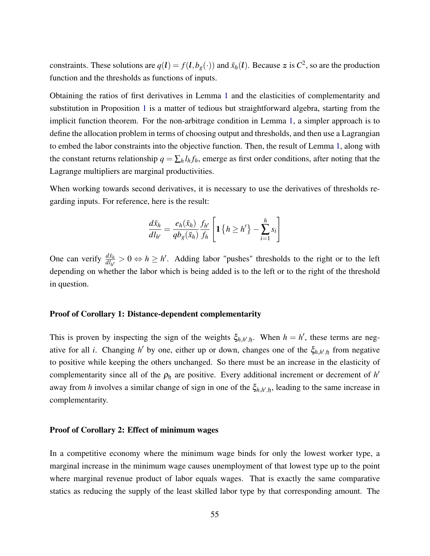constraints. These solutions are  $q(l) = f(l, b_g(\cdot))$  and  $\bar{x}_h(l)$ . Because z is  $C^2$ , so are the production function and the thresholds as functions of inputs.

Obtaining the ratios of first derivatives in Lemma [1](#page-7-1) and the elasticities of complementarity and substitution in Proposition [1](#page-10-0) is a matter of tedious but straightforward algebra, starting from the implicit function theorem. For the non-arbitrage condition in Lemma [1,](#page-7-1) a simpler approach is to define the allocation problem in terms of choosing output and thresholds, and then use a Lagrangian to embed the labor constraints into the objective function. Then, the result of Lemma [1,](#page-7-0) along with the constant returns relationship  $q = \sum_h l_h f_h$ , emerge as first order conditions, after noting that the Lagrange multipliers are marginal productivities.

When working towards second derivatives, it is necessary to use the derivatives of thresholds regarding inputs. For reference, here is the result:

$$
\frac{d\bar{x}_h}{dI_{h'}} = \frac{e_h(\bar{x}_h)}{qb_g(\bar{x}_h)} \frac{f_{h'}}{f_h} \left[ \mathbf{1} \left\{ h \ge h' \right\} - \sum_{i=1}^h s_i \right]
$$

One can verify  $\frac{d\bar{x}_h}{dI_{h'}} > 0 \Leftrightarrow h \ge h'$ . Adding labor "pushes" thresholds to the right or to the left depending on whether the labor which is being added is to the left or to the right of the threshold in question.

### Proof of Corollary 1: Distance-dependent complementarity

This is proven by inspecting the sign of the weights  $\xi_{h,h',\mathfrak{h}}$ . When  $h = h'$ , these terms are negative for all *i*. Changing *h*<sup> $\prime$ </sup> by one, either up or down, changes one of the  $\zeta_{h,h',\mathfrak{h}}$  from negative to positive while keeping the others unchanged. So there must be an increase in the elasticity of complementarity since all of the  $\rho_{\mathfrak{h}}$  are positive. Every additional increment or decrement of  $h'$ away from *h* involves a similar change of sign in one of the  $\xi_{h,h',\mathfrak{h}}$ , leading to the same increase in complementarity.

### Proof of Corollary 2: Effect of minimum wages

In a competitive economy where the minimum wage binds for only the lowest worker type, a marginal increase in the minimum wage causes unemployment of that lowest type up to the point where marginal revenue product of labor equals wages. That is exactly the same comparative statics as reducing the supply of the least skilled labor type by that corresponding amount. The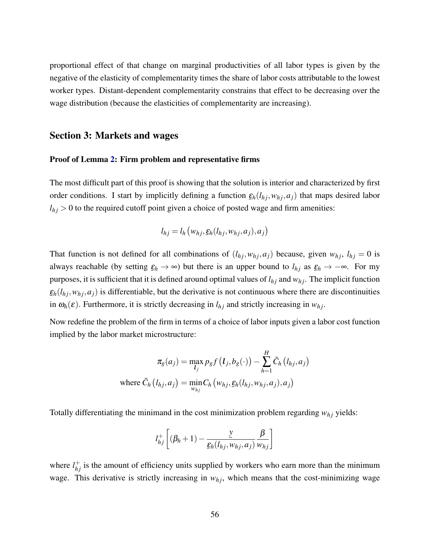proportional effect of that change on marginal productivities of all labor types is given by the negative of the elasticity of complementarity times the share of labor costs attributable to the lowest worker types. Distant-dependent complementarity constrains that effect to be decreasing over the wage distribution (because the elasticities of complementarity are increasing).

### Section 3: Markets and wages

#### Proof of Lemma [2:](#page-18-1) Firm problem and representative firms

The most difficult part of this proof is showing that the solution is interior and characterized by first order conditions. I start by implicitly defining a function  $\underline{\varepsilon}_h(l_{hj}, w_{hj}, a_j)$  that maps desired labor  $l_{hj}$  > 0 to the required cutoff point given a choice of posted wage and firm amenities:

$$
l_{hj} = l_h \left( w_{hj}, \underline{\varepsilon}_h(l_{hj}, w_{hj}, a_j), a_j \right)
$$

That function is not defined for all combinations of  $(l_{hj}, w_{hj}, a_j)$  because, given  $w_{hj}, l_{hj} = 0$  is always reachable (by setting  $\xi_h \to \infty$ ) but there is an upper bound to  $l_{hj}$  as  $\xi_h \to -\infty$ . For my  $\sum_{i=1}^{n}$   $\sum_{i=1}^{n}$   $\sum_{i=1}^{n}$   $\sum_{i=1}^{n}$   $\sum_{i=1}^{n}$   $\sum_{i=1}^{n}$   $\sum_{i=1}^{n}$   $\sum_{i=1}^{n}$   $\sum_{i=1}^{n}$ purposes, it is sufficient that it is defined around optimal values of  $l_{hj}$  and  $w_{hj}$ . The implicit function  $\underline{\varepsilon}_h(l_{hj}, w_{hj}, a_j)$  is differentiable, but the derivative is not continuous where there are discontinuities in  $\omega_h(\varepsilon)$ . Furthermore, it is strictly decreasing in  $l_{h_j}$  and strictly increasing in  $w_{h_j}$ .

Now redefine the problem of the firm in terms of a choice of labor inputs given a labor cost function implied by the labor market microstructure:

$$
\pi_g(a_j) = \max_{l_j} p_g f(l_j, b_g(\cdot)) - \sum_{h=1}^H \tilde{C}_h(l_{hj}, a_j)
$$
  
where  $\tilde{C}_h(l_{hj}, a_j) = \min_{w_{hj}} C_h(w_{hj}, \varepsilon_h(l_{hj}, w_{hj}, a_j), a_j)$ 

Totally differentiating the minimand in the cost minimization problem regarding  $w_{hj}$  yields:

$$
l_{hj}^{+}\left[(\beta_h+1)-\frac{\underline{y}}{\underline{\varepsilon}_h(l_{hj},w_{hj},a_j)}\frac{\beta}{w_{hj}}\right]
$$

where  $l_{hj}^{+}$  is the amount of efficiency units supplied by workers who earn more than the minimum wage. This derivative is strictly increasing in  $w_{hj}$ , which means that the cost-minimizing wage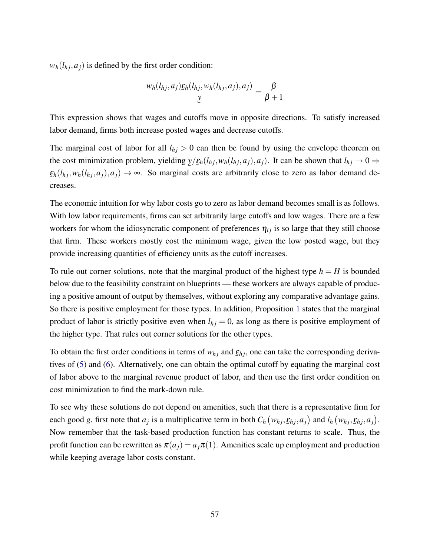$w_h(l_h; a_i)$  is defined by the first order condition:

$$
\frac{w_h(l_{hj},a_j)\underline{\varepsilon}_h(l_{hj},w_h(l_{hj},a_j),a_j)}{\underline{y}}=\frac{\beta}{\beta+1}
$$

This expression shows that wages and cutoffs move in opposite directions. To satisfy increased labor demand, firms both increase posted wages and decrease cutoffs.

The marginal cost of labor for all  $l_{hj} > 0$  can then be found by using the envelope theorem on the cost minimization problem, yielding *y*/ -<br>آ  $\underline{\varepsilon}_h(l_{hj}, w_h(l_{hj}, a_j), a_j)$ . It can be shown that  $l_{hj} \to 0 \Rightarrow$  $\underline{\varepsilon}_h(l_{hj}, w_h(l_{hj}, a_j), a_j) \rightarrow \infty$ . So marginal costs are arbitrarily close to zero as labor demand decreases.

The economic intuition for why labor costs go to zero as labor demand becomes small is as follows. With low labor requirements, firms can set arbitrarily large cutoffs and low wages. There are a few workers for whom the idiosyncratic component of preferences  $\eta_{ij}$  is so large that they still choose that firm. These workers mostly cost the minimum wage, given the low posted wage, but they provide increasing quantities of efficiency units as the cutoff increases.

To rule out corner solutions, note that the marginal product of the highest type  $h = H$  is bounded below due to the feasibility constraint on blueprints — these workers are always capable of producing a positive amount of output by themselves, without exploring any comparative advantage gains. So there is positive employment for those types. In addition, Proposition [1](#page-10-0) states that the marginal product of labor is strictly positive even when  $l_{hj} = 0$ , as long as there is positive employment of the higher type. That rules out corner solutions for the other types.

To obtain the first order conditions in terms of  $w_{hj}$  and  $\underline{\varepsilon}_{hj}$ , one can take the corresponding derivatives of [\(5\)](#page-17-1) and [\(6\)](#page-17-2). Alternatively, one can obtain the optimal cutoff by equating the marginal cost of labor above to the marginal revenue product of labor, and then use the first order condition on cost minimization to find the mark-down rule.

To see why these solutions do not depend on amenities, such that there is a representative firm for each good g, first note that  $a_j$  is a multiplicative term in both  $C_h(w_{hj}, \underline{\epsilon}_{hj}, a_j)$  and  $l_h(w_{hj}, \underline{\epsilon}_{hj}, a_j)$ .  $\frac{1}{\sqrt{n}}$ Now remember that the task-based production function has constant returns to scale. Thus, the profit function can be rewritten as  $\pi(a_i) = a_i \pi(1)$ . Amenities scale up employment and production while keeping average labor costs constant.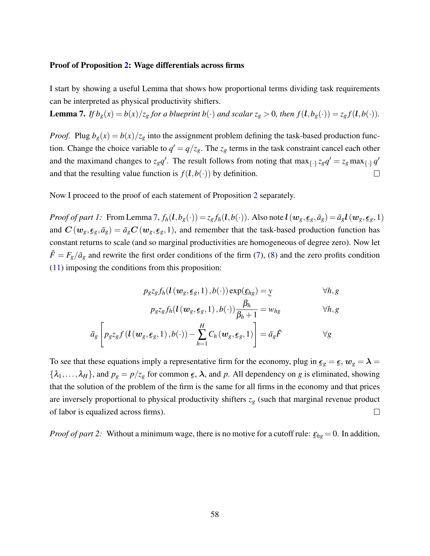### Proof of Proposition [2:](#page-0-0) Wage differentials across firms

I start by showing a useful Lemma that shows how proportional terms dividing task requirements can be interpreted as physical productivity shifters.

<span id="page-58-0"></span>**Lemma 7.** If  $b_g(x) = b(x)/z_g$  for a blueprint  $b(\cdot)$  and scalar  $z_g > 0$ , then  $f(l, b_g(\cdot)) = z_g f(l, b(\cdot))$ .

*Proof.* Plug  $b_g(x) = b(x)/z_g$  into the assignment problem defining the task-based production function. Change the choice variable to  $q' = q/z_g$ . The  $z_g$  terms in the task constraint cancel each other and the maximand changes to  $z_g q'$ . The result follows from noting that  $\max_{\{\cdot\}} z_g q' = z_g \max_{\{\cdot\}} q'$ and that the resulting value function is  $f(l, b(\cdot))$  by definition.  $\Box$ 

Now I proceed to the proof of each statement of Proposition [2](#page-0-0) separately.

*Proof of part 1:* From Lemma [7,](#page-58-0)  $f_h(l, b_g(\cdot)) = z_g f_h(l, b(\cdot))$ . Also note  $l(w_g, \epsilon_g, \bar{a}_g) = \bar{a}_g l(w_g, \epsilon_g, 1)$ and  $C(w_g, \epsilon_g, \bar{a}_g) = \bar{a}_g C(w_g, \epsilon_g, 1)$ , and remember that the task-based production function has constant returns to scale (and so marginal productivities are homogeneous of degree zero). Now let  $\tilde{F} = F_g/\bar{a}_g$  and rewrite the first order conditions of the firm [\(7\)](#page-18-0), [\(8\)](#page-18-1) and the zero profits condition [\(11\)](#page-20-1) imposing the conditions from this proposition:

$$
p_{g}z_{g}f_{h}(\mathbf{l}(\mathbf{w}_{g},\boldsymbol{\epsilon}_{g},1),b(\cdot))\exp(\boldsymbol{\epsilon}_{hg})=\underline{y}\qquad\qquad\forall h,g
$$

$$
p_{g}z_{g}f_{h}(l(w_{g}, \underline{\epsilon}_{g}, 1), b(\cdot))\frac{\beta_{h}}{\beta_{h}+1} = w_{hg} \qquad \forall h, g
$$

$$
\bar{a}_g \left[ p_g z_g f\left(\mathbf{l}\left(\mathbf{w}_g, \boldsymbol{\epsilon}_g, 1\right), b(\cdot)\right) - \sum_{h=1}^H C_h\left(\mathbf{w}_g, \boldsymbol{\epsilon}_g, 1\right) \right] = \bar{a}_g \tilde{F} \qquad \forall g
$$

To see that these equations imply a representative firm for the economy, plug in  $\boldsymbol{\epsilon}_g = \boldsymbol{\epsilon}, \, \boldsymbol{w}_g = \boldsymbol{\lambda} =$  $\{\lambda_1, \ldots, \lambda_H\}$ , and  $p_g = p/z_g$  for common  $\epsilon$  $\epsilon$ ,  $\lambda$ , and p. All dependency on g is eliminated, showing that the solution of the problem of the firm is the same for all firms in the economy and that prices are inversely proportional to physical productivity shifters  $z_g$  (such that marginal revenue product  $\Box$ of labor is equalized across firms).

*Proof of part 2:* Without a minimum wage, there is no motive for a cutoff rule:  $\underline{\varepsilon}_{hg} = 0$ . In addition,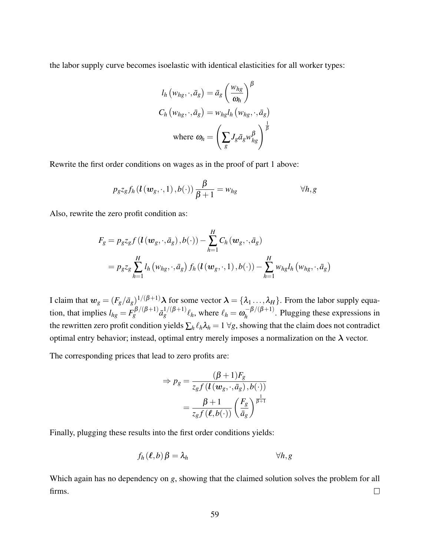the labor supply curve becomes isoelastic with identical elasticities for all worker types:

$$
l_h(w_{hg}, \cdot, \bar{a}_g) = \bar{a}_g \left(\frac{w_{hg}}{\omega_h}\right)^{\beta}
$$
  

$$
C_h(w_{hg}, \cdot, \bar{a}_g) = w_{hg} l_h(w_{hg}, \cdot, \bar{a}_g)
$$
  
where 
$$
\omega_h = \left(\sum_g J_g \bar{a}_g w_{hg}^{\beta}\right)^{\frac{1}{\beta}}
$$

Rewrite the first order conditions on wages as in the proof of part 1 above:

$$
p_{g}z_{g}f_{h}(l(w_{g},\cdot,1),b(\cdot))\frac{\beta}{\beta+1}=w_{hg} \qquad \forall h,g
$$

Also, rewrite the zero profit condition as:

$$
F_g = p_g z_g f\left(\mathbf{l}\left(\mathbf{w}_g, \cdot, \bar{a}_g\right), b(\cdot)\right) - \sum_{h=1}^H C_h(\mathbf{w}_g, \cdot, \bar{a}_g)
$$
  
=  $p_g z_g \sum_{h=1}^H l_h \left(w_{hg}, \cdot, \bar{a}_g\right) f_h\left(\mathbf{l}\left(\mathbf{w}_g, \cdot, 1\right), b(\cdot)\right) - \sum_{h=1}^H w_{hg} l_h \left(w_{hg}, \cdot, \bar{a}_g\right)$ 

I claim that  $w_g = (F_g/\bar{a}_g)^{1/(\beta+1)} \lambda$  for some vector  $\lambda = \{\lambda_1, ..., \lambda_H\}$ . From the labor supply equation, that implies  $l_{hg} = F_g^{\beta/(\beta+1)} \bar{a}_g^{1/(\beta+1)} \ell_h$ , where  $\ell_h = \omega_h^{-\beta/(\beta+1)}$  $h_h^{-\rho/(p+1)}$ . Plugging these expressions in the rewritten zero profit condition yields  $\sum_h \ell_h \lambda_h = 1 \ \forall g$ , showing that the claim does not contradict optimal entry behavior; instead, optimal entry merely imposes a normalization on the  $\lambda$  vector.

The corresponding prices that lead to zero profits are:

$$
\Rightarrow p_g = \frac{(\beta + 1)F_g}{z_g f(l(w_g, \cdot, \bar{a}_g), b(\cdot))}
$$

$$
= \frac{\beta + 1}{z_g f(\ell, b(\cdot))} \left(\frac{F_g}{\bar{a}_g}\right)^{\frac{1}{\beta + 1}}
$$

Finally, plugging these results into the first order conditions yields:

$$
f_h(\ell, b)\beta = \lambda_h \qquad \forall h, g
$$

Which again has no dependency on *g*, showing that the claimed solution solves the problem for all firms.  $\Box$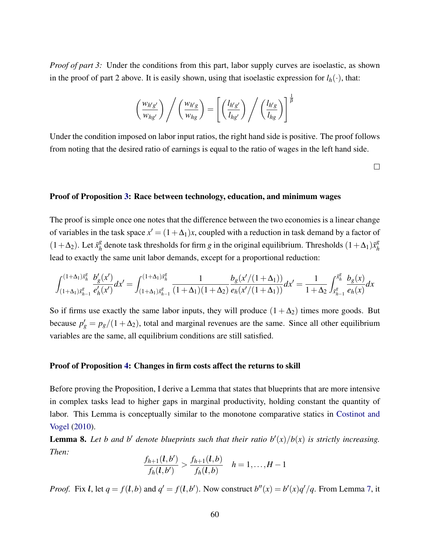*Proof of part 3:* Under the conditions from this part, labor supply curves are isoelastic, as shown in the proof of part 2 above. It is easily shown, using that isoelastic expression for  $l_h(\cdot)$ , that:

$$
\left(\frac{w_{h'g'}}{w_{hg'}}\right) \Bigg/ \left(\frac{w_{h'g}}{w_{hg}}\right) = \left[ \left(\frac{l_{h'g'}}{l_{hg'}}\right) \Bigg/ \left(\frac{l_{h'g}}{l_{hg}}\right) \right]^{\frac{1}{\beta}}
$$

Under the condition imposed on labor input ratios, the right hand side is positive. The proof follows from noting that the desired ratio of earnings is equal to the ratio of wages in the left hand side.

 $\Box$ 

### Proof of Proposition [3:](#page-23-0) Race between technology, education, and minimum wages

The proof is simple once one notes that the difference between the two economies is a linear change of variables in the task space  $x' = (1 + \Delta_1)x$ , coupled with a reduction in task demand by a factor of  $(1+\Delta_2)$ . Let  $\bar{x}_h^g$  $\frac{g}{h}$  denote task thresholds for firm *g* in the original equilibrium. Thresholds  $(1 + \Delta_1) \bar{x}_h^g$ *h* lead to exactly the same unit labor demands, except for a proportional reduction:

$$
\int_{(1+\Delta_1)\bar{x}_{h-1}^g}^{(1+\Delta_1)\bar{x}_{h}^g}\frac{b_g'(x')}{e_h'(x')}dx'=\int_{(1+\Delta_1)\bar{x}_{h-1}^g}^{(1+\Delta_1)\bar{x}_{h}^g}\frac{1}{(1+\Delta_1)(1+\Delta_2)}\frac{b_g(x')(1+\Delta_1))}{e_h(x')(1+\Delta_1))}dx'=\frac{1}{1+\Delta_2}\int_{\bar{x}_{h-1}^g}^{\bar{x}_{h}^g}\frac{b_g(x)}{e_h(x)}dx
$$

So if firms use exactly the same labor inputs, they will produce  $(1 + \Delta_2)$  times more goods. But because  $p'_g = p_g/(1 + \Delta_2)$ , total and marginal revenues are the same. Since all other equilibrium variables are the same, all equilibrium conditions are still satisfied.

#### Proof of Proposition [4:](#page-24-0) Changes in firm costs affect the returns to skill

Before proving the Proposition, I derive a Lemma that states that blueprints that are more intensive in complex tasks lead to higher gaps in marginal productivity, holding constant the quantity of labor. This Lemma is conceptually similar to the monotone comparative statics in [Costinot and](#page-48-1) [Vogel](#page-48-1) [\(2010\)](#page-48-1).

<span id="page-60-0"></span>**Lemma 8.** Let b and b' denote blueprints such that their ratio  $b'(x)/b(x)$  is strictly increasing. *Then:*

$$
\frac{f_{h+1}(l,b')}{f_h(l,b')} > \frac{f_{h+1}(l,b)}{f_h(l,b)} \quad h=1,\ldots,H-1
$$

*Proof.* Fix *l*, let  $q = f(l,b)$  and  $q' = f(l,b')$ . Now construct  $b''(x) = b'(x)q'/q$ . From Lemma [7,](#page-58-0) it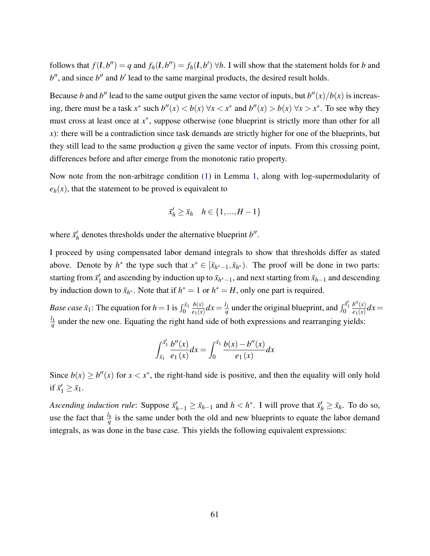follows that  $f(\bm{l}, b'') = q$  and  $f_h(\bm{l}, b'') = f_h(\bm{l}, b') \forall h$ . I will show that the statement holds for *b* and  $b''$ , and since  $b''$  and  $b'$  lead to the same marginal products, the desired result holds.

Because *b* and *b*<sup>*n*</sup> lead to the same output given the same vector of inputs, but  $b''(x)/b(x)$  is increasing, there must be a task *x*<sup>∗</sup> such  $b''(x) < b(x)$  ∀*x* < *x*<sup>∗</sup> and  $b''(x) > b(x)$  ∀*x* > *x*<sup>∗</sup>. To see why they must cross at least once at  $x^*$ , suppose otherwise (one blueprint is strictly more than other for all *x*): there will be a contradiction since task demands are strictly higher for one of the blueprints, but they still lead to the same production *q* given the same vector of inputs. From this crossing point, differences before and after emerge from the monotonic ratio property.

Now note from the non-arbitrage condition [\(1\)](#page-7-0) in Lemma [1,](#page-7-1) along with log-supermodularity of  $e_h(x)$ , that the statement to be proved is equivalent to

$$
\bar{x}_h' \ge \bar{x}_h \quad h \in \{1, ..., H-1\}
$$

where  $\bar{x}'_k$  $h'_h$  denotes thresholds under the alternative blueprint  $b''$ .

I proceed by using compensated labor demand integrals to show that thresholds differ as stated above. Denote by  $h^*$  the type such that  $x^* \in [\bar{x}_{h^*-1}, \bar{x}_{h^*})$ . The proof will be done in two parts: starting from  $\bar{x}'_1$  $\bar{x}_1$  and ascending by induction up to  $\bar{x}_{h^*-1}$ , and next starting from  $\bar{x}_{h-1}$  and descending by induction down to  $\bar{x}_{h^*}$ . Note that if  $h^* = 1$  or  $h^* = H$ , only one part is required.

*Base case*  $\bar{x}_1$ : The equation for  $h = 1$  is  $\int_0^{\bar{x}_1}$ *b*(*x*)  $\frac{b(x)}{e_1(x)}dx = \frac{l_1}{q}$  $\frac{l_1}{q}$  under the original blueprint, and  $\int_0^{\bar{x}_1'}$  $b''(x)$  $\frac{b'(x)}{e_1(x)}dx =$ *l*1  $q \overline{q}$  under the new one. Equating the right hand side of both expressions and rearranging yields:

$$
\int_{\bar{x}_1}^{\bar{x}_1'} \frac{b''(x)}{e_1(x)} dx = \int_0^{\bar{x}_1} \frac{b(x) - b''(x)}{e_1(x)} dx
$$

Since  $b(x) \ge b''(x)$  for  $x < x^*$ , the right-hand side is positive, and then the equality will only hold if  $\bar{x}'_1 \ge \bar{x}_1$ .

*Ascending induction rule:* Suppose  $\bar{x}'_{h-1} \ge \bar{x}_{h-1}$  and  $h < h^*$ . I will prove that  $\bar{x}'_h \ge \bar{x}_h$ . To do so, use the fact that  $\frac{l_h}{q}$  is the same under both the old and new blueprints to equate the labor demand integrals, as was done in the base case. This yields the following equivalent expressions: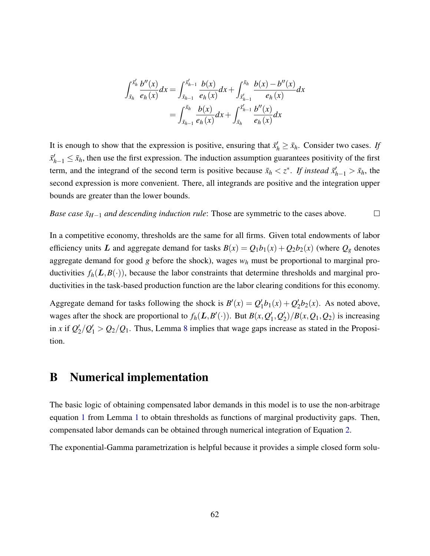$$
\int_{\bar{x}_h}^{\bar{x}'_h} \frac{b''(x)}{e_h(x)} dx = \int_{\bar{x}_{h-1}}^{\bar{x}'_{h-1}} \frac{b(x)}{e_h(x)} dx + \int_{\bar{x}'_{h-1}}^{\bar{x}_h} \frac{b(x) - b''(x)}{e_h(x)} dx
$$
  
= 
$$
\int_{\bar{x}_{h-1}}^{\bar{x}_h} \frac{b(x)}{e_h(x)} dx + \int_{\bar{x}_h}^{\bar{x}'_{h-1}} \frac{b''(x)}{e_h(x)} dx
$$

It is enough to show that the expression is positive, ensuring that  $\bar{x}'_h \geq \bar{x}_h$ . Consider two cases. If  $\bar{x}_{h-1}' \leq \bar{x}_h$ , then use the first expression. The induction assumption guarantees positivity of the first term, and the integrand of the second term is positive because  $\bar{x}_h < z^*$ . If instead  $\bar{x}'_{h-1} > \bar{x}_h$ , the second expression is more convenient. There, all integrands are positive and the integration upper bounds are greater than the lower bounds.

*Base case*  $\bar{x}_{H-1}$  *and descending induction rule*: Those are symmetric to the cases above.  $\Box$ 

In a competitive economy, thresholds are the same for all firms. Given total endowments of labor efficiency units L and aggregate demand for tasks  $B(x) = Q_1b_1(x) + Q_2b_2(x)$  (where  $Q_g$  denotes aggregate demand for good *g* before the shock), wages *w<sup>h</sup>* must be proportional to marginal productivities  $f_h(L, B(\cdot))$ , because the labor constraints that determine thresholds and marginal productivities in the task-based production function are the labor clearing conditions for this economy.

Aggregate demand for tasks following the shock is  $B'(x) = Q'_1$  $\frac{1}{2}b_1(x) + Q_2'$  $\frac{1}{2}b_2(x)$ . As noted above, wages after the shock are proportional to  $f_h(L, B'(\cdot))$ . But  $B(x, Q)$  $\eta_1, Q_2'$  $\binom{1}{2}$ / $B(x, Q_1, Q_2)$  is increasing in *x* if  $Q_2'$  $\frac{1}{2}/Q_1'$  >  $Q_2/Q_1$ . Thus, Lemma [8](#page-60-0) implies that wage gaps increase as stated in the Proposition.

# <span id="page-62-0"></span>B Numerical implementation

The basic logic of obtaining compensated labor demands in this model is to use the non-arbitrage equation [1](#page-7-0) from Lemma [1](#page-7-1) to obtain thresholds as functions of marginal productivity gaps. Then, compensated labor demands can be obtained through numerical integration of Equation [2.](#page-8-0)

The exponential-Gamma parametrization is helpful because it provides a simple closed form solu-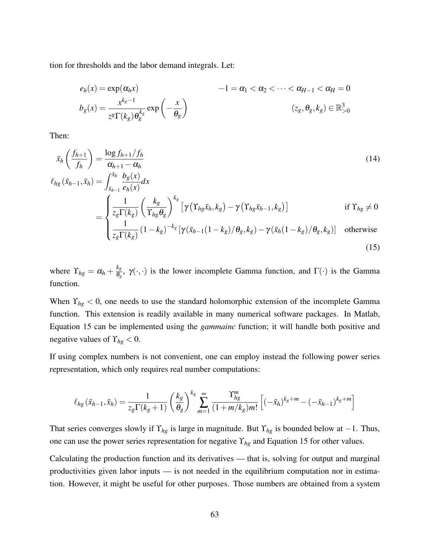tion for thresholds and the labor demand integrals. Let:

$$
e_h(x) = \exp(\alpha_h x)
$$
  
\n
$$
-1 = \alpha_1 < \alpha_2 < \dots < \alpha_{H-1} < \alpha_H = 0
$$
  
\n
$$
b_g(x) = \frac{x^{k_g - 1}}{z^g \Gamma(k_g) \theta_g^{k_g}} \exp\left(-\frac{x}{\theta_g}\right)
$$
  
\n
$$
(z_g, \theta_g, k_g) \in \mathbb{R}_{>0}^3
$$

Then:

$$
\bar{x}_{h}\left(\frac{f_{h+1}}{f_{h}}\right) = \frac{\log f_{h+1}/f_{h}}{\alpha_{h+1} - \alpha_{h}}
$$
\n
$$
\ell_{hg}(\bar{x}_{h-1}, \bar{x}_{h}) = \int_{\bar{x}_{h-1}}^{\bar{x}_{h}} \frac{b_{g}(x)}{e_{h}(x)} dx
$$
\n
$$
= \begin{cases}\n\frac{1}{z_{g}\Gamma(k_{g})}\left(\frac{k_{g}}{\Gamma_{hg}\theta_{g}}\right)^{k_{g}}\left[\gamma\left(\Upsilon_{hg}\bar{x}_{h}, k_{g}\right) - \gamma\left(\Upsilon_{hg}\bar{x}_{h-1}, k_{g}\right)\right] & \text{if } \Upsilon_{hg} \neq 0 \\
\frac{1}{z_{g}\Gamma(k_{g})}\left(1 - k_{g}\right)^{-k_{g}}\left[\gamma\left(\bar{x}_{h-1}(1 - k_{g})/\theta_{g}, k_{g}\right) - \gamma\left(\bar{x}_{h}(1 - k_{g})/\theta_{g}, k_{g}\right)\right] & \text{otherwise}\n\end{cases}
$$
\n(15)

<span id="page-63-0"></span>where  $\Upsilon_{hg} = \alpha_h + \frac{k_g}{\theta_g}$  $\frac{\kappa_g}{\theta_g}$ ,  $\gamma(\cdot,\cdot)$  is the lower incomplete Gamma function, and  $\Gamma(\cdot)$  is the Gamma function.

When  $\Upsilon_{hg}$  < 0, one needs to use the standard holomorphic extension of the incomplete Gamma function. This extension is readily available in many numerical software packages. In Matlab, Equation [15](#page-63-0) can be implemented using the *gammainc* function; it will handle both positive and negative values of  $\Upsilon_{hg} < 0$ .

If using complex numbers is not convenient, one can employ instead the following power series representation, which only requires real number computations:

$$
\ell_{hg}(\bar{x}_{h-1}, \bar{x}_h) = \frac{1}{z_g \Gamma(k_g+1)} \left(\frac{k_g}{\theta_g}\right)^{k_g} \sum_{m=1}^{\infty} \frac{\Upsilon_{hg}^m}{(1+m/k_g)m!} \left[(-\bar{x}_h)^{k_g+m} - (-\bar{x}_{h-1})^{k_g+m}\right]
$$

That series converges slowly if  $\Upsilon_{hg}$  is large in magnitude. But  $\Upsilon_{hg}$  is bounded below at −1. Thus, one can use the power series representation for negative ϒ*hg* and Equation [15](#page-63-0) for other values.

Calculating the production function and its derivatives — that is, solving for output and marginal productivities given labor inputs — is not needed in the equilibrium computation nor in estimation. However, it might be useful for other purposes. Those numbers are obtained from a system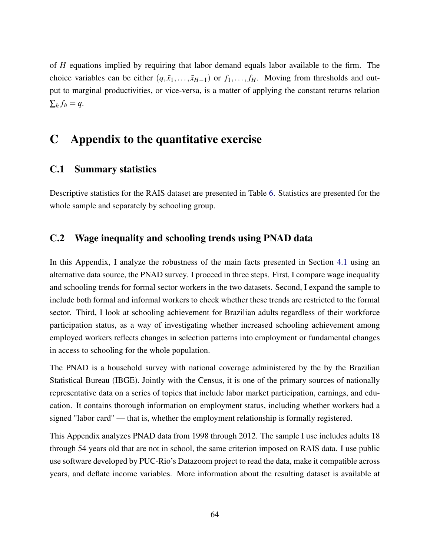of *H* equations implied by requiring that labor demand equals labor available to the firm. The choice variables can be either  $(q, \bar{x}_1, \ldots, \bar{x}_{H-1})$  or  $f_1, \ldots, f_H$ . Moving from thresholds and output to marginal productivities, or vice-versa, is a matter of applying the constant returns relation  $\sum_h f_h = q.$ 

# C Appendix to the quantitative exercise

### <span id="page-64-1"></span>C.1 Summary statistics

Descriptive statistics for the RAIS dataset are presented in Table [6.](#page-65-0) Statistics are presented for the whole sample and separately by schooling group.

### <span id="page-64-0"></span>C.2 Wage inequality and schooling trends using PNAD data

In this Appendix, I analyze the robustness of the main facts presented in Section [4.1](#page-26-0) using an alternative data source, the PNAD survey. I proceed in three steps. First, I compare wage inequality and schooling trends for formal sector workers in the two datasets. Second, I expand the sample to include both formal and informal workers to check whether these trends are restricted to the formal sector. Third, I look at schooling achievement for Brazilian adults regardless of their workforce participation status, as a way of investigating whether increased schooling achievement among employed workers reflects changes in selection patterns into employment or fundamental changes in access to schooling for the whole population.

The PNAD is a household survey with national coverage administered by the by the Brazilian Statistical Bureau (IBGE). Jointly with the Census, it is one of the primary sources of nationally representative data on a series of topics that include labor market participation, earnings, and education. It contains thorough information on employment status, including whether workers had a signed "labor card" — that is, whether the employment relationship is formally registered.

This Appendix analyzes PNAD data from 1998 through 2012. The sample I use includes adults 18 through 54 years old that are not in school, the same criterion imposed on RAIS data. I use public use software developed by PUC-Rio's Datazoom project to read the data, make it compatible across years, and deflate income variables. More information about the resulting dataset is available at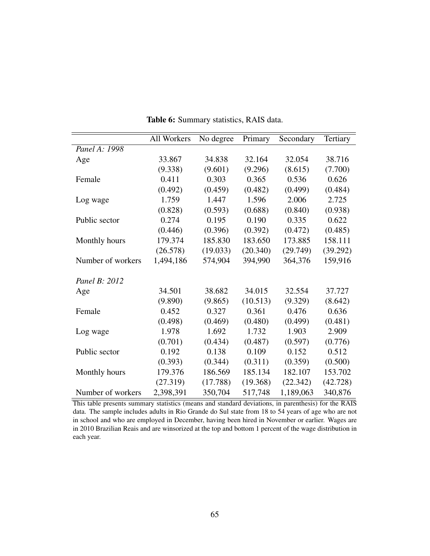<span id="page-65-0"></span>

|                   | All Workers | No degree | Primary  | Secondary | Tertiary |
|-------------------|-------------|-----------|----------|-----------|----------|
| Panel A: 1998     |             |           |          |           |          |
| Age               | 33.867      | 34.838    | 32.164   | 32.054    | 38.716   |
|                   | (9.338)     | (9.601)   | (9.296)  | (8.615)   | (7.700)  |
| Female            | 0.411       | 0.303     | 0.365    | 0.536     | 0.626    |
|                   | (0.492)     | (0.459)   | (0.482)  | (0.499)   | (0.484)  |
| Log wage          | 1.759       | 1.447     | 1.596    | 2.006     | 2.725    |
|                   | (0.828)     | (0.593)   | (0.688)  | (0.840)   | (0.938)  |
| Public sector     | 0.274       | 0.195     | 0.190    | 0.335     | 0.622    |
|                   | (0.446)     | (0.396)   | (0.392)  | (0.472)   | (0.485)  |
| Monthly hours     | 179.374     | 185.830   | 183.650  | 173.885   | 158.111  |
|                   | (26.578)    | (19.033)  | (20.340) | (29.749)  | (39.292) |
| Number of workers | 1,494,186   | 574,904   | 394,990  | 364,376   | 159,916  |
|                   |             |           |          |           |          |
| Panel B: 2012     |             |           |          |           |          |
| Age               | 34.501      | 38.682    | 34.015   | 32.554    | 37.727   |
|                   | (9.890)     | (9.865)   | (10.513) | (9.329)   | (8.642)  |
| Female            | 0.452       | 0.327     | 0.361    | 0.476     | 0.636    |
|                   | (0.498)     | (0.469)   | (0.480)  | (0.499)   | (0.481)  |
| Log wage          | 1.978       | 1.692     | 1.732    | 1.903     | 2.909    |
|                   | (0.701)     | (0.434)   | (0.487)  | (0.597)   | (0.776)  |
| Public sector     | 0.192       | 0.138     | 0.109    | 0.152     | 0.512    |
|                   | (0.393)     | (0.344)   | (0.311)  | (0.359)   | (0.500)  |
| Monthly hours     | 179.376     | 186.569   | 185.134  | 182.107   | 153.702  |
|                   | (27.319)    | (17.788)  | (19.368) | (22.342)  | (42.728) |
| Number of workers | 2,398,391   | 350,704   | 517,748  | 1,189,063 | 340,876  |

Table 6: Summary statistics, RAIS data.

This table presents summary statistics (means and standard deviations, in parenthesis) for the RAIS data. The sample includes adults in Rio Grande do Sul state from 18 to 54 years of age who are not in school and who are employed in December, having been hired in November or earlier. Wages are in 2010 Brazilian Reais and are winsorized at the top and bottom 1 percent of the wage distribution in each year.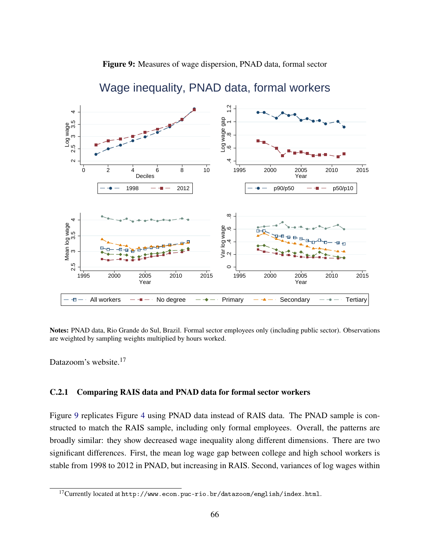

<span id="page-66-0"></span>

# Wage inequality, PNAD data, formal workers

Notes: PNAD data, Rio Grande do Sul, Brazil. Formal sector employees only (including public sector). Observations are weighted by sampling weights multiplied by hours worked.

Datazoom's website.<sup>17</sup>

### C.2.1 Comparing RAIS data and PNAD data for formal sector workers

Figure [9](#page-66-0) replicates Figure [4](#page-27-0) using PNAD data instead of RAIS data. The PNAD sample is constructed to match the RAIS sample, including only formal employees. Overall, the patterns are broadly similar: they show decreased wage inequality along different dimensions. There are two significant differences. First, the mean log wage gap between college and high school workers is stable from 1998 to 2012 in PNAD, but increasing in RAIS. Second, variances of log wages within

 $^{17}$  Currently located at  ${\tt http://www.econ.puc-rio.br/datazoom/english/index.html.}$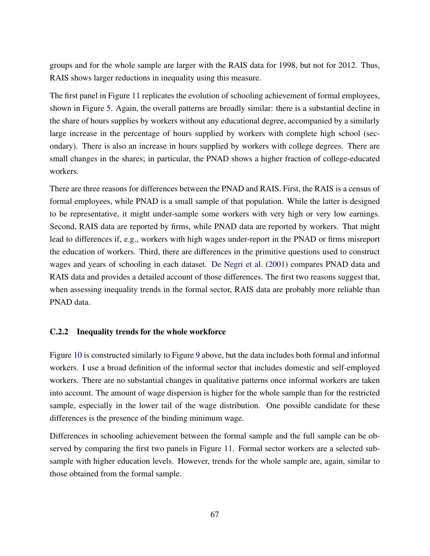groups and for the whole sample are larger with the RAIS data for 1998, but not for 2012. Thus, RAIS shows larger reductions in inequality using this measure.

The first panel in Figure [11](#page-69-0) replicates the evolution of schooling achievement of formal employees, shown in Figure [5.](#page-28-0) Again, the overall patterns are broadly similar: there is a substantial decline in the share of hours supplies by workers without any educational degree, accompanied by a similarly large increase in the percentage of hours supplied by workers with complete high school (secondary). There is also an increase in hours supplied by workers with college degrees. There are small changes in the shares; in particular, the PNAD shows a higher fraction of college-educated workers.

There are three reasons for differences between the PNAD and RAIS. First, the RAIS is a census of formal employees, while PNAD is a small sample of that population. While the latter is designed to be representative, it might under-sample some workers with very high or very low earnings. Second, RAIS data are reported by firms, while PNAD data are reported by workers. That might lead to differences if, e.g., workers with high wages under-report in the PNAD or firms misreport the education of workers. Third, there are differences in the primitive questions used to construct wages and years of schooling in each dataset. [De Negri et al.](#page-48-12) [\(2001\)](#page-48-12) compares PNAD data and RAIS data and provides a detailed account of those differences. The first two reasons suggest that, when assessing inequality trends in the formal sector, RAIS data are probably more reliable than PNAD data.

### C.2.2 Inequality trends for the whole workforce

Figure [10](#page-68-0) is constructed similarly to Figure [9](#page-66-0) above, but the data includes both formal and informal workers. I use a broad definition of the informal sector that includes domestic and self-employed workers. There are no substantial changes in qualitative patterns once informal workers are taken into account. The amount of wage dispersion is higher for the whole sample than for the restricted sample, especially in the lower tail of the wage distribution. One possible candidate for these differences is the presence of the binding minimum wage.

Differences in schooling achievement between the formal sample and the full sample can be observed by comparing the first two panels in Figure [11.](#page-69-0) Formal sector workers are a selected subsample with higher education levels. However, trends for the whole sample are, again, similar to those obtained from the formal sample.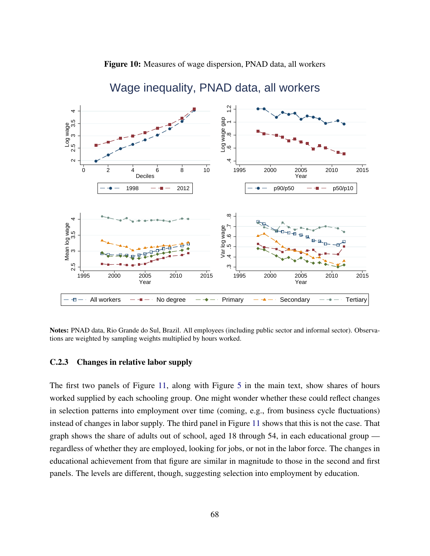

<span id="page-68-0"></span>

# Wage inequality, PNAD data, all workers

Notes: PNAD data, Rio Grande do Sul, Brazil. All employees (including public sector and informal sector). Observations are weighted by sampling weights multiplied by hours worked.

#### C.2.3 Changes in relative labor supply

The first two panels of Figure [11,](#page-69-0) along with Figure [5](#page-28-0) in the main text, show shares of hours worked supplied by each schooling group. One might wonder whether these could reflect changes in selection patterns into employment over time (coming, e.g., from business cycle fluctuations) instead of changes in labor supply. The third panel in Figure [11](#page-69-0) shows that this is not the case. That graph shows the share of adults out of school, aged 18 through 54, in each educational group regardless of whether they are employed, looking for jobs, or not in the labor force. The changes in educational achievement from that figure are similar in magnitude to those in the second and first panels. The levels are different, though, suggesting selection into employment by education.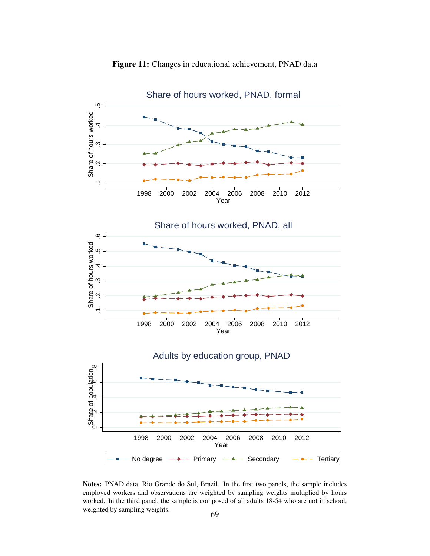<span id="page-69-0"></span>

Figure 11: Changes in educational achievement, PNAD data

Notes: PNAD data, Rio Grande do Sul, Brazil. In the first two panels, the sample includes employed workers and observations are weighted by sampling weights multiplied by hours worked. In the third panel, the sample is composed of all adults 18-54 who are not in school, weighted by sampling weights. 69